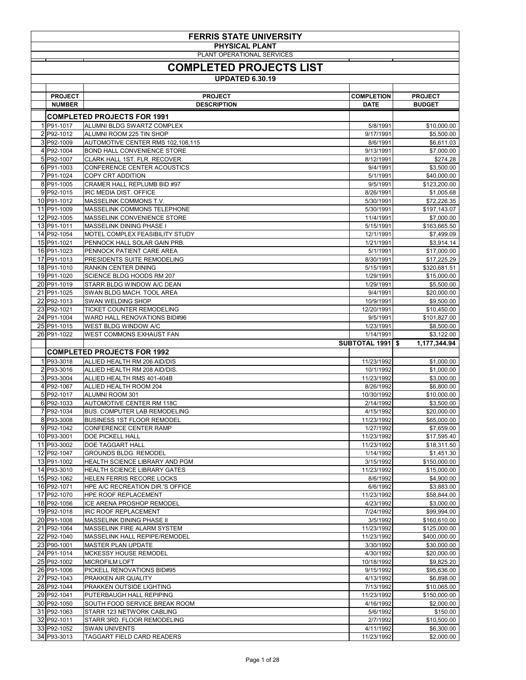| <b>FERRIS STATE UNIVERSITY</b>                      |                                                                   |                          |                              |  |
|-----------------------------------------------------|-------------------------------------------------------------------|--------------------------|------------------------------|--|
| <b>PHYSICAL PLANT</b><br>PLANT OPERATIONAL SERVICES |                                                                   |                          |                              |  |
| <b>COMPLETED PROJECTS LIST</b>                      |                                                                   |                          |                              |  |
| <b>UPDATED 6.30.19</b>                              |                                                                   |                          |                              |  |
| <b>PROJECT</b>                                      | <b>PROJECT</b>                                                    | <b>COMPLETION</b>        | <b>PROJECT</b>               |  |
| <b>NUMBER</b>                                       | <b>DESCRIPTION</b>                                                | <b>DATE</b>              | <b>BUDGET</b>                |  |
| 1 P91-1017                                          | <b>COMPLETED PROJECTS FOR 1991</b><br>ALUMNI BLDG SWARTZ COMPLEX  |                          |                              |  |
| 2 P92-1012                                          | ALUMNI ROOM 225 TIN SHOP                                          | 5/8/1991<br>9/17/1991    | \$10,000.00<br>\$5,500.00    |  |
| 3 P92-1009                                          | AUTOMOTIVE CENTER RMS 102,108,115                                 | 8/6/1991                 | \$6,611.03                   |  |
| 4 P92-1004                                          | <b>BOND HALL CONVENIENCE STORE</b>                                | 9/13/1991                | \$7,000.00                   |  |
| 5 P92-1007<br>6 P91-1003                            | CLARK HALL 1ST. FLR. RECOVER.<br>CONFERENCE CENTER ACOUSTICS      | 8/12/1991<br>9/4/1991    | \$274.28<br>\$3,500.00       |  |
| 7 P91-1024                                          | <b>COPY CRT ADDITION</b>                                          | 5/1/1991                 | \$40,000.00                  |  |
| 8 P91-1005                                          | <b>CRAMER HALL REPLUMB BID #97</b>                                | 9/5/1991                 | \$123,200.00                 |  |
| 9P92-1015                                           | <b>IRC MEDIA DIST. OFFICE</b>                                     | 8/26/1991                | \$1,005.68                   |  |
| 10 P91-1012<br>11 P91-1009                          | MASSELINK COMMONS T.V.<br>MASSELINK COMMONS TELEPHONE             | 5/30/1991<br>5/30/1991   | \$72,226.35<br>\$197,143.07  |  |
| 12 P92-1005                                         | MASSELINK CONVENIENCE STORE                                       | 11/4/1991                | \$7,000.00                   |  |
| 13 P91-1011                                         | <b>MASSELINK DINING PHASE I</b>                                   | 5/15/1991                | \$163,665.50                 |  |
| 14 P92-1054<br>15 P91-1021                          | MOTEL COMPLEX FEASIBILITY STUDY<br>PENNOCK HALL SOLAR GAIN PRB.   | 12/1/1991<br>1/21/1991   | \$7,499.09<br>\$3,914.14     |  |
| 16 P91-1023                                         | PENNOCK PATIENT CARE AREA                                         | 5/1/1991                 | \$17,000.00                  |  |
| 17 P91-1013                                         | PRESIDENTS SUITE REMODELING                                       | 8/30/1991                | \$17,225.29                  |  |
| 18 P91-1010                                         | <b>RANKIN CENTER DINING</b>                                       | 5/15/1991                | \$320,681.51                 |  |
| 19 P91-1020<br>20 P91-1019                          | SCIENCE BLDG HOODS RM 207<br>STARR BLDG WINDOW A/C DEAN           | 1/29/1991<br>1/29/1991   | \$15,000.00<br>\$5,500.00    |  |
| 21 P91-1025                                         | SWAN BLDG MACH. TOOL AREA                                         | 9/4/1991                 | \$20,000.00                  |  |
| 22 P92-1013                                         | SWAN WELDING SHOP                                                 | 10/9/1991                | \$9,500.00                   |  |
| 23 P92-1021                                         | TICKET COUNTER REMODELING                                         | 12/20/1991               | \$10,450.00                  |  |
| 24 P91-1004<br>25 P91-1015                          | WARD HALL RENOVATIONS BID#96<br>WEST BLDG WINDOW A/C              | 9/5/1991<br>1/23/1991    | \$101,827.00<br>\$8,500.00   |  |
| 26 P91-1022                                         | <b>WEST COMMONS EXHAUST FAN</b>                                   | 1/14/1991                | \$3,122.00                   |  |
|                                                     |                                                                   |                          |                              |  |
|                                                     |                                                                   | <b>SUBTOTAL 1991 \$</b>  | 1,177,344.94                 |  |
|                                                     | <b>COMPLETED PROJECTS FOR 1992</b>                                |                          |                              |  |
| 1 P93-3018                                          | ALLIED HEALTH RM 206 AID/DIS                                      | 11/23/1992               | \$1,000.00                   |  |
| 2 P93-3016<br>3 P93-3004                            | ALLIED HEALTH RM 208 AID/DIS.<br>ALLIED HEALTH RMS 401-404B       | 10/1/1992<br>11/23/1992  | \$1,000.00                   |  |
| 4 P92-1067                                          | ALLIED HEALTH ROOM 204                                            | 8/26/1992                | \$3,000.00<br>\$6,800.00     |  |
| 5 P92-1017                                          | ALUMNI ROOM 301                                                   | 10/30/1992               | \$10,000.00                  |  |
| 6 P92-1033                                          | <b>AUTOMOTIVE CENTER RM 118C</b>                                  | 2/14/1992                | \$3,500.00                   |  |
| 7 P92-1034<br>8 P93-3008                            | BUS. COMPUTER LAB REMODELING<br><b>BUSINESS 1ST FLOOR REMODEL</b> | 4/15/1992<br>11/23/1992  | \$20,000.00<br>\$65,000.00   |  |
| 9P92-1042                                           | CONFERENCE CENTER RAMP                                            | 1/27/1992                | \$7,659.00                   |  |
| 10 P93-3001                                         | DOE PICKELL HALL                                                  | 11/23/1992               | \$17,595.40                  |  |
| 11 P93-3002                                         | DOE TAGGART HALL                                                  | 11/23/1992               | \$18,311.50                  |  |
| 12 P92-1047<br>13 P91-1002                          | <b>GROUNDS BLDG. REMODEL</b><br>HEALTH SCIENCE LIBRARY AND PGM    | 1/14/1992<br>3/15/1992   | \$1,451.30<br>\$150,000.00   |  |
| 14 P93-3010                                         | HEALTH SCIENCE LIBRARY GATES                                      | 11/23/1992               | \$15,000.00                  |  |
| 15 P92-1062                                         | HELEN FERRIS RECORE LOCKS                                         | 8/6/1992                 | \$4,900.00                   |  |
| 16 P92-1071                                         | HPE A/C RECREATION DIR.'S OFFICE                                  | 6/6/1992                 | \$3,883.00                   |  |
| 17 P92-1070<br>18 P92-1056                          | HPE ROOF REPLACEMENT<br>ICE ARENA PROSHOP REMODEL                 | 11/23/1992<br>4/23/1992  | \$58,844.00<br>\$3,000.00    |  |
| 19 P92-1018                                         | <b>IRC ROOF REPLACEMENT</b>                                       | 7/24/1992                | \$99,994.00                  |  |
| 20 P91-1008                                         | MASSELINK DINING PHASE II                                         | 3/5/1992                 | \$160,610.00                 |  |
| 21 P92-1064<br>22 P92-1040                          | MASSELINK FIRE ALARM SYSTEM<br>MASSELINK HALL REPIPE/REMODEL      | 11/23/1992<br>11/23/1992 | \$125,000.00<br>\$400,000.00 |  |
| 23 P90-1001                                         | <b>MASTER PLAN UPDATE</b>                                         | 3/30/1992                | \$30,000.00                  |  |
| 24 P91-1014                                         | MCKESSY HOUSE REMODEL                                             | 4/30/1992                | \$20,000.00                  |  |
| 25 P92-1002                                         | <b>MICROFILM LOFT</b>                                             | 10/18/1992               | \$9,825.20                   |  |
| 26 P91-1006<br>27 P92-1043                          | PICKELL RENOVATIONS BID#95<br>PRAKKEN AIR QUALITY                 | 9/15/1992<br>4/13/1992   | \$95,636.00<br>\$6,898.00    |  |
| 28 P92-1044                                         | PRAKKEN OUTSIDE LIGHTING                                          | 7/13/1992                | \$10,065.00                  |  |
| 29 P92-1041                                         | PUTERBAUGH HALL REPIPING                                          | 11/23/1992               | \$150,000.00                 |  |
| 30 P92-1050<br>31 P92-1063                          | SOUTH FOOD SERVICE BREAK ROOM<br>STARR 123 NETWORK CABLING        | 4/16/1992<br>5/6/1992    | \$2,000.00<br>\$150.00       |  |
| 32 P92-1011                                         | STARR 3RD. FLOOR REMODELING                                       | 2/7/1992                 | \$10,500.00                  |  |
| 33 P92-1052<br>34 P93-3013                          | <b>SWAN UNIVENTS</b><br>TAGGART FIELD CARD READERS                | 4/11/1992<br>11/23/1992  | \$6,300.00<br>\$2,000.00     |  |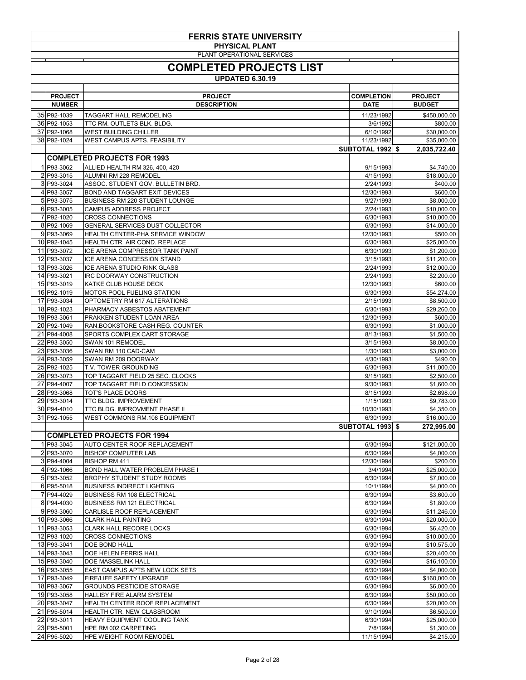| <b>FERRIS STATE UNIVERSITY</b><br><b>PHYSICAL PLANT</b><br>PLANT OPERATIONAL SERVICES |                                                                        |                         |                            |  |
|---------------------------------------------------------------------------------------|------------------------------------------------------------------------|-------------------------|----------------------------|--|
| <b>COMPLETED PROJECTS LIST</b>                                                        |                                                                        |                         |                            |  |
|                                                                                       | <b>UPDATED 6.30.19</b>                                                 |                         |                            |  |
| <b>PROJECT</b>                                                                        | <b>PROJECT</b>                                                         | <b>COMPLETION</b>       | <b>PROJECT</b>             |  |
| <b>NUMBER</b>                                                                         | <b>DESCRIPTION</b>                                                     | <b>DATE</b>             | <b>BUDGET</b>              |  |
| 35 P92-1039                                                                           | <b>TAGGART HALL REMODELING</b>                                         | 11/23/1992              | \$450,000.00               |  |
| 36 P92-1053<br>37 P92-1068                                                            | TTC RM. OUTLETS BLK. BLDG.                                             | 3/6/1992                | \$800.00                   |  |
| 38 P92-1024                                                                           | <b>WEST BUILDING CHILLER</b><br>WEST CAMPUS APTS. FEASIBILITY          | 6/10/1992<br>11/23/1992 | \$30,000.00<br>\$35,000.00 |  |
|                                                                                       |                                                                        | <b>SUBTOTAL 1992 \$</b> | 2,035,722.40               |  |
|                                                                                       | <b>COMPLETED PROJECTS FOR 1993</b>                                     |                         |                            |  |
| 1 P93-3062                                                                            | ALLIED HEALTH RM 326, 400, 420                                         | 9/15/1993               | \$4,740.00                 |  |
| 2 P93-3015<br>3 P93-3024                                                              | ALUMNI RM 228 REMODEL<br>ASSOC. STUDENT GOV. BULLETIN BRD.             | 4/15/1993<br>2/24/1993  | \$18,000.00<br>\$400.00    |  |
| 4 P93-3057                                                                            | <b>BOND AND TAGGART EXIT DEVICES</b>                                   | 12/30/1993              | \$600.00                   |  |
| 5 P93-3075                                                                            | <b>BUSINESS RM 220 STUDENT LOUNGE</b>                                  | 9/27/1993               | \$8,000.00                 |  |
| 6 P93-3005                                                                            | <b>CAMPUS ADDRESS PROJECT</b>                                          | 2/24/1993               | \$10,000.00                |  |
| 7 P92-1020<br>8 P92-1069                                                              | <b>CROSS CONNECTIONS</b><br>GENERAL SERVICES DUST COLLECTOR            | 6/30/1993<br>6/30/1993  | \$10,000.00<br>\$14,000.00 |  |
| 9 P93-3069                                                                            | HEALTH CENTER-PHA SERVICE WINDOW                                       | 12/30/1993              | \$500.00                   |  |
| 10 P92-1045                                                                           | HEALTH CTR. AIR COND. REPLACE                                          | 6/30/1993               | \$25,000.00                |  |
| 11 P93-3072<br>12 P93-3037                                                            | ICE ARENA COMPRESSOR TANK PAINT                                        | 6/30/1993               | \$1,200.00                 |  |
| 13 P93-3026                                                                           | ICE ARENA CONCESSION STAND<br><b>ICE ARENA STUDIO RINK GLASS</b>       | 3/15/1993<br>2/24/1993  | \$11,200.00<br>\$12,000.00 |  |
| 14 P93-3021                                                                           | <b>IRC DOORWAY CONSTRUCTION</b>                                        | 2/24/1993               | \$2,200.00                 |  |
| 15 P93-3019                                                                           | <b>KATKE CLUB HOUSE DECK</b>                                           | 12/30/1993              | \$600.00                   |  |
| 16 P92-1019<br>17 P93-3034                                                            | MOTOR POOL FUELING STATION                                             | 6/30/1993               | \$54,274.00                |  |
| 18 P92-1023                                                                           | OPTOMETRY RM 617 ALTERATIONS<br><b>PHARMACY ASBESTOS ABATEMENT</b>     | 2/15/1993<br>6/30/1993  | \$8,500.00<br>\$29,260.00  |  |
| 19 P93-3061                                                                           | PRAKKEN STUDENT LOAN AREA                                              | 12/30/1993              | \$600.00                   |  |
| 20 P92-1049                                                                           | RAN.BOOKSTORE CASH REG. COUNTER                                        | 6/30/1993               | \$1,000.00                 |  |
| 21 P94-4008                                                                           | SPORTS COMPLEX CART STORAGE                                            | 8/13/1993               | \$1,500.00                 |  |
| 22 P93-3050<br>23 P93-3036                                                            | SWAN 101 REMODEL<br>SWAN RM 110 CAD-CAM                                | 3/15/1993<br>1/30/1993  | \$8,000.00<br>\$3,000.00   |  |
| 24 P93-3059                                                                           | SWAN RM 209 DOORWAY                                                    | 4/30/1993               | \$490.00                   |  |
| 25 P92-1025                                                                           | T.V. TOWER GROUNDING                                                   | 6/30/1993               | \$11,000.00                |  |
| 26 P93-3073                                                                           | TOP TAGGART FIELD 25 SEC. CLOCKS                                       | 9/15/1993               | \$2,500.00                 |  |
| 27 P94-4007<br>28 P93-3068                                                            | TOP TAGGART FIELD CONCESSION<br>TOT'S PLACE DOORS                      | 9/30/1993<br>8/15/1993  | \$1,600.00<br>\$2,698.00   |  |
| 29 P93-3014                                                                           | TTC BLDG. IMPROVEMENT                                                  | 1/15/1993               | \$9,783.00                 |  |
| 30 P94-4010                                                                           | TTC BLDG. IMPROVMENT PHASE II                                          | 10/30/1993              | \$4,350.00                 |  |
| 31 P92-1055                                                                           | WEST COMMONS RM.108 EQUIPMENT                                          | 6/30/1993               | \$16,000.00                |  |
|                                                                                       | <b>COMPLETED PROJECTS FOR 1994</b>                                     | <b>SUBTOTAL 1993 \$</b> | 272,995.00                 |  |
| 1 P93-3045                                                                            | <b>AUTO CENTER ROOF REPLACEMENT</b>                                    | 6/30/1994               | \$121,000.00               |  |
| 2 P93-3070                                                                            | <b>BISHOP COMPUTER LAB</b>                                             | 6/30/1994               | \$4,000.00                 |  |
| 3 P94-4004                                                                            | <b>BISHOP RM 411</b>                                                   | 12/30/1994              | \$200.00                   |  |
| 4 P92-1066                                                                            | <b>BOND HALL WATER PROBLEM PHASE I</b>                                 | 3/4/1994                | \$25,000.00                |  |
| 5 P93-3052<br>6 P95-5018                                                              | <b>BROPHY STUDENT STUDY ROOMS</b><br><b>BUSINESS INDIRECT LIGHTING</b> | 6/30/1994<br>10/1/1994  | \$7,000.00<br>\$4,000.00   |  |
| 7 P94-4029                                                                            | <b>BUSINESS RM 108 ELECTRICAL</b>                                      | 6/30/1994               | \$3,600.00                 |  |
| 8 P94-4030                                                                            | <b>BUSINESS RM 121 ELECTRICAL</b>                                      | 6/30/1994               | \$1,800.00                 |  |
| 9 P93-3060<br>10 P93-3066                                                             | <b>CARLISLE ROOF REPLACEMENT</b>                                       | 6/30/1994<br>6/30/1994  | \$11,246.00                |  |
| 11 P93-3053                                                                           | <b>CLARK HALL PAINTING</b><br><b>CLARK HALL RECORE LOCKS</b>           | 6/30/1994               | \$20,000.00<br>\$6,420.00  |  |
| 12 P93-1020                                                                           | <b>CROSS CONNECTIONS</b>                                               | 6/30/1994               | \$10,000.00                |  |
| 13 P93-3041                                                                           | DOE BOND HALL                                                          | 6/30/1994               | \$10,575.00                |  |
| 14 P93-3043<br>15 P93-3040                                                            | <b>DOE HELEN FERRIS HALL</b><br>DOE MASSELINK HALL                     | 6/30/1994<br>6/30/1994  | \$20,400.00<br>\$16,100.00 |  |
| 16 P93-3055                                                                           | <b>EAST CAMPUS APTS NEW LOCK SETS</b>                                  | 6/30/1994               | \$4,000.00                 |  |
| 17 P93-3049                                                                           | <b>FIRE/LIFE SAFETY UPGRADE</b>                                        | 6/30/1994               | \$160,000.00               |  |
| 18 P93-3067                                                                           | <b>GROUNDS PESTICIDE STORAGE</b>                                       | 6/30/1994               | \$6,000.00                 |  |
| 19 P93-3058<br>20 P93-3047                                                            | <b>HALLISY FIRE ALARM SYSTEM</b><br>HEALTH CENTER ROOF REPLACEMENT     | 6/30/1994<br>6/30/1994  | \$50,000.00                |  |
| 21 P95-5014                                                                           | HEALTH CTR. NEW CLASSROOM                                              | 9/10/1994               | \$20,000.00<br>\$6,500.00  |  |
| 22 P93-3011                                                                           | HEAVY EQUIPMENT COOLING TANK                                           | 6/30/1994               | \$25,000.00                |  |
| 23 P95-5001                                                                           | HPE RM 002 CARPETING                                                   | 7/8/1994                | \$1,300.00                 |  |
| 24 P95-5020                                                                           | <b>HPE WEIGHT ROOM REMODEL</b>                                         | 11/15/1994              | \$4,215.00                 |  |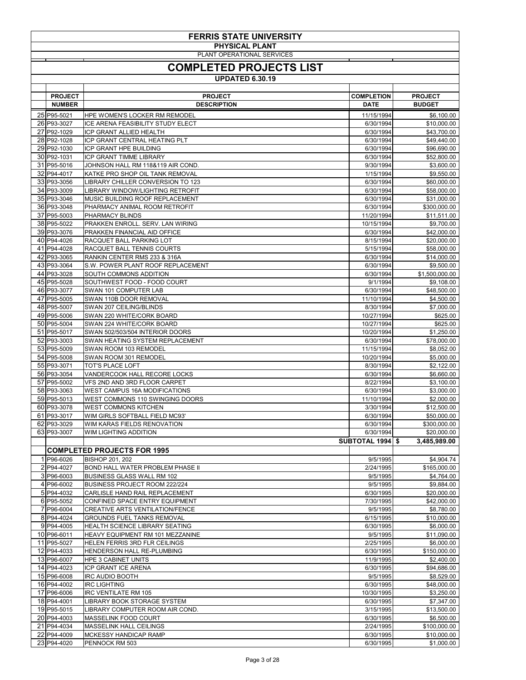| <b>FERRIS STATE UNIVERSITY</b> |                                                               |                         |                              |
|--------------------------------|---------------------------------------------------------------|-------------------------|------------------------------|
|                                | <b>PHYSICAL PLANT</b><br>PLANT OPERATIONAL SERVICES           |                         |                              |
|                                |                                                               |                         |                              |
|                                | <b>COMPLETED PROJECTS LIST</b>                                |                         |                              |
|                                | <b>UPDATED 6.30.19</b>                                        |                         |                              |
|                                |                                                               |                         |                              |
| <b>PROJECT</b>                 | <b>PROJECT</b>                                                | <b>COMPLETION</b>       | <b>PROJECT</b>               |
| <b>NUMBER</b>                  | <b>DESCRIPTION</b>                                            | <b>DATE</b>             | <b>BUDGET</b>                |
| 25 P95-5021                    | <b>HPE WOMEN'S LOCKER RM REMODEL</b>                          | 11/15/1994              | \$6,100.00                   |
| 26 P93-3027                    | ICE ARENA FEASIBILITY STUDY ELECT                             | 6/30/1994               | \$10,000.00                  |
| 27 P92-1029<br>28 P92-1028     | ICP GRANT ALLIED HEALTH<br>ICP GRANT CENTRAL HEATING PLT      | 6/30/1994<br>6/30/1994  | \$43,700.00<br>\$49,440.00   |
| 29 P92-1030                    | <b>ICP GRANT HPE BUILDING</b>                                 | 6/30/1994               | \$96,690.00                  |
| 30 P92-1031                    | <b>ICP GRANT TIMME LIBRARY</b>                                | 6/30/1994               | \$52,800.00                  |
| 31 P95-5016                    | JOHNSON HALL RM 118&119 AIR COND.                             | 9/30/1994               | \$3,600.00                   |
| 32 P94-4017                    | KATKE PRO SHOP OIL TANK REMOVAL                               | 1/15/1994               | \$9,550.00                   |
| 33 P93-3056                    | <b>LIBRARY CHILLER CONVERSION TO 123</b>                      | 6/30/1994               | \$60,000.00                  |
| 34 P93-3009                    | <b>LIBRARY WINDOW/LIGHTING RETROFIT</b>                       | 6/30/1994               | \$58,000.00                  |
| 35 P93-3046                    | MUSIC BUILDING ROOF REPLACEMENT                               | 6/30/1994               | \$31,000.00                  |
| 36 P93-3048                    | PHARMACY ANIMAL ROOM RETROFIT                                 | 6/30/1994               | \$300,000.00                 |
| 37 P95-5003                    | PHARMACY BLINDS                                               | 11/20/1994              | \$11,511.00                  |
| 38 P95-5022                    | PRAKKEN ENROLL. SERV. LAN WIRING                              | 10/15/1994              | \$9,700.00                   |
| 39 P93-3076                    | PRAKKEN FINANCIAL AID OFFICE                                  | 6/30/1994               | \$42,000.00                  |
| 40 P94-4026                    | RACQUET BALL PARKING LOT                                      | 8/15/1994               | \$20,000.00                  |
| 41 P94-4028                    | RACQUET BALL TENNIS COURTS                                    | 5/15/1994               | \$58,000.00                  |
| 42 P93-3065                    | RANKIN CENTER RMS 233 & 316A                                  | 6/30/1994               | \$14,000.00                  |
| 43 P93-3064<br>44 P93-3028     | S.W. POWER PLANT ROOF REPLACEMENT                             | 6/30/1994               | \$9,500.00                   |
| 45 P95-5028                    | SOUTH COMMONS ADDITION<br>SOUTHWEST FOOD - FOOD COURT         | 6/30/1994<br>9/1/1994   | \$1,500,000.00<br>\$9,108.00 |
| 46 P93-3077                    | SWAN 101 COMPUTER LAB                                         | 6/30/1994               | \$48,500.00                  |
| 47 P95-5005                    | SWAN 110B DOOR REMOVAL                                        | 11/10/1994              | \$4,500.00                   |
| 48 P95-5007                    | SWAN 207 CEILING/BLINDS                                       | 8/30/1994               | \$7,000.00                   |
| 49 P95-5006                    | SWAN 220 WHITE/CORK BOARD                                     | 10/27/1994              | \$625.00                     |
| 50 P95-5004                    | SWAN 224 WHITE/CORK BOARD                                     | 10/27/1994              | \$625.00                     |
| 51 P95-5017                    | SWAN 502/503/504 INTERIOR DOORS                               | 10/20/1994              | \$1,250.00                   |
| 52 P93-3003                    | SWAN HEATING SYSTEM REPLACEMENT                               | 6/30/1994               | \$78,000.00                  |
| 53 P95-5009                    | SWAN ROOM 103 REMODEL                                         | 11/15/1994              | \$8,052.00                   |
| 54 P95-5008                    | SWAN ROOM 301 REMODEL                                         | 10/20/1994              | \$5,000.00                   |
| 55 P93-3071                    | <b>TOT'S PLACE LOFT</b>                                       | 8/30/1994               | \$2,122.00                   |
| 56 P93-3054                    | <b>VANDERCOOK HALL RECORE LOCKS</b>                           | 6/30/1994               | \$6,660.00                   |
| 57 P95-5002                    | VFS 2ND AND 3RD FLOOR CARPET                                  | 8/22/1994               | \$3,100.00                   |
| 58 P93-3063                    | <b>WEST CAMPUS 16A MODIFICATIONS</b>                          | 6/30/1994               | \$3,000.00                   |
| 59 P95-5013                    | WEST COMMONS 110 SWINGING DOORS                               | 11/10/1994              | \$2,000.00                   |
| 60 P93-3078<br>61 P93-3017     | <b>WEST COMMONS KITCHEN</b><br>WIM GIRLS SOFTBALL FIELD MC93' | 3/30/1994<br>6/30/1994  | \$12,500.00<br>\$50,000.00   |
| 62 P93-3029                    | WIM KARAS FIELDS RENOVATION                                   | 6/30/1994               | \$300,000.00                 |
| 63 P93-3007                    | <b>WIM LIGHTING ADDITION</b>                                  | 6/30/1994               | \$20,000.00                  |
|                                |                                                               | <b>SUBTOTAL 1994 \$</b> | 3,485,989.00                 |
|                                | <b>COMPLETED PROJECTS FOR 1995</b>                            |                         |                              |
| 1 P96-6026                     | <b>BISHOP 201, 202</b>                                        | 9/5/1995                | \$4,904.74                   |
| 2 P94-4027                     | <b>BOND HALL WATER PROBLEM PHASE II</b>                       | 2/24/1995               | \$165,000.00                 |
| 3 P96-6003                     | <b>BUSINESS GLASS WALL RM 102</b>                             | 9/5/1995                | \$4,764.00                   |
| 4 P96-6002                     | BUSINESS PROJECT ROOM 222/224                                 | 9/5/1995                | \$9,884.00                   |
| 5 P94-4032                     | CARLISLE HAND RAIL REPLACEMENT                                | 6/30/1995               | \$20,000.00                  |
| 6 P95-5052                     | CONFINED SPACE ENTRY EQUIPMENT                                | 7/30/1995               | \$42,000.00                  |
| 7 P96-6004                     | <b>CREATIVE ARTS VENTILATION/FENCE</b>                        | 9/5/1995                | \$8,780.00                   |
| 8 P94-4024                     | <b>GROUNDS FUEL TANKS REMOVAL</b>                             | 6/15/1995               | \$10,000.00                  |
| 9 P94-4005                     | HEALTH SCIENCE LIBRARY SEATING                                | 6/30/1995               | \$6,000.00                   |
| 10 P96-6011                    | HEAVY EQUIPMENT RM 101 MEZZANINE                              | 9/5/1995                | \$11,090.00                  |

| 11 P95-5027 | <b>HELEN FERRIS 3RD FLR CEILINGS</b> | 2/25/1995  | \$6,000.00   |
|-------------|--------------------------------------|------------|--------------|
| 12 P94-4033 | <b>HENDERSON HALL RE-PLUMBING</b>    | 6/30/1995  | \$150,000.00 |
| 13 P96-6007 | <b>HPE 3 CABINET UNITS</b>           | 11/9/1995  | \$2,400.00   |
| 14 P94-4023 | <b>ICP GRANT ICE ARENA</b>           | 6/30/1995  | \$94,686.00  |
| 15 P96-6008 | IRC AUDIO BOOTH                      | 9/5/1995   | \$8,529.00   |
| 16 P94-4002 | IRC LIGHTING                         | 6/30/1995  | \$48,000.00  |
| 17 P96-6006 | IRC VENTILATE RM 105                 | 10/30/1995 | \$3,250.00   |
| 18 P94-4001 | <b>LIBRARY BOOK STORAGE SYSTEM</b>   | 6/30/1995  | \$7,347.00   |
| 19 P95-5015 | LIBRARY COMPUTER ROOM AIR COND.      | 3/15/1995  | \$13,500.00  |
| 20 P94-4003 | IMASSELINK FOOD COURT                | 6/30/1995  | \$6,500.00   |
| 21 P94-4034 | MASSELINK HALL CEILINGS              | 2/24/1995  | \$100,000.00 |
| 22 P94-4009 | <b>MCKESSY HANDICAP RAMP</b>         | 6/30/1995  | \$10,000.00  |
| 23 P94-4020 | <b>PENNOCK RM 503</b>                | 6/30/1995  | \$1,000.00   |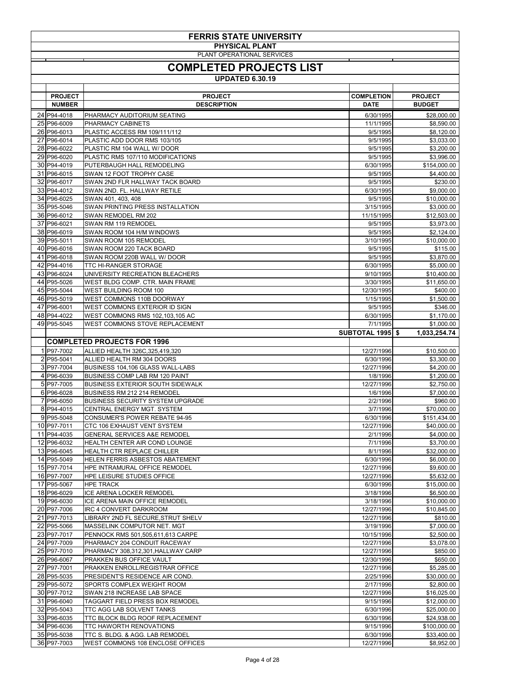|                                                     | <b>FERRIS STATE UNIVERSITY</b>                                            |                          |                              |  |
|-----------------------------------------------------|---------------------------------------------------------------------------|--------------------------|------------------------------|--|
| <b>PHYSICAL PLANT</b><br>PLANT OPERATIONAL SERVICES |                                                                           |                          |                              |  |
|                                                     |                                                                           |                          |                              |  |
|                                                     | <b>COMPLETED PROJECTS LIST</b><br><b>UPDATED 6.30.19</b>                  |                          |                              |  |
|                                                     |                                                                           |                          |                              |  |
| <b>PROJECT</b>                                      | <b>PROJECT</b>                                                            | <b>COMPLETION</b>        | <b>PROJECT</b>               |  |
| <b>NUMBER</b><br>24 P94-4018                        | <b>DESCRIPTION</b><br>PHARMACY AUDITORIUM SEATING                         | <b>DATE</b><br>6/30/1995 | <b>BUDGET</b><br>\$28,000.00 |  |
| 25 P96-6009                                         | PHARMACY CABINETS                                                         | 11/1/1995                | \$8,590.00                   |  |
| 26 P96-6013                                         | <b>PLASTIC ACCESS RM 109/111/112</b>                                      | 9/5/1995                 | \$8,120.00                   |  |
| 27 P96-6014<br>28 P96-6022                          | PLASTIC ADD DOOR RMS 103/105<br>PLASTIC RM 104 WALL W/ DOOR               | 9/5/1995<br>9/5/1995     | \$3,033.00<br>\$3,200.00     |  |
| 29 P96-6020                                         | PLASTIC RMS 107/110 MODIFICATIONS                                         | 9/5/1995                 | \$3,996.00                   |  |
| 30 P94-4019                                         | PUTERBAUGH HALL REMODELING                                                | 6/30/1995                | \$154,000.00                 |  |
| 31 P96-6015<br>32 P96-6017                          | <b>SWAN 12 FOOT TROPHY CASE</b><br>SWAN 2ND FLR HALLWAY TACK BOARD        | 9/5/1995<br>9/5/1995     | \$4,400.00<br>\$230.00       |  |
| 33 P94-4012                                         | SWAN 2ND. FL. HALLWAY RETILE                                              | 6/30/1995                | \$9,000.00                   |  |
| 34 P96-6025                                         | SWAN 401, 403, 408                                                        | 9/5/1995                 | \$10,000.00                  |  |
| 35 P95-5046                                         | SWAN PRINTING PRESS INSTALLATION                                          | 3/15/1995                | \$3,000.00                   |  |
| 36 P96-6012<br>37 P96-6021                          | SWAN REMODEL RM 202<br>SWAN RM 119 REMODEL                                | 11/15/1995<br>9/5/1995   | \$12,503.00<br>\$3,973.00    |  |
| 38 P96-6019                                         | SWAN ROOM 104 H/M WINDOWS                                                 | 9/5/1995                 | \$2,124.00                   |  |
| 39 P95-5011                                         | SWAN ROOM 105 REMODEL                                                     | 3/10/1995                | \$10,000.00                  |  |
| 40 P96-6016<br>41 P96-6018                          | SWAN ROOM 220 TACK BOARD<br>SWAN ROOM 220B WALL W/ DOOR                   | 9/5/1995<br>9/5/1995     | \$115.00<br>\$3,870.00       |  |
| 42 P94-4016                                         | TTC HI-RANGER STORAGE                                                     | 6/30/1995                | \$5,000.00                   |  |
| 43 P96-6024                                         | UNIVERSITY RECREATION BLEACHERS                                           | 9/10/1995                | \$10,400.00                  |  |
| 44 P95-5026                                         | WEST BLDG COMP. CTR. MAIN FRAME                                           | 3/30/1995                | \$11,650.00                  |  |
| 45 P95-5044<br>46 P95-5019                          | WEST BUILDING ROOM 100<br>WEST COMMONS 110B DOORWAY                       | 12/30/1995<br>1/15/1995  | \$400.00<br>\$1,500.00       |  |
| 47 P96-6001                                         | WEST COMMONS EXTERIOR ID SIGN                                             | 9/5/1995                 | \$346.00                     |  |
| 48 P94-4022                                         | WEST COMMONS RMS 102,103,105 AC                                           | 6/30/1995                | \$1,170.00                   |  |
| 49 P95-5045                                         | WEST COMMONS STOVE REPLACEMENT                                            | 7/1/1995                 | \$1,000.00                   |  |
|                                                     | <b>COMPLETED PROJECTS FOR 1996</b>                                        | <b>SUBTOTAL 1995 \$</b>  | 1,033,254.74                 |  |
| 1 P97-7002                                          | ALLIED HEALTH 326C, 325, 419, 320                                         | 12/27/1996               | \$10,500.00                  |  |
| 2 P95-5041                                          | ALLIED HEALTH RM 304 DOORS                                                | 6/30/1996                | \$3,300.00                   |  |
| 3 P97-7004<br>4 P96-6039                            | BUSINESS 104,106 GLASS WALL-LABS<br><b>BUSINESS COMP LAB RM 120 PAINT</b> | 12/27/1996<br>1/8/1996   | \$4,200.00                   |  |
| 5 P97-7005                                          | <b>BUSINESS EXTERIOR SOUTH SIDEWALK</b>                                   | 12/27/1996               | \$1,200.00<br>\$2,750.00     |  |
| 6 P96-6028                                          | BUSINESS RM 212 214 REMODEL                                               | 1/6/1996                 | \$7,000.00                   |  |
| 7 P96-6050                                          | <b>BUSINESS SECURITY SYSTEM UPGRADE</b>                                   | 2/2/1996                 | \$960.00                     |  |
| 8 P94-4015<br>9 P95-5048                            | CENTRAL ENERGY MGT. SYSTEM<br><b>CONSUMER'S POWER REBATE 94-95</b>        | 3/7/1996<br>6/30/1996    | \$70,000.00<br>\$151,434.00  |  |
| 10 P97-7011                                         | CTC 106 EXHAUST VENT SYSTEM                                               | 12/27/1996               | \$40,000.00                  |  |
| 11 P94-4035                                         | <b>GENERAL SERVICES A&amp;E REMODEL</b>                                   | 2/1/1996                 | \$4,000.00                   |  |
| 12 P96-6032                                         | HEALTH CENTER AIR COND LOUNGE                                             | 7/1/1996                 | \$3,700.00                   |  |
| 13 P96-6045<br>14 P95-5049                          | HEALTH CTR REPLACE CHILLER<br>HELEN FERRIS ASBESTOS ABATEMENT             | 8/1/1996<br>6/30/1996    | \$32,000.00<br>\$6,000.00    |  |
| 15 P97-7014                                         | HPE INTRAMURAL OFFICE REMODEL                                             | 12/27/1996               | \$9,600.00                   |  |
| 16 P97-7007                                         | HPE LEISURE STUDIES OFFICE                                                | 12/27/1996               | \$5,632.00                   |  |
| 17 P95-5067<br>18 P96-6029                          | <b>HPE TRACK</b><br>ICE ARENA LOCKER REMODEL                              | 6/30/1996<br>3/18/1996   | \$15,000.00<br>\$6,500.00    |  |
| 19 P96-6030                                         | ICE ARENA MAIN OFFICE REMODEL                                             | 3/18/1996                | \$10,000.00                  |  |
| 20 P97-7006                                         | <b>IRC 4 CONVERT DARKROOM</b>                                             | 12/27/1996               | \$10,845.00                  |  |
| 21 P97-7013                                         | LIBRARY 2ND FL SECURE, STRUT SHELV                                        | 12/27/1996               | \$810.00                     |  |
| 22 P95-5066<br>23 P97-7017                          | MASSELINK COMPUTOR NET. MGT<br>PENNOCK RMS 501,505,611,613 CARPE          | 3/19/1996<br>10/15/1996  | \$7,000.00<br>\$2,500.00     |  |
| 24 P97-7009                                         | PHARMACY 204 CONDUIT RACEWAY                                              | 12/27/1996               | \$3,078.00                   |  |
| 25 P97-7010                                         | PHARMACY 308,312,301, HALLWAY CARP                                        | 12/27/1996               | \$850.00                     |  |
| 26 P96-6067<br>27 P97-7001                          | PRAKKEN BUS OFFICE VAULT<br>PRAKKEN ENROLL/REGISTRAR OFFICE               | 12/30/1996               | \$650.00                     |  |
| 28 P95-5035                                         | PRESIDENT'S RESIDENCE AIR COND.                                           | 12/27/1996<br>2/25/1996  | \$5,285.00<br>\$30,000.00    |  |
| 29 P95-5072                                         | SPORTS COMPLEX WEIGHT ROOM                                                | 2/17/1996                | \$2,800.00                   |  |
| 30 P97-7012                                         | SWAN 218 INCREASE LAB SPACE                                               | 12/27/1996               | \$16,025.00                  |  |
| 31 P96-6040<br>32 P95-5043                          | TAGGART FIELD PRESS BOX REMODEL<br>TTC AGG LAB SOLVENT TANKS              | 9/15/1996<br>6/30/1996   | \$12,000.00<br>\$25,000.00   |  |
| 33 P96-6035                                         | TTC BLOCK BLDG ROOF REPLACEMENT                                           | 6/30/1996                | \$24,938.00                  |  |
| 34 P96-6036                                         | <b>TTC HAWORTH RENOVATIONS</b>                                            | 9/15/1996                | \$100,000.00                 |  |
| 35 P95-5038                                         | TTC S. BLDG. & AGG. LAB REMODEL                                           | 6/30/1996                | \$33,400.00                  |  |
| 36 P97-7003                                         | WEST COMMONS 108 ENCLOSE OFFICES                                          | 12/27/1996               | \$8,952.00                   |  |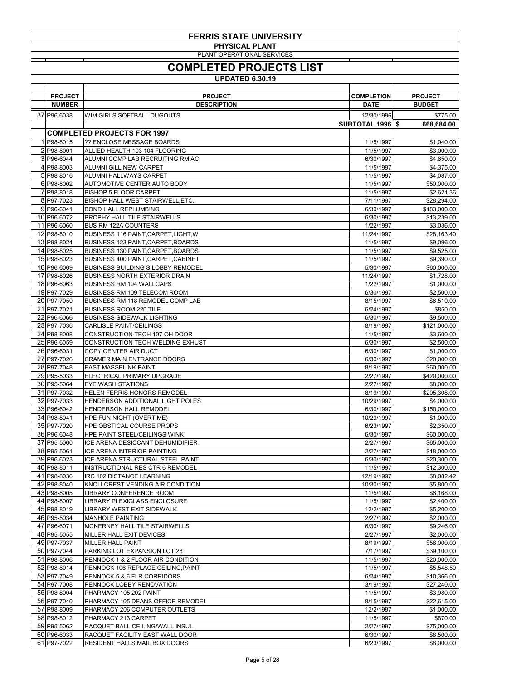|                                                     | <b>FERRIS STATE UNIVERSITY</b>                                                    |                                  |                                 |  |
|-----------------------------------------------------|-----------------------------------------------------------------------------------|----------------------------------|---------------------------------|--|
| <b>PHYSICAL PLANT</b><br>PLANT OPERATIONAL SERVICES |                                                                                   |                                  |                                 |  |
| <b>COMPLETED PROJECTS LIST</b>                      |                                                                                   |                                  |                                 |  |
|                                                     | <b>UPDATED 6.30.19</b>                                                            |                                  |                                 |  |
|                                                     |                                                                                   |                                  |                                 |  |
| <b>PROJECT</b><br><b>NUMBER</b>                     | <b>PROJECT</b><br><b>DESCRIPTION</b>                                              | <b>COMPLETION</b><br><b>DATE</b> | <b>PROJECT</b><br><b>BUDGET</b> |  |
| 37 P96-6038                                         | WIM GIRLS SOFTBALL DUGOUTS                                                        | 12/30/1996                       | \$775.00                        |  |
|                                                     |                                                                                   | <b>SUBTOTAL 1996 \$</b>          | 668,684.00                      |  |
|                                                     | <b>COMPLETED PROJECTS FOR 1997</b>                                                |                                  |                                 |  |
| 1 P98-8015<br>2 P98-8001                            | ?? ENCLOSE MESSAGE BOARDS<br>ALLIED HEALTH 103 104 FLOORING                       | 11/5/1997<br>11/5/1997           | \$1,040.00<br>\$3,000.00        |  |
| 3 P96-6044                                          | ALUMNI COMP LAB RECRUITING RM AC                                                  | 6/30/1997                        | \$4,650.00                      |  |
| 4 P98-8003<br>5 P98-8016                            | <b>ALUMNI GILL NEW CARPET</b><br>ALUMNI HALLWAYS CARPET                           | 11/5/1997<br>11/5/1997           | \$4,375.00<br>\$4,087.00        |  |
| 6 P98-8002                                          | <b>AUTOMOTIVE CENTER AUTO BODY</b>                                                | 11/5/1997                        | \$50,000.00                     |  |
| 7 P98-8018                                          | <b>BISHOP 5 FLOOR CARPET</b>                                                      | 11/5/1997                        | \$2,621.36                      |  |
| 8 P97-7023<br>9 P96-6041                            | <b>BISHOP HALL WEST STAIRWELL, ETC.</b><br><b>BOND HALL REPLUMBING</b>            | 7/11/1997<br>6/30/1997           | \$28,294.00<br>\$183,000.00     |  |
| 10 P96-6072                                         | <b>BROPHY HALL TILE STAIRWELLS</b>                                                | 6/30/1997                        | \$13,239.00                     |  |
| 11 P96-6060                                         | <b>BUS RM 122A COUNTERS</b>                                                       | 1/22/1997                        | \$3,036.00                      |  |
| 12 P98-8010<br>13 P98-8024                          | BUSINESS 116 PAINT, CARPET, LIGHT, W<br><b>BUSINESS 123 PAINT, CARPET, BOARDS</b> | 11/24/1997<br>11/5/1997          | \$28,163.40<br>\$9,096.00       |  |
| 14 P98-8025                                         | <b>BUSINESS 130 PAINT, CARPET, BOARDS</b>                                         | 11/5/1997                        | \$9,525.00                      |  |
| 15 P98-8023                                         | BUSINESS 400 PAINT, CARPET, CABINET                                               | 11/5/1997                        | \$9,390.00                      |  |
| 16 P96-6069<br>17 P98-8026                          | <b>BUSINESS BUILDING S LOBBY REMODEL</b><br><b>BUSINESS NORTH EXTERIOR DRAIN</b>  | 5/30/1997<br>11/24/1997          | \$60,000.00<br>\$1,728.00       |  |
| 18 P96-6063                                         | <b>BUSINESS RM 104 WALLCAPS</b>                                                   | 1/22/1997                        | \$1,000.00                      |  |
| 19 P97-7029                                         | <b>BUSINESS RM 109 TELECOM ROOM</b>                                               | 6/30/1997                        | \$2,500.00                      |  |
| 20 P97-7050<br>21 P97-7021                          | <b>BUSINESS RM 118 REMODEL COMP LAB</b><br><b>BUSINESS ROOM 220 TILE</b>          | 8/15/1997<br>6/24/1997           | \$6,510.00<br>\$850.00          |  |
| 22 P96-6066                                         | <b>BUSINESS SIDEWALK LIGHTING</b>                                                 | 6/30/1997                        | \$9,500.00                      |  |
| 23 P97-7036                                         | <b>CARLISLE PAINT/CEILINGS</b>                                                    | 8/19/1997                        | \$121,000.00                    |  |
| 24 P98-8008<br>25 P96-6059                          | CONSTRUCTION TECH 107 OH DOOR<br>CONSTRUCTION TECH WELDING EXHUST                 | 11/5/1997<br>6/30/1997           | \$3,600.00<br>\$2,500.00        |  |
| 26 P96-6031                                         | COPY CENTER AIR DUCT                                                              | 6/30/1997                        | \$1,000.00                      |  |
| 27 P97-7026                                         | CRAMER MAIN ENTRANCE DOORS                                                        | 6/30/1997                        | \$20,000.00                     |  |
| 28 P97-7048<br>29 P95-5033                          | <b>EAST MASSELINK PAINT</b><br>ELECTRICAL PRIMARY UPGRADE                         | 8/19/1997<br>2/27/1997           | \$60,000.00<br>\$420,000.00     |  |
| 30 P95-5064                                         | <b>EYE WASH STATIONS</b>                                                          | 2/27/1997                        | \$8,000.00                      |  |
| 31 P97-7032<br>32 P97-7033                          | HELEN FERRIS HONORS REMODEL<br>HENDERSON ADDITIONAL LIGHT POLES                   | 8/19/1997<br>10/29/1997          | \$205,308.00<br>\$4,000.00      |  |
| 33 P96-6042                                         | <b>HENDERSON HALL REMODEL</b>                                                     | 6/30/1997                        | \$150,000.00                    |  |
| 34 P98-8041                                         | HPE FUN NIGHT (OVERTIME)                                                          | 10/29/1997                       | \$1,000.00                      |  |
| 35 P97-7020<br>36 P96-6048                          | HPE OBSTICAL COURSE PROPS<br><b>HPE PAINT STEEL/CEILINGS WINK</b>                 | 6/23/1997<br>6/30/1997           | \$2,350.00<br>\$60,000.00       |  |
| 37 P95-5060                                         | ICE ARENA DESICCANT DEHUMIDIFIER                                                  | 2/27/1997                        | \$65,000.00                     |  |
| 38 P95-5061                                         | ICE ARENA INTERIOR PAINTING                                                       | 2/27/1997                        | \$18,000.00                     |  |
| 39 P96-6023<br>40 P98-8011                          | ICE ARENA STRUCTURAL STEEL PAINT<br><b>INSTRUCTIONAL RES CTR 6 REMODEL</b>        | 6/30/1997<br>11/5/1997           | \$20,300.00<br>\$12,300.00      |  |
| 41 P98-8036                                         | IRC 102 DISTANCE LEARNING                                                         | 12/19/1997                       | \$8,082.42                      |  |
| 42 P98-8040                                         | KNOLLCREST VENDING AIR CONDITION                                                  | 10/30/1997                       | \$5,800.00                      |  |
| 43 P98-8005<br>44 P98-8007                          | LIBRARY CONFERENCE ROOM<br>LIBRARY PLEXIGLASS ENCLOSURE                           | 11/5/1997<br>11/5/1997           | \$6,168.00<br>\$2,400.00        |  |
| 45 P98-8019                                         | LIBRARY WEST EXIT SIDEWALK                                                        | 12/2/1997                        | \$5,200.00                      |  |
| 46 P95-5034                                         | <b>MANHOLE PAINTING</b>                                                           | 2/27/1997                        | \$2,000.00                      |  |
| 47 P96-6071<br>48 P95-5055                          | MCNERNEY HALL TILE STAIRWELLS<br>MILLER HALL EXIT DEVICES                         | 6/30/1997<br>2/27/1997           | \$9,246.00<br>\$2,000.00        |  |
| 49 P97-7037                                         | <b>MILLER HALL PAINT</b>                                                          | 8/19/1997                        | \$58,000.00                     |  |
| 50 P97-7044                                         | PARKING LOT EXPANSION LOT 28                                                      | 7/17/1997                        | \$39,100.00                     |  |
| 51 P98-8006<br>52 P98-8014                          | PENNOCK 1 & 2 FLOOR AIR CONDITION<br>PENNOCK 106 REPLACE CEILING, PAINT           | 11/5/1997<br>11/5/1997           | \$20,000.00<br>\$5,548.50       |  |
| 53 P97-7049                                         | PENNOCK 5 & 6 FLR CORRIDORS                                                       | 6/24/1997                        | \$10,366.00                     |  |
| 54 P97-7008                                         | PENNOCK LOBBY RENOVATION                                                          | 3/19/1997                        | \$27,240.00                     |  |
| 55 P98-8004<br>56 P97-7040                          | PHARMACY 105 202 PAINT<br>PHARMACY 105 DEANS OFFICE REMODEL                       | 11/5/1997<br>8/15/1997           | \$3,980.00<br>\$22,615.00       |  |
| 57 P98-8009                                         | PHARMACY 206 COMPUTER OUTLETS                                                     | 12/2/1997                        | \$1,000.00                      |  |
| 58 P98-8012<br>59 P95-5062                          | PHARMACY 213 CARPET<br>RACQUET BALL CEILING/WALL INSUL.                           | 11/5/1997<br>2/27/1997           | \$870.00                        |  |
| 60 P96-6033                                         | <b>RACQUET FACILITY EAST WALL DOOR</b>                                            | 6/30/1997                        | \$75,000.00<br>\$8,500.00       |  |
| 61 P97-7022                                         | <b>RESIDENT HALLS MAIL BOX DOORS</b>                                              | 6/23/1997                        | \$8,000.00                      |  |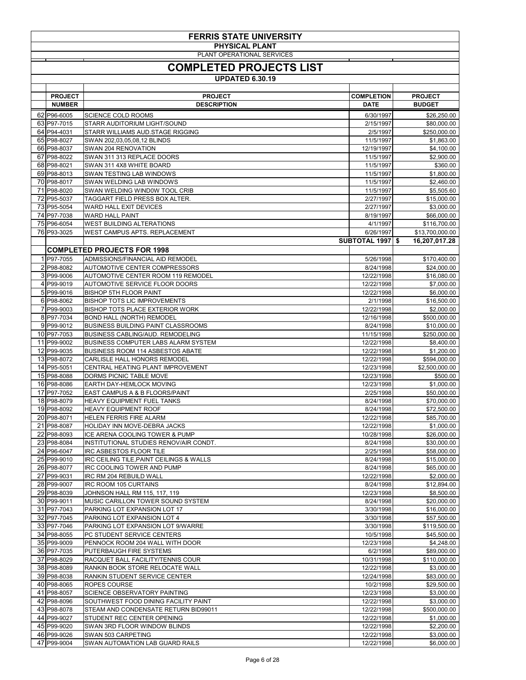| <b>FERRIS STATE UNIVERSITY</b> |                                                                            |                        |                            |  |  |
|--------------------------------|----------------------------------------------------------------------------|------------------------|----------------------------|--|--|
|                                | <b>PHYSICAL PLANT</b>                                                      |                        |                            |  |  |
|                                | PLANT OPERATIONAL SERVICES                                                 |                        |                            |  |  |
|                                | <b>COMPLETED PROJECTS LIST</b>                                             |                        |                            |  |  |
|                                |                                                                            |                        |                            |  |  |
|                                | <b>UPDATED 6.30.19</b>                                                     |                        |                            |  |  |
| <b>PROJECT</b>                 | <b>PROJECT</b>                                                             | <b>COMPLETION</b>      | <b>PROJECT</b>             |  |  |
| <b>NUMBER</b>                  | <b>DESCRIPTION</b>                                                         | <b>DATE</b>            | <b>BUDGET</b>              |  |  |
| 62 P96-6005                    | <b>SCIENCE COLD ROOMS</b>                                                  | 6/30/1997              | \$26,250.00                |  |  |
| 63 P97-7015                    | STARR AUDITORIUM LIGHT/SOUND                                               | 2/15/1997              | \$80,000.00                |  |  |
| 64 P94-4031                    | STARR WILLIAMS AUD.STAGE RIGGING                                           | 2/5/1997               | \$250,000.00               |  |  |
| 65 P98-8027                    | SWAN 202,03,05,08,12 BLINDS                                                | 11/5/1997              | \$1,863.00                 |  |  |
| 66 P98-8037                    | SWAN 204 RENOVATION                                                        | 12/19/1997             | \$4,100.00                 |  |  |
| 67 P98-8022                    | SWAN 311 313 REPLACE DOORS                                                 | 11/5/1997              | \$2,900.00                 |  |  |
| 68 P98-8021                    | SWAN 311 4X8 WHITE BOARD                                                   | 11/5/1997              | \$360.00                   |  |  |
| 69 P98-8013                    | <b>SWAN TESTING LAB WINDOWS</b>                                            | 11/5/1997              | \$1,800.00                 |  |  |
| 70 P98-8017                    | SWAN WELDING LAB WINDOWS<br>SWAN WELDING WINDOW TOOL CRIB                  | 11/5/1997              | \$2,460.00                 |  |  |
| 71 P98-8020<br>72 P95-5037     | TAGGART FIELD PRESS BOX ALTER.                                             | 11/5/1997<br>2/27/1997 | \$5,505.60<br>\$15,000.00  |  |  |
| 73 P95-5054                    | <b>WARD HALL EXIT DEVICES</b>                                              | 2/27/1997              | \$3,000.00                 |  |  |
| 74 P97-7038                    | <b>WARD HALL PAINT</b>                                                     | 8/19/1997              | \$66,000.00                |  |  |
| 75 P96-6054                    | <b>WEST BUILDING ALTERATIONS</b>                                           | 4/1/1997               | \$116,700.00               |  |  |
| 76 P93-3025                    | WEST CAMPUS APTS. REPLACEMENT                                              | 6/26/1997              | \$13,700,000.00            |  |  |
|                                |                                                                            | SUBTOTAL 1997 \$       | 16,207,017.28              |  |  |
|                                | <b>COMPLETED PROJECTS FOR 1998</b>                                         |                        |                            |  |  |
| 1 P97-7055                     | ADMISSIONS/FINANCIAL AID REMODEL                                           | 5/26/1998              | \$170,400.00               |  |  |
| 2 P98-8082                     | <b>AUTOMOTIVE CENTER COMPRESSORS</b>                                       | 8/24/1998              | \$24,000.00                |  |  |
| 3 P99-9006                     | <b>AUTOMOTIVE CENTER ROOM 119 REMODEL</b>                                  | 12/22/1998             | \$16,080.00                |  |  |
| 4 P99-9019                     | AUTOMOTIVE SERVICE FLOOR DOORS                                             | 12/22/1998             | \$7,000.00                 |  |  |
| 5 P99-9016                     | <b>BISHOP 5TH FLOOR PAINT</b>                                              | 12/22/1998             | \$6,000.00                 |  |  |
| 6 P98-8062<br>7 P99-9003       | <b>BISHOP TOTS LIC IMPROVEMENTS</b>                                        | 2/1/1998<br>12/22/1998 | \$16,500.00                |  |  |
| 8 P97-7034                     | <b>BISHOP TOTS PLACE EXTERIOR WORK</b><br><b>BOND HALL (NORTH) REMODEL</b> | 12/16/1998             | \$2,000.00<br>\$500,000.00 |  |  |
| 9 P99-9012                     | <b>BUSINESS BUILDING PAINT CLASSROOMS</b>                                  | 8/24/1998              | \$10,000.00                |  |  |
| 10 P97-7053                    | <b>BUSINESS CABLING/AUD. REMODELING</b>                                    | 11/15/1998             | \$250,000.00               |  |  |
| 11 P99-9002                    | <b>BUSINESS COMPUTER LABS ALARM SYSTEM</b>                                 | 12/22/1998             | \$8,400.00                 |  |  |
| 12 P99-9035                    | <b>BUSINESS ROOM 114 ASBESTOS ABATE</b>                                    | 12/22/1998             | \$1,200.00                 |  |  |
| 13 P98-8072                    | CARLISLE HALL HONORS REMODEL                                               | 12/22/1998             | \$594,000.00               |  |  |
| 14 P95-5051                    | CENTRAL HEATING PLANT IMPROVEMENT                                          | 12/23/1998             | \$2,500,000.00             |  |  |
| 15 P98-8088                    | DORMS PICNIC TABLE MOVE                                                    | 12/23/1998             | \$500.00                   |  |  |
| 16 P98-8086                    | EARTH DAY-HEMLOCK MOVING                                                   | 12/23/1998             | \$1,000.00                 |  |  |
| 17 P97-7052                    | EAST CAMPUS A & B FLOORS/PAINT                                             | 2/25/1998              | \$50,000.00                |  |  |
| 18 P98-8079<br>19 P98-8092     | <b>HEAVY EQUIPMENT FUEL TANKS</b><br><b>HEAVY EQUIPMENT ROOF</b>           | 8/24/1998<br>8/24/1998 | \$70,000.00<br>\$72,500.00 |  |  |
| 20 P98-8071                    | HELEN FERRIS FIRE ALARM                                                    | 12/22/1998             | \$85,700.00                |  |  |
| 21 P98-8087                    | HOLIDAY INN MOVE-DEBRA JACKS                                               | 12/22/1998             | \$1,000.00                 |  |  |
| 22 P98-8093                    | ICE ARENA COOLING TOWER & PUMP                                             | 10/28/1998             | \$26,000.00                |  |  |
| 23 P98-8084                    | INSTITUTIONAL STUDIES RENOV/AIR CONDT.                                     | 8/24/1998              | \$30,000.00                |  |  |
| 24 P96-6047                    | <b>IRC ASBESTOS FLOOR TILE</b>                                             | 2/25/1998              | \$58,000.00                |  |  |
| 25 P99-9010                    | IRC CEILING TILE, PAINT CEILINGS & WALLS                                   | 8/24/1998              | \$15,000.00                |  |  |
| 26 P98-8077                    | IRC COOLING TOWER AND PUMP                                                 | 8/24/1998              | \$65,000.00                |  |  |
| 27 P99-9031                    | IRC RM 204 REBUILD WALL                                                    | 12/22/1998             | \$2,000.00                 |  |  |
| 28 P99-9007                    | IRC ROOM 105 CURTAINS                                                      | 8/24/1998              | \$12,894.00                |  |  |
| 29 P98-8039                    | <b>JOHNSON HALL RM 115, 117, 119</b>                                       | 12/23/1998             | \$8,500.00                 |  |  |
| 30 P99-9011<br>31 P97-7043     | MUSIC CARILLON TOWER SOUND SYSTEM                                          | 8/24/1998              | \$20,000.00                |  |  |
| 32 P97-7045                    | PARKING LOT EXPANSION LOT 17<br>PARKING LOT EXPANSION LOT 4                | 3/30/1998<br>3/30/1998 | \$16,000.00<br>\$57,500.00 |  |  |
| 33 P97-7046                    | PARKING LOT EXPANSION LOT 9/WARRE                                          | 3/30/1998              | \$119,500.00               |  |  |
| 34 P98-8055                    | PC STUDENT SERVICE CENTERS                                                 | 10/5/1998              | \$45,500.00                |  |  |

| 35 P99-9009 | PENNOCK ROOM 204 WALL WITH DOOR          | 12/23/1998 | \$4,248.00   |
|-------------|------------------------------------------|------------|--------------|
| 36 P97-7035 | PUTERBAUGH FIRE SYSTEMS                  | 6/2/1998   | \$89,000.00  |
| 37 P98-8029 | <b>RACQUET BALL FACILITY/TENNIS COUR</b> | 10/31/1998 | \$110,000.00 |
| 38 P98-8089 | RANKIN BOOK STORE RELOCATE WALL          | 12/22/1998 | \$3,000.00   |
| 39 P98-8038 | RANKIN STUDENT SERVICE CENTER            | 12/24/1998 | \$83,000.00  |
| 40 P98-8065 | ROPES COURSE                             | 10/2/1998  | \$29,500.00  |
| 41 P98-8057 | <b>SCIENCE OBSERVATORY PAINTING</b>      | 12/23/1998 | \$3,000.00   |
| 42 P98-8096 | SOUTHWEST FOOD DINING FACILITY PAINT     | 12/22/1998 | \$3,000.00   |
| 43 P98-8078 | STEAM AND CONDENSATE RETURN BID99011     | 12/22/1998 | \$500,000.00 |
| 44 P99-9027 | STUDENT REC CENTER OPENING               | 12/22/1998 | \$1,000.00   |
| 45 P99-9020 | <b>SWAN 3RD FLOOR WINDOW BLINDS</b>      | 12/22/1998 | \$2,200.00   |
| 46 P99-9026 | <b>SWAN 503 CARPETING</b>                | 12/22/1998 | \$3,000.00   |
| 47 P99-9004 | SWAN AUTOMATION LAB GUARD RAILS          | 12/22/1998 | \$6,000.00   |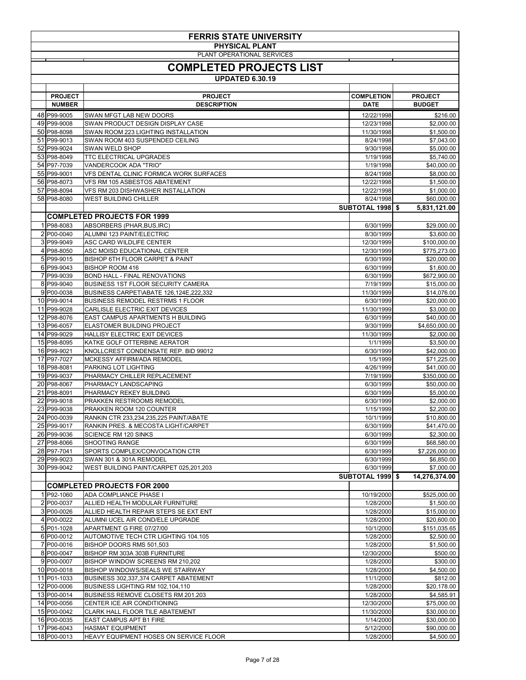|                                 | <b>FERRIS STATE UNIVERSITY</b><br><b>PHYSICAL PLANT</b>                    |                                      |                                 |  |  |
|---------------------------------|----------------------------------------------------------------------------|--------------------------------------|---------------------------------|--|--|
| PLANT OPERATIONAL SERVICES      |                                                                            |                                      |                                 |  |  |
| <b>COMPLETED PROJECTS LIST</b>  |                                                                            |                                      |                                 |  |  |
| <b>UPDATED 6.30.19</b>          |                                                                            |                                      |                                 |  |  |
|                                 |                                                                            |                                      |                                 |  |  |
| <b>PROJECT</b><br><b>NUMBER</b> | <b>PROJECT</b><br><b>DESCRIPTION</b>                                       | <b>COMPLETION</b><br><b>DATE</b>     | <b>PROJECT</b><br><b>BUDGET</b> |  |  |
| 48 P99-9005                     | SWAN MFGT LAB NEW DOORS                                                    | 12/22/1998                           | \$216.00                        |  |  |
| 49 P99-9008                     | SWAN PRODUCT DESIGN DISPLAY CASE                                           | 12/23/1998                           | \$2,000.00                      |  |  |
| 50 P98-8098<br>51 P99-9013      | SWAN ROOM 223 LIGHTING INSTALLATION<br>SWAN ROOM 403 SUSPENDED CEILING     | 11/30/1998<br>8/24/1998              | \$1,500.00<br>\$7,043.00        |  |  |
| 52 P99-9024                     | <b>SWAN WELD SHOP</b>                                                      | 9/30/1998                            | \$5,000.00                      |  |  |
| 53 P98-8049                     | <b>TTC ELECTRICAL UPGRADES</b>                                             | 1/19/1998                            | \$5,740.00                      |  |  |
| 54 P97-7039<br>55 P99-9001      | <b>VANDERCOOK ADA "TRIO"</b><br>VFS DENTAL CLINIC FORMICA WORK SURFACES    | 1/19/1998<br>8/24/1998               | \$40,000.00<br>\$8,000.00       |  |  |
| 56 P98-8073                     | VFS RM 105 ASBESTOS ABATEMENT                                              | 12/22/1998                           | \$1,500.00                      |  |  |
| 57 P98-8094                     | VFS RM 203 DISHWASHER INSTALLATION                                         | 12/22/1998                           | \$1,000.00                      |  |  |
| 58 P98-8080                     | <b>WEST BUILDING CHILLER</b>                                               | 8/24/1998<br><b>SUBTOTAL 1998 \$</b> | \$60,000.00                     |  |  |
|                                 | <b>COMPLETED PROJECTS FOR 1999</b>                                         |                                      | 5,831,121.00                    |  |  |
| 1 P98-8083                      | ABSORBERS (PHAR, BUS, IRC)                                                 | 6/30/1999                            | \$29,000.00                     |  |  |
| 2 P00-0040                      | ALUMNI 123 PAINT/ELECTRIC                                                  | 8/30/1999                            | \$3,600.00                      |  |  |
| 3 P99-9049<br>4 P98-8050        | ASC CARD WILDLIFE CENTER<br>ASC MOISD EDUCATIONAL CENTER                   | 12/30/1999<br>12/30/1999             | \$100,000.00<br>\$775,273.00    |  |  |
| 5 P99-9015                      | <b>BISHOP 6TH FLOOR CARPET &amp; PAINT</b>                                 | 6/30/1999                            | \$20,000.00                     |  |  |
| 6 P99-9043                      | <b>BISHOP ROOM 416</b>                                                     | 6/30/1999                            | \$1,600.00                      |  |  |
| 7 P99-9039<br>8 P99-9040        | <b>BOND HALL - FINAL RENOVATIONS</b><br>BUSINESS 1ST FLOOR SECURITY CAMERA | 6/30/1999<br>7/19/1999               | \$672,900.00<br>\$15,000.00     |  |  |
| 9 P00-0038                      | BUSINESS CARPET\ABATE 126,124E,222,332                                     | 11/30/1999                           | \$14,076.00                     |  |  |
| 10 P99-9014                     | <b>BUSINESS REMODEL RESTRMS 1 FLOOR</b>                                    | 6/30/1999                            | \$20,000.00                     |  |  |
| 11 P99-9028<br>12 P98-8076      | CARLISLE ELECTRIC EXIT DEVICES<br>EAST CAMPUS APARTMENTS H BUILDING        | 11/30/1999<br>6/30/1999              | \$3,000.00<br>\$40,000.00       |  |  |
| 13 P96-6057                     | <b>ELASTOMER BUILDING PROJECT</b>                                          | 9/30/1999                            | \$4,650,000.00                  |  |  |
| 14 P99-9029                     | <b>HALLISY ELECTRIC EXIT DEVICES</b>                                       | 11/30/1999                           | \$2,000.00                      |  |  |
| 15 P98-8095<br>16 P99-9021      | KATKE GOLF OTTERBINE AERATOR<br>KNOLLCREST CONDENSATE REP. BID 99012       | 1/1/1999<br>6/30/1999                | \$3,500.00<br>\$42,000.00       |  |  |
| 17 P97-7027                     | MCKESSY AFFIRM/ADA REMODEL                                                 | 1/5/1999                             | \$71,225.00                     |  |  |
| 18 P98-8081                     | PARKING LOT LIGHTING                                                       | 4/26/1999                            | \$41,000.00                     |  |  |
| 19 P99-9037<br>20 P98-8067      | PHARMACY CHILLER REPLACEMENT<br>PHARMACY LANDSCAPING                       | 7/19/1999<br>6/30/1999               | \$350,000.00<br>\$50,000.00     |  |  |
| 21 P98-8091                     | PHARMACY REKEY BUILDING                                                    | 6/30/1999                            | \$5,000.00                      |  |  |
| 22 P99-9018                     | PRAKKEN RESTROOMS REMODEL                                                  | 6/30/1999                            | \$2,000.00                      |  |  |
| 23 P99-9038<br>24 P00-0039      | PRAKKEN ROOM 120 COUNTER<br>RANKIN CTR 233,234,235,225 PAINT/ABATE         | 1/15/1999<br>10/1/1999               | \$2,200.00<br>\$10,800.00       |  |  |
| 25 P99-9017                     | RANKIN PRES. & MECOSTA LIGHT/CARPET                                        | 6/30/1999                            | \$41,470.00                     |  |  |
| 26 P99-9036                     | <b>SCIENCE RM 120 SINKS</b>                                                | 6/30/1999                            | \$2,300.00                      |  |  |
| 27 P98-8066<br>28 P97-7041      | <b>SHOOTING RANGE</b><br>SPORTS COMPLEX/CONVOCATION CTR                    | 6/30/1999<br>6/30/1999               | \$68,580.00<br>\$7,226,000.00   |  |  |
| 29 P99-9023                     | <b>SWAN 301 &amp; 301A REMODEL</b>                                         | 6/30/1999                            | \$6,850.00                      |  |  |
| 30 P99-9042                     | WEST BUILDING PAINT/CARPET 025,201,203                                     | 6/30/1999                            | \$7,000.00                      |  |  |
|                                 |                                                                            | <b>SUBTOTAL 1999 \$</b>              | 14,276,374.00                   |  |  |
| 1 P92-1060                      | <b>COMPLETED PROJECTS FOR 2000</b><br><b>ADA COMPLIANCE PHASE I</b>        | 10/19/2000                           | \$525,000.00                    |  |  |
| 2 P00-0037                      | ALLIED HEALTH MODULAR FURNITURE                                            | 1/28/2000                            | \$1,500.00                      |  |  |
| 3 P00-0026                      | ALLIED HEALTH REPAIR STEPS SE EXT ENT                                      | 1/28/2000                            | \$15,000.00                     |  |  |
| 4 P00-0022<br>5 P01-1028        | ALUMNI UCEL AIR COND/ELE UPGRADE<br>APARTMENT G FIRE 07/27/00              | 1/28/2000<br>10/1/2000               | \$20,600.00<br>\$151,035.65     |  |  |
| 6 P00-0012                      | <b>AUTOMOTIVE TECH CTR LIGHTING 104.105</b>                                | 1/28/2000                            | \$2,500.00                      |  |  |
| 7 P00-0016                      | BISHOP DOORS RMS 501,503                                                   | 1/28/2000                            | \$1,500.00                      |  |  |
| 8 P00-0047<br>9 P00-0007        | BISHOP RM 303A 303B FURNITURE<br>BISHOP WINDOW SCREENS RM 210,202          | 12/30/2000<br>1/28/2000              | \$500.00<br>\$300.00            |  |  |
| 10 P00-0018                     | <b>BISHOP WINDOWS/SEALS WE STAIRWAY</b>                                    | 1/28/2000                            | \$4,500.00                      |  |  |
| 11 P01-1033                     | BUSINESS 302,337,374 CARPET ABATEMENT                                      | 11/1/2000                            | \$812.00                        |  |  |
| 12 P00-0006<br>13 P00-0014      | BUSINESS LIGHTING RM 102,104,110<br>BUSINESS REMOVE CLOSETS RM 201.203     | 1/28/2000<br>1/28/2000               | \$20,178.00<br>\$4,585.91       |  |  |
| 14 P00-0056                     | CENTER ICE AIR CONDITIONING                                                | 12/30/2000                           | \$75,000.00                     |  |  |
| 15 P00-0042                     | CLARK HALL FLOOR TILE ABATEMENT                                            | 11/30/2000                           | \$30,000.00                     |  |  |
| 16 P00-0035<br>17 P96-6043      | <b>EAST CAMPUS APT B1 FIRE</b><br><b>HASMAT EQUIPMENT</b>                  | 1/14/2000<br>5/12/2000               | \$30,000.00<br>\$90,000.00      |  |  |
| 18 P00-0013                     | HEAVY EQUIPMENT HOSES ON SERVICE FLOOR                                     | 1/28/2000                            | \$4,500.00                      |  |  |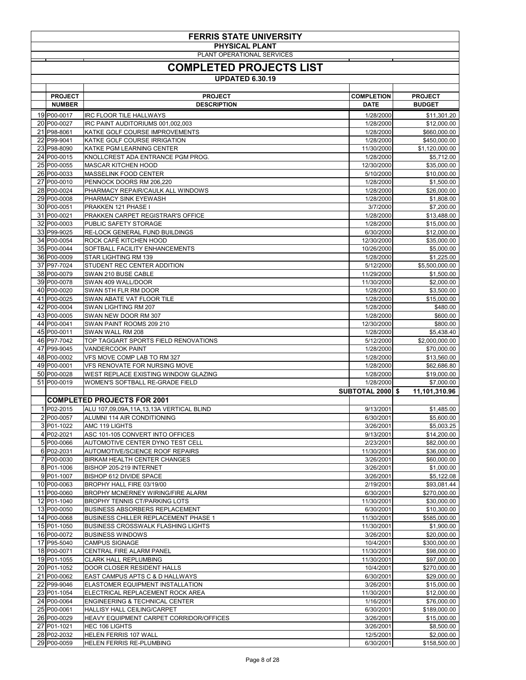| <b>FERRIS STATE UNIVERSITY</b> |                                                                                       |                         |                              |  |
|--------------------------------|---------------------------------------------------------------------------------------|-------------------------|------------------------------|--|
|                                | <b>PHYSICAL PLANT</b><br>PLANT OPERATIONAL SERVICES                                   |                         |                              |  |
| <b>COMPLETED PROJECTS LIST</b> |                                                                                       |                         |                              |  |
| <b>UPDATED 6.30.19</b>         |                                                                                       |                         |                              |  |
| <b>PROJECT</b>                 | <b>PROJECT</b>                                                                        | <b>COMPLETION</b>       | <b>PROJECT</b>               |  |
| <b>NUMBER</b>                  | <b>DESCRIPTION</b>                                                                    | <b>DATE</b>             | <b>BUDGET</b>                |  |
| 19 P00-0017                    | <b>IRC FLOOR TILE HALLWAYS</b>                                                        | 1/28/2000               | \$11,301.20                  |  |
| 20 P00-0027                    | IRC PAINT AUDITORIUMS 001,002,003                                                     | 1/28/2000               | \$12,000.00                  |  |
| 21 P98-8061<br>22 P99-9041     | KATKE GOLF COURSE IMPROVEMENTS<br>KATKE GOLF COURSE IRRIGATION                        | 1/28/2000<br>1/28/2000  | \$660,000.00<br>\$450,000.00 |  |
| 23 P98-8090                    | KATKE PGM LEARNING CENTER                                                             | 11/30/2000              | \$1,120,000.00               |  |
| 24 P00-0015                    | KNOLLCREST ADA ENTRANCE PGM PROG.                                                     | 1/28/2000               | \$5,712.00                   |  |
| 25 P00-0055<br>26 P00-0033     | <b>MASCAR KITCHEN HOOD</b><br><b>MASSELINK FOOD CENTER</b>                            | 12/30/2000<br>5/10/2000 | \$35,000.00<br>\$10,000.00   |  |
| 27 P00-0010                    | PENNOCK DOORS RM 206,220                                                              | 1/28/2000               | \$1,500.00                   |  |
| 28 P00-0024                    | PHARMACY REPAIR/CAULK ALL WINDOWS                                                     | 1/28/2000               | \$26,000.00                  |  |
| 29 P00-0008<br>30 P00-0051     | <b>PHARMACY SINK EYEWASH</b><br><b>PRAKKEN 121 PHASE I</b>                            | 1/28/2000<br>3/7/2000   | \$1,808.00<br>\$7,200.00     |  |
| 31 P00-0021                    | PRAKKEN CARPET REGISTRAR'S OFFICE                                                     | 1/28/2000               | \$13,488.00                  |  |
| 32 P00-0003                    | <b>PUBLIC SAFETY STORAGE</b>                                                          | 1/28/2000               | \$15,000.00                  |  |
| 33 P99-9025<br>34 P00-0054     | RE-LOCK GENERAL FUND BUILDINGS<br>ROCK CAFÉ KITCHEN HOOD                              | 6/30/2000<br>12/30/2000 | \$12,000.00<br>\$35,000.00   |  |
| 35 P00-0044                    | SOFTBALL FACILITY ENHANCEMENTS                                                        | 10/26/2000              | \$5,000.00                   |  |
| 36 P00-0009                    | <b>STAR LIGHTING RM 139</b>                                                           | 1/28/2000               | \$1,225.00                   |  |
| 37 P97-7024<br>38 P00-0079     | <b>STUDENT REC CENTER ADDITION</b><br>SWAN 210 BUSE CABLE                             | 5/12/2000<br>11/29/2000 | \$5,500,000.00<br>\$1,500.00 |  |
| 39 P00-0078                    | SWAN 409 WALL/DOOR                                                                    | 11/30/2000              | \$2,000.00                   |  |
| 40 P00-0020                    | SWAN 5TH FLR RM DOOR                                                                  | 1/28/2000               | \$3,500.00                   |  |
| 41 P00-0025<br>42 P00-0004     | SWAN ABATE VAT FLOOR TILE<br>SWAN LIGHTING RM 207                                     | 1/28/2000<br>1/28/2000  | \$15,000.00<br>\$480.00      |  |
| 43 P00-0005                    | SWAN NEW DOOR RM 307                                                                  | 1/28/2000               | \$600.00                     |  |
| 44 P00-0041                    | SWAN PAINT ROOMS 209 210                                                              | 12/30/2000              | \$800.00                     |  |
| 45 P00-0011<br>46 P97-7042     | SWAN WALL RM 208<br>TOP TAGGART SPORTS FIELD RENOVATIONS                              | 1/28/2000<br>5/12/2000  | \$5,438.40<br>\$2,000,000.00 |  |
| 47 P99-9045                    | <b>VANDERCOOK PAINT</b>                                                               | 1/28/2000               | \$70,000.00                  |  |
| 48 P00-0002                    | VFS MOVE COMP LAB TO RM 327                                                           | 1/28/2000               | \$13,560.00                  |  |
| 49 P00-0001<br>50 P00-0028     | <b>VFS RENOVATE FOR NURSING MOVE</b><br>WEST REPLACE EXISTING WINDOW GLAZING          | 1/28/2000<br>1/28/2000  | \$62,686.80<br>\$19,000.00   |  |
| 51 P00-0019                    | WOMEN'S SOFTBALL RE-GRADE FIELD                                                       | 1/28/2000               | \$7,000.00                   |  |
|                                |                                                                                       | <b>SUBTOTAL 2000</b>    | 11,101,310.96<br>\$          |  |
|                                | <b>COMPLETED PROJECTS FOR 2001</b>                                                    |                         |                              |  |
| 1 P02-2015<br>2 P00-0057       | ALU 107,09,09A,11A,13,13A VERTICAL BLIND<br>ALUMNI 114 AIR CONDITIONING               | 9/13/2001<br>6/30/2001  | \$1,485.00<br>\$5,600.00     |  |
| 3 P01-1022                     | <b>AMC 119 LIGHTS</b>                                                                 | 3/26/2001               | \$5,003.25                   |  |
| 4 P02-2021                     | ASC 101-105 CONVERT INTO OFFICES                                                      | 9/13/2001               | \$14,200.00                  |  |
| 5 P00-0066<br>6 P02-2031       | AUTOMOTIVE CENTER DYNO TEST CELL<br><b>AUTOMOTIVE/SCIENCE ROOF REPAIRS</b>            | 2/23/2001<br>11/30/2001 | \$82,000.00<br>\$36,000.00   |  |
| 7 P00-0030                     | <b>BIRKAM HEALTH CENTER CHANGES</b>                                                   | 3/26/2001               | \$60,000.00                  |  |
| 8 P01-1006                     | BISHOP 205-219 INTERNET                                                               | 3/26/2001               | \$1,000.00                   |  |
| 9 P01-1007<br>10 P00-0063      | <b>BISHOP 612 DIVIDE SPACE</b><br>BROPHY HALL FIRE 03/19/00                           | 3/26/2001<br>2/19/2001  | \$5,122.08<br>\$93,081.44    |  |
| 11 P00-0060                    | <b>BROPHY MCNERNEY WIRING/FIRE ALARM</b>                                              | 6/30/2001               | \$270,000.00                 |  |
| 12 P01-1040                    | <b>BROPHY TENNIS CT/PARKING LOTS</b>                                                  | 11/30/2001              | \$30,000.00                  |  |
| 13 P00-0050<br>14 P00-0068     | <b>BUSINESS ABSORBERS REPLACEMENT</b><br><b>BUSINESS CHILLER REPLACEMENT PHASE 1</b>  | 6/30/2001<br>11/30/2001 | \$10,300.00<br>\$585,000.00  |  |
| 15 P01-1050                    | <b>BUSINESS CROSSWALK FLASHING LIGHTS</b>                                             | 11/30/2001              | \$1,900.00                   |  |
| 16 P00-0072                    | <b>BUSINESS WINDOWS</b>                                                               | 3/26/2001               | \$20,000.00                  |  |
| 17 P95-5040<br>18 P00-0071     | <b>CAMPUS SIGNAGE</b><br>CENTRAL FIRE ALARM PANEL                                     | 10/4/2001<br>11/30/2001 | \$300,000.00<br>\$98,000.00  |  |
| 19 P01-1055                    | <b>CLARK HALL REPLUMBING</b>                                                          | 11/30/2001              | \$97,000.00                  |  |
| 20 P01-1052                    | DOOR CLOSER RESIDENT HALLS                                                            | 10/4/2001               | \$270,000.00                 |  |
| 21 P00-0062<br>22 P99-9046     | <b>EAST CAMPUS APTS C &amp; D HALLWAYS</b><br><b>ELASTOMER EQUIPMENT INSTALLATION</b> | 6/30/2001<br>3/26/2001  | \$29,000.00<br>\$15,000.00   |  |
| 23 P01-1054                    | ELECTRICAL REPLACEMENT ROCK AREA                                                      | 11/30/2001              | \$12,000.00                  |  |
| 24 P00-0064                    | <b>ENGINEERING &amp; TECHNICAL CENTER</b>                                             | 1/16/2001               | \$76,000.00                  |  |
| 25 P00-0061<br>26 P00-0029     | <b>HALLISY HALL CEILING/CARPET</b><br>HEAVY EQUIPMENT CARPET CORRIDOR/OFFICES         | 6/30/2001<br>3/26/2001  | \$189,000.00<br>\$15,000.00  |  |
| 27 P01-1021                    | <b>HEC 106 LIGHTS</b>                                                                 | 3/26/2001               | \$8,500.00                   |  |
| 28 P02-2032                    | <b>HELEN FERRIS 107 WALL</b>                                                          | 12/5/2001               | \$2,000.00                   |  |
| 29 P00-0059                    | <b>HELEN FERRIS RE-PLUMBING</b>                                                       | 6/30/2001               | \$158,500.00                 |  |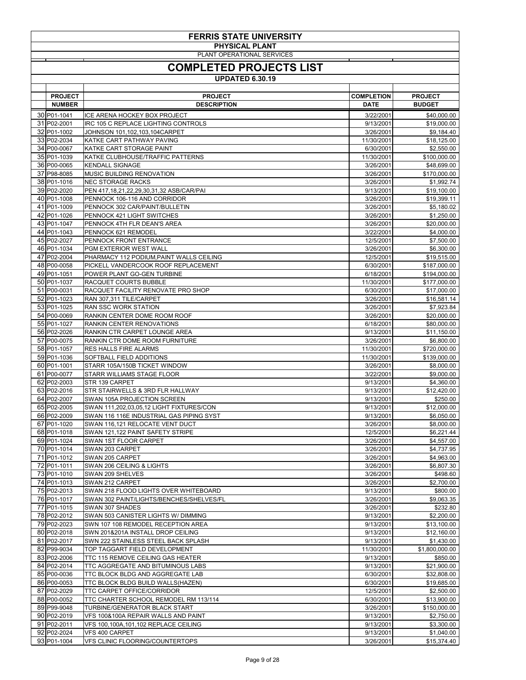| <b>FERRIS STATE UNIVERSITY</b><br><b>PHYSICAL PLANT</b> |                                                                                        |                                  |                                 |
|---------------------------------------------------------|----------------------------------------------------------------------------------------|----------------------------------|---------------------------------|
|                                                         | PLANT OPERATIONAL SERVICES<br><b>COMPLETED PROJECTS LIST</b><br><b>UPDATED 6.30.19</b> |                                  |                                 |
|                                                         |                                                                                        |                                  |                                 |
| <b>PROJECT</b><br><b>NUMBER</b>                         | <b>PROJECT</b><br><b>DESCRIPTION</b>                                                   | <b>COMPLETION</b><br><b>DATE</b> | <b>PROJECT</b><br><b>BUDGET</b> |
| 30 P01-1041                                             | <b>ICE ARENA HOCKEY BOX PROJECT</b>                                                    | 3/22/2001                        | \$40,000.00                     |
| 31 P02-2001<br>32 P01-1002                              | IRC 105 C REPLACE LIGHTING CONTROLS                                                    | 9/13/2001                        | \$19,000.00                     |
| 33 P02-2034                                             | JOHNSON 101,102,103,104CARPET<br><b>KATKE CART PATHWAY PAVING</b>                      | 3/26/2001<br>11/30/2001          | \$9,184.40<br>\$18,125.00       |
| 34 P00-0067                                             | <b>KATKE CART STORAGE PAINT</b>                                                        | 6/30/2001                        | \$2,550.00                      |
| 35 P01-1039<br>36 P00-0065                              | KATKE CLUBHOUSE/TRAFFIC PATTERNS<br><b>KENDALL SIGNAGE</b>                             | 11/30/2001                       | \$100,000.00                    |
| 37 P98-8085                                             | <b>MUSIC BUILDING RENOVATION</b>                                                       | 3/26/2001<br>3/26/2001           | \$48,699.00<br>\$170,000.00     |
| 38 P01-1016                                             | <b>NEC STORAGE RACKS</b>                                                               | 3/26/2001                        | \$1,992.74                      |
| 39 P02-2020<br>40 P01-1008                              | PEN 417,18,21,22,29,30,31,32 ASB/CAR/PAI                                               | 9/13/2001                        | \$19,100.00                     |
| 41 P01-1009                                             | PENNOCK 106-116 AND CORRIDOR<br>PENNOCK 302 CAR/PAINT/BULLETIN                         | 3/26/2001<br>3/26/2001           | \$19,399.11<br>\$5,180.02       |
| 42 P01-1026                                             | PENNOCK 421 LIGHT SWITCHES                                                             | 3/26/2001                        | \$1,250.00                      |
| 43 P01-1047                                             | PENNOCK 4TH FLR DEAN'S AREA                                                            | 3/26/2001                        | \$20,000.00                     |
| 44 P01-1043<br>45 P02-2027                              | PENNOCK 621 REMODEL<br><b>PENNOCK FRONT ENTRANCE</b>                                   | 3/22/2001<br>12/5/2001           | \$4,000.00<br>\$7,500.00        |
| 46 P01-1034                                             | <b>PGM EXTERIOR WEST WALL</b>                                                          | 3/26/2001                        | \$6,300.00                      |
| 47 P02-2004                                             | PHARMACY 112 PODIUM, PAINT WALLS CEILING                                               | 12/5/2001                        | \$19,515.00                     |
| 48 P00-0058<br>49 P01-1051                              | PICKELL VANDERCOOK ROOF REPLACEMENT<br>POWER PLANT GO-GEN TURBINE                      | 6/30/2001<br>6/18/2001           | \$187,000.00<br>\$194,000.00    |
| 50 P01-1037                                             | <b>RACQUET COURTS BUBBLE</b>                                                           | 11/30/2001                       | \$177,000.00                    |
| 51 P00-0031                                             | RACQUET FACILITY RENOVATE PRO SHOP                                                     | 6/30/2001                        | \$17,000.00                     |
| 52 P01-1023<br>53 P01-1025                              | RAN 307,311 TILE/CARPET<br><b>RAN SSC WORK STATION</b>                                 | 3/26/2001<br>3/26/2001           | \$16,581.14<br>\$7,923.84       |
| 54 P00-0069                                             | RANKIN CENTER DOME ROOM ROOF                                                           | 3/26/2001                        | \$20,000.00                     |
| 55 P01-1027                                             | <b>RANKIN CENTER RENOVATIONS</b>                                                       | 6/18/2001                        | \$80,000.00                     |
| 56 P02-2026                                             | RANKIN CTR CARPET LOUNGE AREA                                                          | 9/13/2001                        | \$11,150.00                     |
| 57 P00-0075<br>58 P01-1057                              | RANKIN CTR DOME ROOM FURNITURE<br>RES HALLS FIRE ALARMS                                | 3/26/2001<br>11/30/2001          | \$6,800.00<br>\$720,000.00      |
| 59 P01-1036                                             | SOFTBALL FIELD ADDITIONS                                                               | 11/30/2001                       | \$139,000.00                    |
| 60 P01-1001                                             | STARR 105A/150B TICKET WINDOW                                                          | 3/26/2001                        | \$8,000.00                      |
| 61 P00-0077<br>62 P02-2003                              | STARR WILLIAMS STAGE FLOOR<br>STR 139 CARPET                                           | 3/22/2001<br>9/13/2001           | \$9,000.00<br>\$4,360.00        |
| 63 P02-2016                                             | STR STAIRWELLS & 3RD FLR HALLWAY                                                       | 9/13/2001                        | \$12,420.00                     |
| 64 P02-2007                                             | SWAN 105A PROJECTION SCREEN                                                            | 9/13/2001                        | \$250.00                        |
| 65 P02-2005<br>66 P02-2009                              | SWAN 111,202,03,05,12 LIGHT FIXTURES/CON<br>SWAN 116 116E INDUSTRIAL GAS PIPING SYST   | 9/13/2001<br>9/13/2001           | \$12,000.00<br>\$6,050.00       |
| 67 P01-1020                                             | SWAN 116,121 RELOCATE VENT DUCT                                                        | 3/26/2001                        | \$8,000.00                      |
| 68 P01-1018                                             | SWAN 121,122 PAINT SAFETY STRIPE                                                       | 12/5/2001                        | \$6,221.44                      |
| 69 P01-1024                                             | SWAN 1ST FLOOR CARPET                                                                  | 3/26/2001                        | \$4,557.00                      |
| 70 P01-1014<br>71 P01-1012                              | SWAN 203 CARPET<br>SWAN 205 CARPET                                                     | 3/26/2001<br>3/26/2001           | \$4,737.95<br>\$4,963.00        |
| 72 P01-1011                                             | SWAN 206 CEILING & LIGHTS                                                              | 3/26/2001                        | \$6,807.30                      |
| 73 P01-1010                                             | SWAN 209 SHELVES                                                                       | 3/26/2001                        | \$498.60                        |
| 74 P01-1013<br>75 P02-2013                              | SWAN 212 CARPET<br>SWAN 218 FLOOD LIGHTS OVER WHITEBOARD                               | 3/26/2001<br>9/13/2001           | \$2,700.00<br>\$800.00          |
| 76 P01-1017                                             | SWAN 302 PAINT/LIGHTS/BENCHES/SHELVES/FL                                               | 3/26/2001                        | \$9,063.35                      |
| 77 P01-1015                                             | SWAN 307 SHADES                                                                        | 3/26/2001                        | \$232.80                        |
| 78 P02-2012<br>79 P02-2023                              | SWAN 503 CANISTER LIGHTS W/ DIMMING<br>SWN 107 108 REMODEL RECEPTION AREA              | 9/13/2001<br>9/13/2001           | \$2,200.00<br>\$13,100.00       |
| 80 P02-2018                                             | SWN 201&201A INSTALL DROP CEILING                                                      | 9/13/2001                        | \$12,160.00                     |
| 81 P02-2017                                             | SWN 222 STAINLESS STEEL BACK SPLASH                                                    | 9/13/2001                        | \$1,430.00                      |
| 82 P99-9034<br>83 P02-2006                              | TOP TAGGART FIELD DEVELOPMENT                                                          | 11/30/2001                       | \$1,800,000.00                  |
| 84 P02-2014                                             | TTC 115 REMOVE CEILING GAS HEATER<br>TTC AGGREGATE AND BITUMINOUS LABS                 | 9/13/2001<br>9/13/2001           | \$850.00<br>\$21,900.00         |
| 85 P00-0036                                             | TTC BLOCK BLDG AND AGGREGATE LAB                                                       | 6/30/2001                        | \$32,808.00                     |
| 86 P00-0053                                             | TTC BLOCK BLDG BUILD WALLS(HAZEN)                                                      | 6/30/2001                        | \$19,685.00                     |
| 87 P02-2029<br>88 P00-0052                              | <b>TTC CARPET OFFICE/CORRIDOR</b><br>TTC CHARTER SCHOOL REMODEL RM 113/114             | 12/5/2001<br>6/30/2001           | \$2,500.00<br>\$13,900.00       |
| 89 P99-9048                                             | TURBINE/GENERATOR BLACK START                                                          | 3/26/2001                        | \$150,000.00                    |
| 90 P02-2019                                             | VFS 100&100A REPAIR WALLS AND PAINT                                                    | 9/13/2001                        | \$2,750.00                      |
| 91 P02-2011<br>92 P02-2024                              | VFS 100,100A,101,102 REPLACE CEILING<br>VFS 400 CARPET                                 | 9/13/2001<br>9/13/2001           | \$3,300.00<br>\$1,040.00        |
| 93 P01-1004                                             | VFS CLINIC FLOORING/COUNTERTOPS                                                        | 3/26/2001                        | \$15,374.40                     |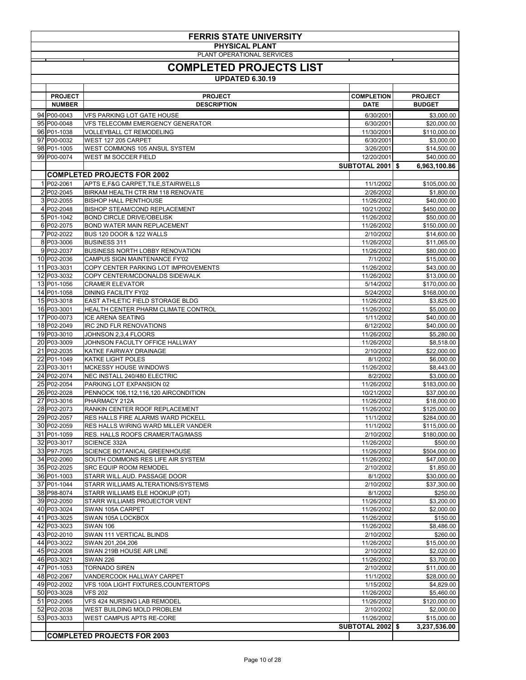| <b>FERRIS STATE UNIVERSITY</b>                      |                                                                              |                          |                              |  |
|-----------------------------------------------------|------------------------------------------------------------------------------|--------------------------|------------------------------|--|
| <b>PHYSICAL PLANT</b><br>PLANT OPERATIONAL SERVICES |                                                                              |                          |                              |  |
|                                                     | <b>COMPLETED PROJECTS LIST</b>                                               |                          |                              |  |
|                                                     | <b>UPDATED 6.30.19</b>                                                       |                          |                              |  |
| <b>PROJECT</b>                                      | <b>PROJECT</b>                                                               | <b>COMPLETION</b>        | <b>PROJECT</b>               |  |
| <b>NUMBER</b>                                       | <b>DESCRIPTION</b>                                                           | <b>DATE</b>              | <b>BUDGET</b>                |  |
| 94 P00-0043<br>95 P00-0048                          | <b>VFS PARKING LOT GATE HOUSE</b><br><b>VFS TELECOMM EMERGENCY GENERATOR</b> | 6/30/2001<br>6/30/2001   | \$3,000.00<br>\$20,000.00    |  |
| 96 P01-1038                                         | <b>VOLLEYBALL CT REMODELING</b>                                              | 11/30/2001               | \$110,000.00                 |  |
| 97 P00-0032                                         | WEST 127 205 CARPET                                                          | 6/30/2001                | \$3,000.00                   |  |
| 98 P01-1005<br>99 P00-0074                          | WEST COMMONS 105 ANSUL SYSTEM<br><b>WEST IM SOCCER FIELD</b>                 | 3/26/2001<br>12/20/2001  | \$14,500.00<br>\$40,000.00   |  |
|                                                     |                                                                              | <b>SUBTOTAL 2001 \$</b>  | 6,963,100.86                 |  |
|                                                     | <b>COMPLETED PROJECTS FOR 2002</b>                                           |                          |                              |  |
| 1 P02-2061<br>2 P02-2045                            | APTS E, F&G CARPET, TILE, STAIRWELLS<br>BIRKAM HEALTH CTR RM 118 RENOVATE    | 11/1/2002<br>2/26/2002   | \$105,000.00<br>\$1,800.00   |  |
| 3 P02-2055                                          | <b>BISHOP HALL PENTHOUSE</b>                                                 | 11/26/2002               | \$40,000.00                  |  |
| 4 P02-2048                                          | <b>BISHOP STEAM/COND REPLACEMENT</b>                                         | 10/21/2002               | \$450,000.00                 |  |
| 5 P01-1042<br>6 P02-2075                            | <b>BOND CIRCLE DRIVE/OBELISK</b><br><b>BOND WATER MAIN REPLACEMENT</b>       | 11/26/2002<br>11/26/2002 | \$50,000.00<br>\$150,000.00  |  |
| 7 P02-2022                                          | BUS 120 DOOR & 122 WALLS                                                     | 2/10/2002                | \$14,600.00                  |  |
| 8 P03-3006<br>9 P02-2037                            | <b>BUSINESS 311</b><br><b>BUSINESS NORTH LOBBY RENOVATION</b>                | 11/26/2002<br>11/26/2002 | \$11,065.00<br>\$80,000.00   |  |
| 10 P02-2036                                         | CAMPUS SIGN MAINTENANCE FY'02                                                | 7/1/2002                 | \$15,000.00                  |  |
| 11 P03-3031                                         | COPY CENTER PARKING LOT IMPROVEMENTS                                         | 11/26/2002               | \$43,000.00                  |  |
| 12 P03-3032<br>13 P01-1056                          | COPY CENTER/MCDONALDS SIDEWALK<br><b>CRAMER ELEVATOR</b>                     | 11/26/2002<br>5/14/2002  | \$13,000.00<br>\$170,000.00  |  |
| 14 P01-1058                                         | <b>DINING FACILITY FY02</b>                                                  | 5/24/2002                | \$168,000.00                 |  |
| 15 P03-3018                                         | <b>EAST ATHLETIC FIELD STORAGE BLDG</b>                                      | 11/26/2002               | \$3,825.00                   |  |
| 16 P03-3001<br>17 P00-0073                          | HEALTH CENTER PHARM CLIMATE CONTROL<br><b>ICE ARENA SEATING</b>              | 11/26/2002<br>1/11/2002  | \$5,000.00<br>\$40,000.00    |  |
| 18 P02-2049                                         | <b>IRC 2ND FLR RENOVATIONS</b>                                               | 6/12/2002                | \$40,000.00                  |  |
| 19 P03-3010                                         | JOHNSON 2,3,4 FLOORS                                                         | 11/26/2002               | \$5,280.00                   |  |
| 20 P03-3009<br>21 P02-2035                          | JOHNSON FACULTY OFFICE HALLWAY<br>KATKE FAIRWAY DRAINAGE                     | 11/26/2002<br>2/10/2002  | \$8,518.00<br>\$22,000.00    |  |
| 22 P01-1049                                         | <b>KATKE LIGHT POLES</b>                                                     | 8/1/2002                 | \$6,000.00                   |  |
| 23 P03-3011                                         | MCKESSY HOUSE WINDOWS                                                        | 11/26/2002               | \$8,443.00                   |  |
| 24 P02-2074<br>25 P02-2054                          | NEC INSTALL 240/480 ELECTRIC<br>PARKING LOT EXPANSION 02                     | 8/2/2002<br>11/26/2002   | \$3,000.00<br>\$183,000.00   |  |
| 26 P02-2028                                         | PENNOCK 106,112,116,120 AIRCONDITION                                         | 10/21/2002               | \$37,000.00                  |  |
| 27 P03-3016                                         | PHARMACY 212A                                                                | 11/26/2002               | \$18,000.00                  |  |
| 28 P02-2073<br>29 P02-2057                          | RANKIN CENTER ROOF REPLACEMENT<br>RES HALLS FIRE ALARMS WARD PICKELL         | 11/26/2002<br>11/1/2002  | \$125,000.00<br>\$284,000.00 |  |
| 30 P02-2059                                         | RES HALLS WIRING WARD MILLER VANDER                                          | 11/1/2002                | \$115,000.00                 |  |
| 31 P01-1059                                         | RES. HALLS ROOFS CRAMER/TAG/MASS                                             | 2/10/2002                | \$180,000.00                 |  |
| 32 P03-3017<br>33 P97-7025                          | <b>SCIENCE 332A</b><br>SCIENCE BOTANICAL GREENHOUSE                          | 11/26/2002<br>11/26/2002 | \$500.00<br>\$504,000.00     |  |
| 34 P02-2060                                         | SOUTH COMMONS RES LIFE AIR SYSTEM                                            | 11/26/2002               | \$47,000.00                  |  |
| 35 P02-2025<br>36 P01-1003                          | <b>SRC EQUIP ROOM REMODEL</b><br>STARR WILL.AUD. PASSAGE DOOR                | 2/10/2002<br>8/1/2002    | \$1,850.00<br>\$30,000.00    |  |
| 37 P01-1044                                         | STARR WILLIAMS ALTERATIONS/SYSTEMS                                           | 2/10/2002                | \$37,300.00                  |  |
| 38 P98-8074                                         | STARR WILLIAMS ELE HOOKUP (OT)                                               | 8/1/2002                 | \$250.00                     |  |
| 39 P02-2050<br>40 P03-3024                          | STARR WILLIAMS PROJECTOR VENT<br>SWAN 105A CARPET                            | 11/26/2002<br>11/26/2002 | \$3,200.00<br>\$2,000.00     |  |
| 41 P03-3025                                         | SWAN 105A LOCKBOX                                                            | 11/26/2002               | \$150.00                     |  |
| 42 P03-3023                                         | <b>SWAN 106</b>                                                              | 11/26/2002               | \$8,486.00                   |  |
| 43 P02-2010<br>44 P03-3022                          | SWAN 111 VERTICAL BLINDS<br>SWAN 201,204,206                                 | 2/10/2002<br>11/26/2002  | \$260.00<br>\$15,000.00      |  |
| 45 P02-2008                                         | SWAN 219B HOUSE AIR LINE                                                     | 2/10/2002                | \$2,020.00                   |  |
| 46 P03-3021                                         | <b>SWAN 226</b>                                                              | 11/26/2002               | \$3,700.00                   |  |
| 47 P01-1053<br>48 P02-2067                          | <b>TORNADO SIREN</b><br>VANDERCOOK HALLWAY CARPET                            | 2/10/2002<br>11/1/2002   | \$11,000.00<br>\$28,000.00   |  |
| 49 P02-2002                                         | VFS 100A LIGHT FIXTURES, COUNTERTOPS                                         | 1/15/2002                | \$4,829.00                   |  |
| 50 P03-3028                                         | <b>VFS 202</b>                                                               | 11/26/2002               | \$5,460.00                   |  |
| 51 P02-2065<br>52 P02-2038                          | VFS 424 NURSING LAB REMODEL<br>WEST BUILDING MOLD PROBLEM                    | 11/26/2002<br>2/10/2002  | \$120,000.00<br>\$2,000.00   |  |
| 53 P03-3033                                         | <b>WEST CAMPUS APTS RE-CORE</b>                                              | 11/26/2002               | \$15,000.00                  |  |
|                                                     |                                                                              | <b>SUBTOTAL 2002 \$</b>  | 3,237,536.00                 |  |
|                                                     | <b>COMPLETED PROJECTS FOR 2003</b>                                           |                          |                              |  |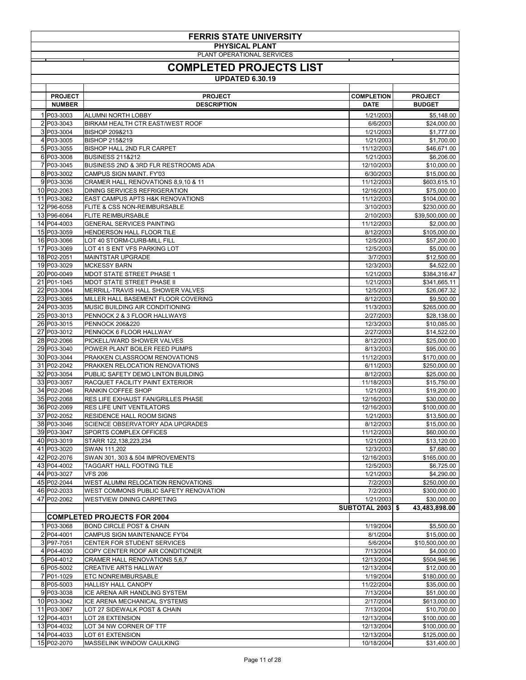| <b>FERRIS STATE UNIVERSITY</b>                      |                                                                               |                                  |                                 |  |  |  |
|-----------------------------------------------------|-------------------------------------------------------------------------------|----------------------------------|---------------------------------|--|--|--|
| <b>PHYSICAL PLANT</b><br>PLANT OPERATIONAL SERVICES |                                                                               |                                  |                                 |  |  |  |
| <b>COMPLETED PROJECTS LIST</b>                      |                                                                               |                                  |                                 |  |  |  |
|                                                     | <b>UPDATED 6.30.19</b>                                                        |                                  |                                 |  |  |  |
|                                                     |                                                                               |                                  |                                 |  |  |  |
| <b>PROJECT</b><br><b>NUMBER</b>                     | <b>PROJECT</b><br><b>DESCRIPTION</b>                                          | <b>COMPLETION</b><br><b>DATE</b> | <b>PROJECT</b><br><b>BUDGET</b> |  |  |  |
| 1 P03-3003                                          | ALUMNI NORTH LOBBY                                                            | 1/21/2003                        | \$5,148.00                      |  |  |  |
| 2 P03-3043                                          | <b>BIRKAM HEALTH CTR EAST/WEST ROOF</b>                                       | 6/6/2003                         | \$24,000.00                     |  |  |  |
| 3 P03-3004<br>4 P03-3005                            | <b>BISHOP 209&amp;213</b><br><b>BISHOP 215&amp;219</b>                        | 1/21/2003<br>1/21/2003           | \$1,777.00<br>\$1,700.00        |  |  |  |
| 5 P03-3055                                          | <b>BISHOP HALL 2ND FLR CARPET</b>                                             | 11/12/2003                       | \$46,671.00                     |  |  |  |
| 6 P03-3008                                          | <b>BUSINESS 211&amp;212</b>                                                   | 1/21/2003                        | \$6,206.00                      |  |  |  |
| 7 P03-3045                                          | <b>BUSINESS 2ND &amp; 3RD FLR RESTROOMS ADA</b>                               | 12/10/2003                       | \$10,000.00                     |  |  |  |
| 8 P03-3002<br>9 P03-3036                            | CAMPUS SIGN MAINT. FY'03<br>CRAMER HALL RENOVATIONS 8,9,10 & 11               | 6/30/2003<br>11/12/2003          | \$15,000.00<br>\$603,615.10     |  |  |  |
| 10 P02-2063                                         | <b>DINING SERVICES REFRIGERATION</b>                                          | 12/16/2003                       | \$75,000.00                     |  |  |  |
| 11 P03-3062                                         | <b>EAST CAMPUS APTS H&amp;K RENOVATIONS</b>                                   | 11/12/2003                       | \$104,000.00                    |  |  |  |
| 12 P96-6058<br>13 P96-6064                          | <b>FLITE &amp; CSS NON-REIMBURSABLE</b>                                       | 3/10/2003                        | \$230,000.00                    |  |  |  |
| 14 P04-4003                                         | <b>FLITE REIMBURSABLE</b><br><b>GENERAL SERVICES PAINTING</b>                 | 2/10/2003<br>11/12/2003          | \$39,500,000.00<br>\$2,000.00   |  |  |  |
| 15 P03-3059                                         | HENDERSON HALL FLOOR TILE                                                     | 8/12/2003                        | \$105,000.00                    |  |  |  |
| 16 P03-3066                                         | LOT 40 STORM-CURB-MILL FILL                                                   | 12/5/2003                        | \$57,200.00                     |  |  |  |
| 17 P03-3069                                         | LOT 41 S ENT VFS PARKING LOT                                                  | 12/5/2003                        | \$5,000.00                      |  |  |  |
| 18 P02-2051<br>19 P03-3029                          | MAINTSTAR UPGRADE<br><b>MCKESSY BARN</b>                                      | 3/7/2003<br>12/3/2003            | \$12,500.00<br>\$4,522.00       |  |  |  |
| 20 P00-0049                                         | <b>MDOT STATE STREET PHASE 1</b>                                              | 1/21/2003                        | \$384,316.47                    |  |  |  |
| 21 P01-1045                                         | <b>MDOT STATE STREET PHASE II</b>                                             | 1/21/2003                        | \$341,665.11                    |  |  |  |
| 22 P03-3064                                         | MERRILL-TRAVIS HALL SHOWER VALVES                                             | 12/5/2003                        | \$26,067.32                     |  |  |  |
| 23 P03-3065<br>24 P03-3035                          | MILLER HALL BASEMENT FLOOR COVERING<br><b>MUSIC BUILDING AIR CONDITIONING</b> | 8/12/2003<br>11/3/2003           | \$9,500.00<br>\$265,000.00      |  |  |  |
| 25 P03-3013                                         | PENNOCK 2 & 3 FLOOR HALLWAYS                                                  | 2/27/2003                        | \$28,138.00                     |  |  |  |
| 26 P03-3015                                         | <b>PENNOCK 206&amp;220</b>                                                    | 12/3/2003                        | \$10,085.00                     |  |  |  |
| 27 P03-3012                                         | PENNOCK 6 FLOOR HALLWAY                                                       | 2/27/2003                        | \$14,522.00                     |  |  |  |
| 28 P02-2066<br>29 P03-3040                          | PICKELL/WARD SHOWER VALVES<br>POWER PLANT BOILER FEED PUMPS                   | 8/12/2003<br>8/13/2003           | \$25,000.00<br>\$95,000.00      |  |  |  |
| 30 P03-3044                                         | PRAKKEN CLASSROOM RENOVATIONS                                                 | 11/12/2003                       | \$170,000.00                    |  |  |  |
| 31 P02-2042                                         | PRAKKEN RELOCATION RENOVATIONS                                                | 6/11/2003                        | \$250,000.00                    |  |  |  |
| 32 P03-3054                                         | PUBLIC SAFETY DEMO LINTON BUILDING                                            | 8/12/2003                        | \$25,000.00                     |  |  |  |
| 33 P03-3057<br>34 P02-2046                          | RACQUET FACILITY PAINT EXTERIOR<br><b>RANKIN COFFEE SHOP</b>                  | 11/18/2003<br>1/21/2003          | \$15,750.00<br>\$19,200.00      |  |  |  |
| 35 P02-2068                                         | RES LIFE EXHAUST FAN/GRILLES PHASE                                            | 12/16/2003                       | \$30,000.00                     |  |  |  |
| 36 P02-2069                                         | RES LIFE UNIT VENTILATORS                                                     | 12/16/2003                       | \$100,000.00                    |  |  |  |
| 37 P02-2052                                         | <b>RESIDENCE HALL ROOM SIGNS</b>                                              | 1/21/2003                        | \$13,500.00                     |  |  |  |
| 38 P03-3046<br>39 P03-3047                          | SCIENCE OBSERVATORY ADA UPGRADES<br>SPORTS COMPLEX OFFICES                    | 8/12/2003<br>11/12/2003          | \$15,000.00<br>\$60,000.00      |  |  |  |
| 40 P03-3019                                         | STARR 122,138,223,234                                                         | 1/21/2003                        | \$13,120.00                     |  |  |  |
| 41 P03-3020                                         | SWAN 111,202                                                                  | 12/3/2003                        | \$7,680.00                      |  |  |  |
| 42 P02-2076                                         | SWAN 301, 303 & 504 IMPROVEMENTS                                              | 12/16/2003                       | \$165,000.00                    |  |  |  |
| 43 P04-4002<br>44 P03-3027                          | <b>TAGGART HALL FOOTING TILE</b><br><b>VFS 206</b>                            | 12/5/2003<br>1/21/2003           | \$6,725.00<br>\$4,290.00        |  |  |  |
| 45 P02-2044                                         | WEST ALUMNI RELOCATION RENOVATIONS                                            | 7/2/2003                         | \$250,000.00                    |  |  |  |
| 46 P02-2033                                         | WEST COMMONS PUBLIC SAFETY RENOVATION                                         | 7/2/2003                         | \$300,000.00                    |  |  |  |
| 47 P02-2062                                         | <b>WESTVIEW DINING CARPETING</b>                                              | 1/21/2003                        | \$30,000.00                     |  |  |  |
|                                                     |                                                                               | <b>SUBTOTAL 2003 \$</b>          | 43,483,898.00                   |  |  |  |
| 1 P03-3068                                          | <b>COMPLETED PROJECTS FOR 2004</b><br><b>BOND CIRCLE POST &amp; CHAIN</b>     | 1/19/2004                        | \$5,500.00                      |  |  |  |
| 2 P04-4001                                          | CAMPUS SIGN MAINTENANCE FY'04                                                 | 8/1/2004                         | \$15,000.00                     |  |  |  |
| 3 P97-7051                                          | CENTER FOR STUDENT SERVICES                                                   | 5/6/2004                         | \$10,500,000.00                 |  |  |  |
| 4 P04-4030                                          | COPY CENTER ROOF AIR CONDITIONER                                              | 7/13/2004                        | \$4,000.00                      |  |  |  |
| 5 P04-4012<br>6 P05-5002                            | <b>CRAMER HALL RENOVATIONS 5,6,7</b><br><b>CREATIVE ARTS HALLWAY</b>          | 12/13/2004<br>12/13/2004         | \$504,946.96<br>\$12,000.00     |  |  |  |
| 7 P01-1029                                          | <b>ETC NONREIMBURSABLE</b>                                                    | 1/19/2004                        | \$180,000.00                    |  |  |  |
| 8 P05-5003                                          | <b>HALLISY HALL CANOPY</b>                                                    | 11/22/2004                       | \$35,000.00                     |  |  |  |
| 9 P03-3038                                          | ICE ARENA AIR HANDLING SYSTEM                                                 | 7/13/2004                        | \$51,000.00                     |  |  |  |
| 10 P03-3042<br>11 P03-3067                          | ICE ARENA MECHANICAL SYSTEMS<br>LOT 27 SIDEWALK POST & CHAIN                  | 2/17/2004<br>7/13/2004           | \$613,000.00<br>\$10,700.00     |  |  |  |
| 12 P04-4031                                         | LOT 28 EXTENSION                                                              | 12/13/2004                       | \$100,000.00                    |  |  |  |
| 13 P04-4032                                         | LOT 34 NW CORNER OF TTF                                                       | 12/13/2004                       | \$100,000.00                    |  |  |  |
| 14 P04-4033                                         | LOT 61 EXTENSION                                                              | 12/13/2004                       | \$125,000.00                    |  |  |  |
| 15 P02-2070                                         | <b>MASSELINK WINDOW CAULKING</b>                                              | 10/18/2004                       | \$31,400.00                     |  |  |  |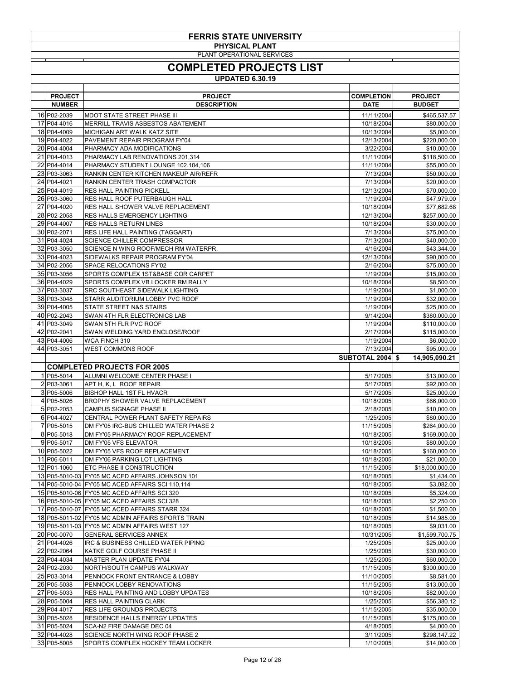| <b>FERRIS STATE UNIVERSITY</b> |                                                                                                      |                          |                                    |
|--------------------------------|------------------------------------------------------------------------------------------------------|--------------------------|------------------------------------|
|                                | <b>PHYSICAL PLANT</b><br>PLANT OPERATIONAL SERVICES                                                  |                          |                                    |
|                                | <b>COMPLETED PROJECTS LIST</b>                                                                       |                          |                                    |
|                                | <b>UPDATED 6.30.19</b>                                                                               |                          |                                    |
| <b>PROJECT</b>                 |                                                                                                      | <b>COMPLETION</b>        |                                    |
| <b>NUMBER</b>                  | <b>PROJECT</b><br><b>DESCRIPTION</b>                                                                 | <b>DATE</b>              | <b>PROJECT</b><br><b>BUDGET</b>    |
| 16 P02-2039                    | MDOT STATE STREET PHASE III                                                                          | 11/11/2004               | \$465,537.57                       |
| 17 P04-4016                    | MERRILL TRAVIS ASBESTOS ABATEMENT                                                                    | 10/18/2004               | \$80,000.00                        |
| 18 P04-4009<br>19 P04-4022     | MICHIGAN ART WALK KATZ SITE<br>PAVEMENT REPAIR PROGRAM FY'04                                         | 10/13/2004<br>12/13/2004 | \$5,000.00<br>\$220,000.00         |
| 20 P04-4004                    | PHARMACY ADA MODIFICATIONS                                                                           | 3/22/2004                | \$10,000.00                        |
| 21 P04-4013                    | PHARMACY LAB RENOVATIONS 201,314                                                                     | 11/11/2004               | \$118,500.00                       |
| 22 P04-4014<br>23 P03-3063     | PHARMACY STUDENT LOUNGE 102,104,106<br>RANKIN CENTER KITCHEN MAKEUP AIR/REFR                         | 11/11/2004<br>7/13/2004  | \$55,000.00<br>\$50,000.00         |
| 24 P04-4021                    | RANKIN CENTER TRASH COMPACTOR                                                                        | 7/13/2004                | \$20,000.00                        |
| 25 P04-4019                    | <b>RES HALL PAINTING PICKELL</b>                                                                     | 12/13/2004               | \$70,000.00                        |
| 26 P03-3060<br>27 P04-4020     | <b>RES HALL ROOF PUTERBAUGH HALL</b><br><b>RES HALL SHOWER VALVE REPLACEMENT</b>                     | 1/19/2004<br>10/18/2004  | \$47,979.00<br>\$77,682.68         |
| 28 P02-2058                    | <b>RES HALLS EMERGENCY LIGHTING</b>                                                                  | 12/13/2004               | \$257,000.00                       |
| 29 P04-4007                    | <b>RES HALLS RETURN LINES</b>                                                                        | 10/18/2004               | \$30,000.00                        |
| 30 P02-2071<br>31 P04-4024     | <b>RES LIFE HALL PAINTING (TAGGART)</b><br><b>SCIENCE CHILLER COMPRESSOR</b>                         | 7/13/2004<br>7/13/2004   | \$75,000.00<br>\$40,000.00         |
| 32 P03-3050                    | SCIENCE N WING ROOF/MECH RM WATERPR.                                                                 | 4/16/2004                | \$43,344.00                        |
| 33 P04-4023                    | SIDEWALKS REPAIR PROGRAM FY'04                                                                       | 12/13/2004               | \$90,000.00                        |
| 34 P02-2056<br>35 P03-3056     | SPACE RELOCATIONS FY'02<br>SPORTS COMPLEX 1ST&BASE COR CARPET                                        | 2/16/2004<br>1/19/2004   | \$75,000.00<br>\$15,000.00         |
| 36 P04-4029                    | SPORTS COMPLEX VB LOCKER RM RALLY                                                                    | 10/18/2004               | \$8,500.00                         |
| 37 P03-3037                    | SRC SOUTHEAST SIDEWALK LIGHTING                                                                      | 1/19/2004                | \$1,000.00                         |
| 38 P03-3048<br>39 P04-4005     | STARR AUDITORIUM LOBBY PVC ROOF<br><b>STATE STREET N&amp;S STAIRS</b>                                | 1/19/2004<br>1/19/2004   | \$32,000.00<br>\$25,000.00         |
| 40 P02-2043                    | SWAN 4TH FLR ELECTRONICS LAB                                                                         | 9/14/2004                | \$380,000.00                       |
| 41 P03-3049                    | SWAN 5TH FLR PVC ROOF                                                                                | 1/19/2004                | \$110,000.00                       |
| 42 P02-2041                    | SWAN WELDING YARD ENCLOSE/ROOF                                                                       | 2/17/2004                | \$115,000.00                       |
|                                |                                                                                                      |                          |                                    |
| 43 P04-4006<br>44 P03-3051     | WCA FINCH 310<br><b>WEST COMMONS ROOF</b>                                                            | 1/19/2004<br>7/13/2004   | \$6,000.00                         |
|                                |                                                                                                      | <b>SUBTOTAL 2004</b>     | \$95,000.00<br>14,905,090.21<br>\$ |
|                                | <b>COMPLETED PROJECTS FOR 2005</b>                                                                   |                          |                                    |
| 1 P05-5014                     | ALUMNI WELCOME CENTER PHASE I                                                                        | 5/17/2005                | \$13,000.00                        |
| 2 P03-3061<br>3 P05-5006       | APT H, K, L ROOF REPAIR<br><b>BISHOP HALL 1ST FL HVACR</b>                                           | 5/17/2005<br>5/17/2005   | \$92,000.00<br>\$25,000.00         |
| 4 P05-5026                     | <b>BROPHY SHOWER VALVE REPLACEMENT</b>                                                               | 10/18/2005               | \$66,000.00                        |
| 5 P02-2053                     | <b>CAMPUS SIGNAGE PHASE II</b>                                                                       | 2/18/2005                | \$10,000.00                        |
| 6 P04-4027<br>7 P05-5015       | CENTRAL POWER PLANT SAFETY REPAIRS<br>DM FY'05 IRC-BUS CHILLED WATER PHASE 2                         | 1/25/2005<br>11/15/2005  | \$80,000.00<br>\$264,000.00        |
| 8 P05-5018                     | DM FY'05 PHARMACY ROOF REPLACEMENT                                                                   | 10/18/2005               | \$169,000.00                       |
| 9 P05-5017                     | DM FY'05 VFS ELEVATOR                                                                                | 10/18/2005               | \$80,000.00                        |
| 10 P05-5022<br>11 P06-6011     | DM FY'05 VFS ROOF REPLACEMENT<br>DM FY'06 PARKING LOT LIGHTING                                       | 10/18/2005<br>10/18/2005 | \$160,000.00<br>\$21,000.00        |
| 12 P01-1060                    | <b>ETC PHASE II CONSTRUCTION</b>                                                                     | 11/15/2005               | \$18,000,000.00                    |
|                                | 13 P05-5010-03 FY'05 MC ACED AFFAIRS JOHNSON 101                                                     | 10/18/2005               | \$1,434.00                         |
|                                | 14 P05-5010-04 FY'05 MC ACED AFFAIRS SCI 110,114<br>15 P05-5010-06 FY'05 MC ACED AFFAIRS SCI 320     | 10/18/2005<br>10/18/2005 | \$3,082.00<br>\$5,324.00           |
|                                | 16 P05-5010-05 FY'05 MC ACED AFFAIRS SCI 328                                                         | 10/18/2005               | \$2,250.00                         |
|                                | 17 P05-5010-07 FY'05 MC ACED AFFAIRS STARR 324                                                       | 10/18/2005               | \$1,500.00                         |
|                                | 18 P05-5011-02 FY'05 MC ADMIN AFFAIRS SPORTS TRAIN<br>19 P05-5011-03 FY'05 MC ADMIN AFFAIRS WEST 127 | 10/18/2005<br>10/18/2005 | \$14,985.00                        |
| 20 P00-0070                    | <b>GENERAL SERVICES ANNEX</b>                                                                        | 10/31/2005               | \$9,031.00<br>\$1,599,700.75       |
| 21 P04-4026                    | IRC & BUSINESS CHILLED WATER PIPING                                                                  | 1/25/2005                | \$25,000.00                        |
| 22 P02-2064                    | <b>KATKE GOLF COURSE PHASE II</b>                                                                    | 1/25/2005                | \$30,000.00                        |
| 23 P04-4034<br>24 P02-2030     | MASTER PLAN UPDATE FY'04<br>NORTH/SOUTH CAMPUS WALKWAY                                               | 1/25/2005<br>11/15/2005  | \$60,000.00<br>\$300,000.00        |
| 25 P03-3014                    | PENNOCK FRONT ENTRANCE & LOBBY                                                                       | 11/10/2005               | \$8,581.00                         |
| 26 P05-5038                    | <b>PENNOCK LOBBY RENOVATIONS</b>                                                                     | 11/15/2005               | \$13,000.00                        |
| 27 P05-5033<br>28 P05-5004     | <b>RES HALL PAINTING AND LOBBY UPDATES</b><br><b>RES HALL PAINTING CLARK</b>                         | 10/18/2005<br>1/25/2005  | \$82,000.00<br>\$56,380.12         |
| 29 P04-4017                    | <b>RES LIFE GROUNDS PROJECTS</b>                                                                     | 11/15/2005               | \$35,000.00                        |
| 30 P05-5028                    | <b>RESIDENCE HALLS ENERGY UPDATES</b>                                                                | 11/15/2005               | \$175,000.00                       |
| 31 P05-5024<br>32 P04-4028     | SCA-N2 FIRE DAMAGE DEC 04<br><b>SCIENCE NORTH WING ROOF PHASE 2</b>                                  | 4/18/2005<br>3/11/2005   | \$4,000.00<br>\$298,147.22         |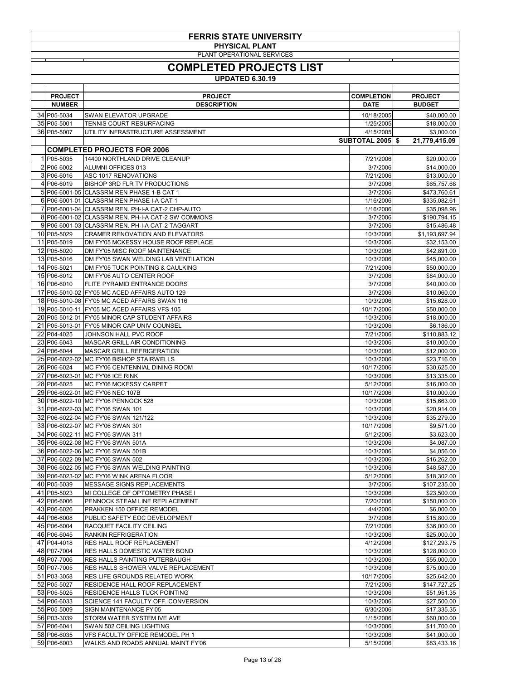| <b>FERRIS STATE UNIVERSITY</b> |                                                                                                |                         |                              |                            |  |
|--------------------------------|------------------------------------------------------------------------------------------------|-------------------------|------------------------------|----------------------------|--|
|                                | <b>PHYSICAL PLANT</b><br>PLANT OPERATIONAL SERVICES                                            |                         |                              |                            |  |
| <b>COMPLETED PROJECTS LIST</b> |                                                                                                |                         |                              |                            |  |
| <b>UPDATED 6.30.19</b>         |                                                                                                |                         |                              |                            |  |
|                                |                                                                                                |                         |                              |                            |  |
| <b>PROJECT</b>                 | <b>PROJECT</b>                                                                                 | <b>COMPLETION</b>       | <b>PROJECT</b>               |                            |  |
| <b>NUMBER</b>                  | <b>DESCRIPTION</b>                                                                             | <b>DATE</b>             | <b>BUDGET</b>                |                            |  |
| 34 P05-5034<br>35 P05-5001     | <b>SWAN ELEVATOR UPGRADE</b><br>TENNIS COURT RESURFACING                                       | 10/18/2005<br>1/25/2005 |                              | \$40,000.00<br>\$18,000.00 |  |
| 36 P05-5007                    | UTILITY INFRASTRUCTURE ASSESSMENT                                                              | 4/15/2005               |                              | \$3,000.00                 |  |
|                                |                                                                                                | <b>SUBTOTAL 2005 \$</b> | 21,779,415.09                |                            |  |
| 1 P05-5035                     | <b>COMPLETED PROJECTS FOR 2006</b><br>14400 NORTHLAND DRIVE CLEANUP                            | 7/21/2006               |                              |                            |  |
| 2 P06-6002                     | <b>ALUMNI OFFICES 013</b>                                                                      | 3/7/2006                |                              | \$20,000.00<br>\$14,000.00 |  |
| 3 P06-6016                     | <b>ASC 1017 RENOVATIONS</b>                                                                    | 7/21/2006               |                              | \$13,000.00                |  |
| 4 P06-6019                     | <b>BISHOP 3RD FLR TV PRODUCTIONS</b>                                                           | 3/7/2006                |                              | \$65,757.68                |  |
| 6 P06-6001-01                  | 5 P06-6001-05 CLASSRM REN PHASE 1-B CAT 1<br><b>CLASSRM REN PHASE I-A CAT 1</b>                | 3/7/2006<br>1/16/2006   | \$473,760.61<br>\$335,082.61 |                            |  |
|                                | 7 P06-6001-04 CLASSRM REN. PH-I-A CAT-2 CHP-AUTO                                               | 1/16/2006               |                              | \$35,098.96                |  |
|                                | 8 P06-6001-02 CLASSRM REN. PH-I-A CAT-2 SW COMMONS                                             | 3/7/2006                | \$190,794.15                 |                            |  |
|                                | 9 P06-6001-03 CLASSRM REN. PH-I-A CAT-2 TAGGART                                                | 3/7/2006                |                              | \$15,486.48                |  |
| 10 P05-5029<br>11 P05-5019     | <b>CRAMER RENOVATION AND ELEVATORS</b><br>DM FY'05 MCKESSY HOUSE ROOF REPLACE                  | 10/3/2006<br>10/3/2006  | \$1,193,697.94               | \$32,153.00                |  |
| 12 P05-5020                    | DM FY'05 MISC ROOF MAINTENANCE                                                                 | 10/3/2006               |                              | \$42,891.00                |  |
| 13 P05-5016                    | DM FY'05 SWAN WELDING LAB VENTILATION                                                          | 10/3/2006               |                              | \$45,000.00                |  |
| 14 P05-5021<br>15 P06-6012     | DM FY'05 TUCK POINTING & CAULKING<br>DM FY'06 AUTO CENTER ROOF                                 | 7/21/2006               |                              | \$50,000.00                |  |
| 16 P06-6010                    | FLITE PYRAMID ENTRANCE DOORS                                                                   | 3/7/2006<br>3/7/2006    |                              | \$84,000.00<br>\$40,000.00 |  |
|                                | 17 P05-5010-02 FY'05 MC ACED AFFAIRS AUTO 129                                                  | 3/7/2006                |                              | \$10,060.00                |  |
|                                | 18 P05-5010-08 FY'05 MC ACED AFFAIRS SWAN 116                                                  | 10/3/2006               |                              | \$15,628.00                |  |
|                                | 19 P05-5010-11 FY'05 MC ACED AFFAIRS VFS 105<br>20 P05-5012-01 FY'05 MINOR CAP STUDENT AFFAIRS | 10/17/2006<br>10/3/2006 |                              | \$50,000.00<br>\$18,000.00 |  |
|                                | 21 P05-5013-01 FY'05 MINOR CAP UNIV COUNSEL                                                    | 10/3/2006               |                              | \$6,186.00                 |  |
| 22 P04-4025                    | JOHNSON HALL PVC ROOF                                                                          | 7/21/2006               | \$110,883.12                 |                            |  |
| 23 P06-6043                    | MASCAR GRILL AIR CONDITIONING                                                                  | 10/3/2006               |                              | \$10,000.00                |  |
| 24 P06-6044<br>25 P06-6022-02  | MASCAR GRILL REFRIGERATION<br>MC FY'06 BISHOP STAIRWELLS                                       | 10/3/2006<br>10/3/2006  |                              | \$12,000.00<br>\$23,716.00 |  |
| 26 P06-6024                    | MC FY'06 CENTENNIAL DINING ROOM                                                                | 10/17/2006              |                              | \$30,625.00                |  |
|                                | 27 P06-6023-01 MC FY'06 ICE RINK                                                               | 10/3/2006               |                              | \$13,335.00                |  |
| 28 P06-6025                    | MC FY'06 MCKESSY CARPET                                                                        | 5/12/2006               |                              | \$16,000.00                |  |
|                                | 29 P06-6022-01 MC FY'06 NEC 107B<br>30 P06-6022-10 MC FY'06 PENNOCK 528                        | 10/17/2006<br>10/3/2006 |                              | \$10,000.00<br>\$15,663.00 |  |
|                                | 31 P06-6022-03 MC FY'06 SWAN 101                                                               | 10/3/2006               |                              | \$20,914.00                |  |
|                                | 32 P06-6022-04 MC FY'06 SWAN 121/122                                                           | 10/3/2006               |                              | \$35,279.00                |  |
|                                | 33 P06-6022-07 MC FY'06 SWAN 301<br>34 P06-6022-11 MC FY'06 SWAN 311                           | 10/17/2006<br>5/12/2006 |                              | \$9,571.00                 |  |
|                                | 35 P06-6022-08 MC FY'06 SWAN 501A                                                              | 10/3/2006               |                              | \$3,623.00<br>\$4,087.00   |  |
|                                | 36 P06-6022-06 MC FY'06 SWAN 501B                                                              | 10/3/2006               |                              | \$4,056.00                 |  |
|                                | 37 P06-6022-09 MC FY'06 SWAN 502                                                               | 10/3/2006               |                              | \$16,262.00                |  |
|                                | 38 P06-6022-05 MC FY'06 SWAN WELDING PAINTING<br>39 P06-6023-02 MC FY'06 WINK ARENA FLOOR      | 10/3/2006<br>5/12/2006  |                              | \$48,587.00<br>\$18,302.00 |  |
| 40 P05-5039                    | MESSAGE SIGNS REPLACEMENTS                                                                     | 3/7/2006                | \$107,235.00                 |                            |  |
| 41 P05-5023                    | MI COLLEGE OF OPTOMETRY PHASE I                                                                | 10/3/2006               |                              | \$23,500.00                |  |
| 42 P06-6006                    | PENNOCK STEAM LINE REPLACEMENT                                                                 | 7/20/2006               | \$150,000.00                 |                            |  |
| 43 P06-6026<br>44 P06-6008     | PRAKKEN 150 OFFICE REMODEL<br>PUBLIC SAFETY EOC DEVELOPMENT                                    | 4/4/2006<br>3/7/2006    |                              | \$6,000.00<br>\$15,800.00  |  |
| 45 P06-6004                    | RACQUET FACILITY CEILING                                                                       | 7/21/2006               |                              | \$36,000.00                |  |
| 46 P06-6045                    | <b>RANKIN REFRIGERATION</b>                                                                    | 10/3/2006               |                              | \$25,000.00                |  |
| 47 P04-4018                    | <b>RES HALL ROOF REPLACEMENT</b><br><b>RES HALLS DOMESTIC WATER BOND</b>                       | 4/12/2006               | \$127,293.75                 |                            |  |
| 48 P07-7004<br>49 P07-7006     | RES HALLS PAINTING PUTERBAUGH                                                                  | 10/3/2006<br>10/3/2006  | \$128,000.00                 | \$55,000.00                |  |
| 50 P07-7005                    | RES HALLS SHOWER VALVE REPLACEMENT                                                             | 10/3/2006               |                              | \$75,000.00                |  |
| 51 P03-3058                    | <b>RES LIFE GROUNDS RELATED WORK</b>                                                           | 10/17/2006              |                              | \$25,642.00                |  |
| 52 P05-5027<br>53 P05-5025     | RESIDENCE HALL ROOF REPLACEMENT<br><b>RESIDENCE HALLS TUCK POINTING</b>                        | 7/21/2006<br>10/3/2006  | \$147,727.25                 | \$51,951.35                |  |
| 54 P06-6033                    | SCIENCE 141 FACULTY OFF. CONVERSION                                                            | 10/3/2006               |                              | \$27,500.00                |  |
| 55 P05-5009                    | SIGN MAINTENANCE FY'05                                                                         | 6/30/2006               |                              | \$17,335.35                |  |
| 56 P03-3039                    | STORM WATER SYSTEM IVE AVE                                                                     | 1/15/2006               |                              | \$60,000.00                |  |
| 57 P06-6041<br>58 P06-6035     | SWAN 502 CEILING LIGHTING<br>VFS FACULTY OFFICE REMODEL PH 1                                   | 10/3/2006<br>10/3/2006  |                              | \$11,700.00<br>\$41,000.00 |  |
| 59 P06-6003                    | WALKS AND ROADS ANNUAL MAINT FY'06                                                             | 5/15/2006               |                              | \$83,433.16                |  |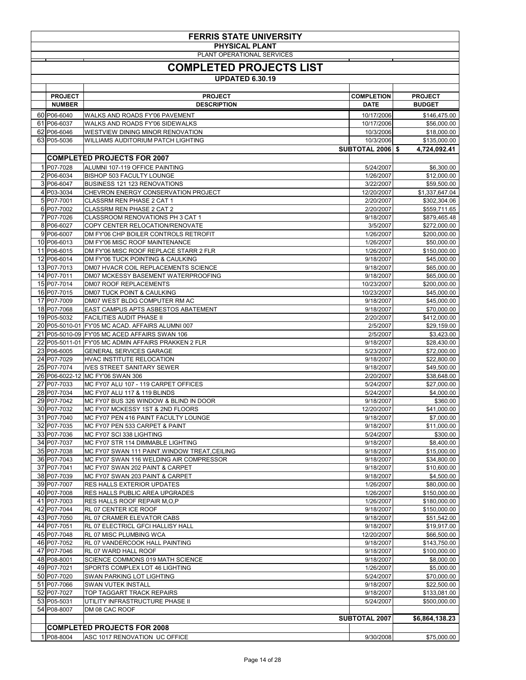| <b>FERRIS STATE UNIVERSITY</b><br><b>PHYSICAL PLANT</b><br>PLANT OPERATIONAL SERVICES |                                                                                   |                         |                              |  |  |
|---------------------------------------------------------------------------------------|-----------------------------------------------------------------------------------|-------------------------|------------------------------|--|--|
| <b>COMPLETED PROJECTS LIST</b><br><b>UPDATED 6.30.19</b>                              |                                                                                   |                         |                              |  |  |
|                                                                                       |                                                                                   |                         |                              |  |  |
| <b>PROJECT</b>                                                                        | <b>PROJECT</b>                                                                    | <b>COMPLETION</b>       | <b>PROJECT</b>               |  |  |
| <b>NUMBER</b>                                                                         | <b>DESCRIPTION</b>                                                                | <b>DATE</b>             | <b>BUDGET</b>                |  |  |
| 60 P06-6040                                                                           | WALKS AND ROADS FY'06 PAVEMENT                                                    | 10/17/2006              | \$146,475.00                 |  |  |
| 61 P06-6037                                                                           | WALKS AND ROADS FY'06 SIDEWALKS                                                   | 10/17/2006              | \$56,000.00                  |  |  |
| 62 P06-6046                                                                           | <b>WESTVIEW DINING MINOR RENOVATION</b>                                           | 10/3/2006               | \$18,000.00                  |  |  |
| 63 P05-5036                                                                           | WILLIAMS AUDITORIUM PATCH LIGHTING                                                | 10/3/2006               | \$135,000.00                 |  |  |
|                                                                                       | <b>COMPLETED PROJECTS FOR 2007</b>                                                | <b>SUBTOTAL 2006 \$</b> | 4,724,092.41                 |  |  |
| 1 P07-7028                                                                            | ALUMNI 107-119 OFFICE PAINTING                                                    | 5/24/2007               | \$6,300.00                   |  |  |
| 2 P06-6034                                                                            | <b>BISHOP 503 FACULTY LOUNGE</b>                                                  | 1/26/2007               | \$12,000.00                  |  |  |
| 3 P06-6047                                                                            | <b>BUSINESS 121 123 RENOVATIONS</b>                                               | 3/22/2007               | \$59,500.00                  |  |  |
| 4 P03-3034                                                                            | CHEVRON ENERGY CONSERVATION PROJECT                                               | 12/20/2007              | \$1,337,647.04               |  |  |
| 5 P07-7001                                                                            | <b>CLASSRM REN PHASE 2 CAT 1</b>                                                  | 2/20/2007               | \$302,304.06                 |  |  |
| 6 P07-7002                                                                            | CLASSRM REN PHASE 2 CAT 2                                                         | 2/20/2007               | \$559,711.65                 |  |  |
| 7 P07-7026                                                                            | CLASSROOM RENOVATIONS PH 3 CAT 1                                                  | 9/18/2007               | \$879,465.48                 |  |  |
| 8 P06-6027                                                                            | COPY CENTER RELOCATION/RENOVATE                                                   | 3/5/2007                | \$272,000.00                 |  |  |
| 9 P06-6007                                                                            | DM FY'06 CHP BOILER CONTROLS RETROFIT                                             | 1/26/2007               | \$200,000.00                 |  |  |
| 10 P06-6013                                                                           | DM FY'06 MISC ROOF MAINTENANCE                                                    | 1/26/2007               | \$50,000.00                  |  |  |
| 11 P06-6015                                                                           | DM FY'06 MISC ROOF REPLACE STARR 2 FLR                                            | 1/26/2007               | \$150,000.00                 |  |  |
| 12 P06-6014                                                                           | DM FY'06 TUCK POINTING & CAULKING                                                 | 9/18/2007               | \$45,000.00                  |  |  |
| 13 P07-7013                                                                           | DM07 HVACR COIL REPLACEMENTS SCIENCE                                              | 9/18/2007               | \$65,000.00                  |  |  |
| 14 P07-7011                                                                           | DM07 MCKESSY BASEMENT WATERPROOFING                                               | 9/18/2007               | \$65,000.00                  |  |  |
| 15 P07-7014                                                                           | <b>DM07 ROOF REPLACEMENTS</b>                                                     | 10/23/2007              | \$200,000.00                 |  |  |
| 16 P07-7015<br>17 P07-7009                                                            | <b>DM07 TUCK POINT &amp; CAULKING</b><br>DM07 WEST BLDG COMPUTER RM AC            | 10/23/2007              | \$45,000.00                  |  |  |
| 18 P07-7068                                                                           | EAST CAMPUS APTS ASBESTOS ABATEMENT                                               | 9/18/2007<br>9/18/2007  | \$45,000.00<br>\$70,000.00   |  |  |
| 19 P05-5032                                                                           | <b>FACILITIES AUDIT PHASE II</b>                                                  | 2/20/2007               | \$412,000.00                 |  |  |
|                                                                                       | 20 P05-5010-01 FY'05 MC ACAD. AFFAIRS ALUMNI 007                                  | 2/5/2007                | \$29,159.00                  |  |  |
|                                                                                       | 21 P05-5010-09 FY'05 MC ACED AFFAIRS SWAN 106                                     | 2/5/2007                | \$3,423.00                   |  |  |
|                                                                                       | 22 P05-5011-01 FY'05 MC ADMIN AFFAIRS PRAKKEN 2 FLR                               | 9/18/2007               | \$28,430.00                  |  |  |
| 23 P06-6005                                                                           | <b>GENERAL SERVICES GARAGE</b>                                                    | 5/23/2007               | \$72,000.00                  |  |  |
| 24 P07-7029                                                                           | <b>HVAC INSTITUTE RELOCATION</b>                                                  | 9/18/2007               | \$22,800.00                  |  |  |
| 25 P07-7074                                                                           | <b>IVES STREET SANITARY SEWER</b>                                                 | 9/18/2007               | \$49,500.00                  |  |  |
|                                                                                       | 26 P06-6022-12 MC FY'06 SWAN 306                                                  | 2/20/2007               | \$38,648.00                  |  |  |
| 27 P07-7033                                                                           | MC FY07 ALU 107 - 119 CARPET OFFICES                                              | 5/24/2007               | \$27,000.00                  |  |  |
| 28 P07-7034                                                                           | MC FY07 ALU 117 & 119 BLINDS                                                      | 5/24/2007               | \$4,000.00                   |  |  |
| 29 P07-7042                                                                           | MC FY07 BUS 326 WINDOW & BLIND IN DOOR                                            | 9/18/2007               | \$360.00                     |  |  |
| 30 P07-7032                                                                           | MC FY07 MCKESSY 1ST & 2ND FLOORS                                                  | 12/20/2007              | \$41,000.00                  |  |  |
| 31 P07-7040                                                                           | MC FY07 PEN 416 PAINT FACULTY LOUNGE                                              | 9/18/2007               | \$7,000.00                   |  |  |
| 32 P07-7035                                                                           | MC FY07 PEN 533 CARPET & PAINT                                                    | 9/18/2007               | \$11,000.00                  |  |  |
| 33 P07-7036                                                                           | MC FY07 SCI 338 LIGHTING                                                          | 5/24/2007               | \$300.00                     |  |  |
| 34 P07-7037<br>35 P07-7038                                                            | MC FY07 STR 114 DIMMABLE LIGHTING<br>MC FY07 SWAN 111 PAINT.WINDOW TREAT, CEILING | 9/18/2007<br>9/18/2007  | \$8,400.00                   |  |  |
| 36 P07-7043                                                                           | MC FY07 SWAN 116 WELDING AIR COMPRESSOR                                           | 9/18/2007               | \$15,000.00<br>\$34,800.00   |  |  |
| 37 P07-7041                                                                           | MC FY07 SWAN 202 PAINT & CARPET                                                   | 9/18/2007               | \$10,600.00                  |  |  |
| 38 P07-7039                                                                           | MC FY07 SWAN 203 PAINT & CARPET                                                   | 9/18/2007               | \$4,500.00                   |  |  |
| 39 P07-7007                                                                           | <b>RES HALLS EXTERIOR UPDATES</b>                                                 | 1/26/2007               | \$80,000.00                  |  |  |
| 40 P07-7008                                                                           | RES HALLS PUBLIC AREA UPGRADES                                                    | 1/26/2007               | \$150,000.00                 |  |  |
| 41 P07-7003                                                                           | RES HALLS ROOF REPAIR M, O, P                                                     | 1/26/2007               | \$180,000.00                 |  |  |
| 42 P07-7044                                                                           | RL 07 CENTER ICE ROOF                                                             | 9/18/2007               | \$150,000.00                 |  |  |
| 43 P07-7050                                                                           | RL 07 CRAMER ELEVATOR CABS                                                        | 9/18/2007               | \$51,542.00                  |  |  |
| 44 P07-7051                                                                           | RL 07 ELECTRICL GFCI HALLISY HALL                                                 | 9/18/2007               | \$19,917.00                  |  |  |
| 45 P07-7048                                                                           | RL 07 MISC PLUMBING WCA                                                           | 12/20/2007              | \$66,500.00                  |  |  |
| 46 P07-7052                                                                           | RL 07 VANDERCOOK HALL PAINTING                                                    | 9/18/2007               | \$143,750.00                 |  |  |
| 47 P07-7046                                                                           | RL 07 WARD HALL ROOF                                                              | 9/18/2007               | \$100,000.00                 |  |  |
| 48 P08-8001                                                                           | SCIENCE COMMONS 019 MATH SCIENCE                                                  | 9/18/2007               | \$8,000.00                   |  |  |
| 49 P07-7021                                                                           | SPORTS COMPLEX LOT 46 LIGHTING                                                    | 1/26/2007               | \$5,000.00                   |  |  |
| 50 P07-7020<br>51 P07-7066                                                            | <b>SWAN PARKING LOT LIGHTING</b><br><b>SWAN VUTEK INSTALL</b>                     | 5/24/2007<br>9/18/2007  | \$70,000.00                  |  |  |
| 52 P07-7027                                                                           | TOP TAGGART TRACK REPAIRS                                                         | 9/18/2007               | \$22,500.00                  |  |  |
| 53 P05-5031                                                                           | UTILITY INFRASTRUCTURE PHASE II                                                   | 5/24/2007               | \$133,081.00<br>\$500,000.00 |  |  |
| 54 P08-8007                                                                           | DM 08 CAC ROOF                                                                    |                         |                              |  |  |
|                                                                                       |                                                                                   | <b>SUBTOTAL 2007</b>    | \$6,864,138.23               |  |  |
|                                                                                       | <b>COMPLETED PROJECTS FOR 2008</b>                                                |                         |                              |  |  |
| 1 P08-8004                                                                            | ASC 1017 RENOVATION UC OFFICE                                                     | 9/30/2008               | \$75,000.00                  |  |  |
|                                                                                       |                                                                                   |                         |                              |  |  |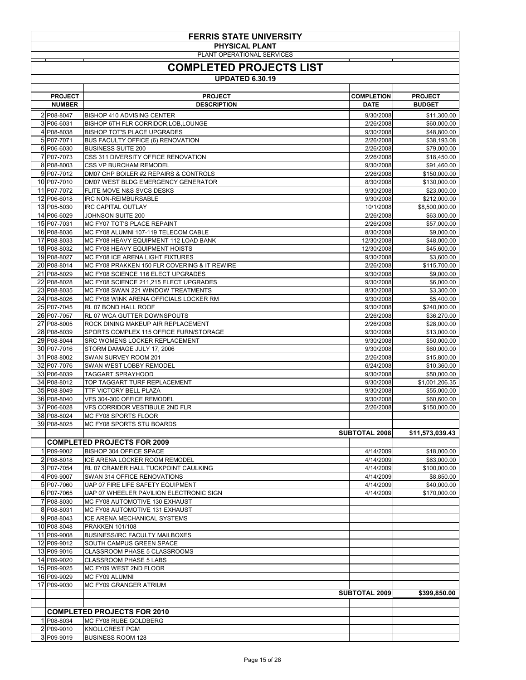| <b>FERRIS STATE UNIVERSITY</b> |                                                                                  |                        |                             |  |  |
|--------------------------------|----------------------------------------------------------------------------------|------------------------|-----------------------------|--|--|
|                                | <b>PHYSICAL PLANT</b><br>PLANT OPERATIONAL SERVICES                              |                        |                             |  |  |
| <b>COMPLETED PROJECTS LIST</b> |                                                                                  |                        |                             |  |  |
| <b>UPDATED 6.30.19</b>         |                                                                                  |                        |                             |  |  |
| <b>PROJECT</b>                 | <b>PROJECT</b>                                                                   | <b>COMPLETION</b>      | <b>PROJECT</b>              |  |  |
| <b>NUMBER</b>                  | <b>DESCRIPTION</b>                                                               | <b>DATE</b>            | <b>BUDGET</b>               |  |  |
| 2 P08-8047<br>3 P06-6031       | <b>BISHOP 410 ADVISING CENTER</b><br>BISHOP 6TH FLR CORRIDOR, LOB, LOUNGE        | 9/30/2008<br>2/26/2008 | \$11,300.00<br>\$60,000.00  |  |  |
| 4 P08-8038                     | <b>BISHOP TOT'S PLACE UPGRADES</b>                                               | 9/30/2008              | \$48,800.00                 |  |  |
| 5 P07-7071                     | <b>BUS FACULTY OFFICE (6) RENOVATION</b>                                         | 2/26/2008              | \$38,193.08                 |  |  |
| 6 P06-6030<br>7 P07-7073       | <b>BUSINESS SUITE 200</b><br>CSS 311 DIVERSITY OFFICE RENOVATION                 | 2/26/2008<br>2/26/2008 | \$79,000.00<br>\$18,450.00  |  |  |
| 8 P08-8003                     | <b>CSS VP BURCHAM REMODEL</b>                                                    | 9/30/2008              | \$91,460.00                 |  |  |
| 9P07-7012                      | DM07 CHP BOILER #2 REPAIRS & CONTROLS                                            | 2/26/2008              | \$150,000.00                |  |  |
| 10 P07-7010<br>11 P07-7072     | DM07 WEST BLDG EMERGENCY GENERATOR<br><b>FLITE MOVE N&amp;S SVCS DESKS</b>       | 8/30/2008<br>9/30/2008 | \$130,000.00<br>\$23,000.00 |  |  |
| 12 P06-6018                    | <b>IRC NON-REIMBURSABLE</b>                                                      | 9/30/2008              | \$212,000.00                |  |  |
| 13 P05-5030                    | <b>IRC CAPITAL OUTLAY</b>                                                        | 10/1/2008              | \$8,500,000.00              |  |  |
| 14 P06-6029                    | JOHNSON SUITE 200                                                                | 2/26/2008              | \$63,000.00                 |  |  |
| 15 P07-7031<br>16 P08-8036     | MC FY07 TOT'S PLACE REPAINT<br>MC FY08 ALUMNI 107-119 TELECOM CABLE              | 2/26/2008<br>8/30/2008 | \$57,000.00<br>\$9,000.00   |  |  |
| 17 P08-8033                    | MC FY08 HEAVY EQUIPMENT 112 LOAD BANK                                            | 12/30/2008             | \$48,000.00                 |  |  |
| 18 P08-8032                    | MC FY08 HEAVY EQUIPMENT HOISTS                                                   | 12/30/2008             | \$45,600.00                 |  |  |
| 19 P08-8027<br>20 P08-8014     | MC FY08 ICE ARENA LIGHT FIXTURES<br>MC FY08 PRAKKEN 150 FLR COVERING & IT REWIRE | 9/30/2008<br>2/26/2008 | \$3,600.00<br>\$115,700.00  |  |  |
| 21 P08-8029                    | MC FY08 SCIENCE 116 ELECT UPGRADES                                               | 9/30/2008              | \$9,000.00                  |  |  |
| 22 P08-8028                    | MC FY08 SCIENCE 211,215 ELECT UPGRADES                                           | 9/30/2008              | \$6,000.00                  |  |  |
| 23 P08-8035<br>24 P08-8026     | MC FY08 SWAN 221 WINDOW TREATMENTS<br>MC FY08 WINK ARENA OFFICIALS LOCKER RM     | 8/30/2008<br>9/30/2008 | \$3,300.00<br>\$5,400.00    |  |  |
| 25 P07-7045                    | RL 07 BOND HALL ROOF                                                             | 9/30/2008              | \$240,000.00                |  |  |
| 26 P07-7057                    | <b>RL 07 WCA GUTTER DOWNSPOUTS</b>                                               | 2/26/2008              | \$36,270.00                 |  |  |
| 27 P08-8005<br>28 P08-8039     | ROCK DINING MAKEUP AIR REPLACEMENT<br>SPORTS COMPLEX 115 OFFICE FURN/STORAGE     | 2/26/2008<br>9/30/2008 | \$28,000.00<br>\$13,000.00  |  |  |
| 29 P08-8044                    | SRC WOMENS LOCKER REPLACEMENT                                                    | 9/30/2008              | \$50,000.00                 |  |  |
| 30 P07-7016                    | STORM DAMAGE JULY 17, 2006                                                       | 9/30/2008              | \$60,000.00                 |  |  |
| 31 P08-8002<br>32 P07-7076     | SWAN SURVEY ROOM 201<br>SWAN WEST LOBBY REMODEL                                  | 2/26/2008<br>6/24/2008 | \$15,800.00<br>\$10,360.00  |  |  |
| 33 P06-6039                    | <b>TAGGART SPRAYHOOD</b>                                                         | 9/30/2008              | \$50,000.00                 |  |  |
| 34 P08-8012                    | TOP TAGGART TURF REPLACEMENT                                                     | 9/30/2008              | \$1,001,206.35              |  |  |
| 35 P08-8049<br>36 P08-8040     | <b>TTF VICTORY BELL PLAZA</b><br>VFS 304-300 OFFICE REMODEL                      | 9/30/2008<br>9/30/2008 | \$55,000.00<br>\$60,600.00  |  |  |
| 37 P06-6028                    | <b>VFS CORRIDOR VESTIBULE 2ND FLR</b>                                            | 2/26/2008              | \$150,000.00                |  |  |
| 38 P08-8024                    | MC FY08 SPORTS FLOOR                                                             |                        |                             |  |  |
| 39 P08-8025                    | MC FY08 SPORTS STU BOARDS                                                        |                        |                             |  |  |
|                                | <b>COMPLETED PROJECTS FOR 2009</b>                                               | <b>SUBTOTAL 2008</b>   | \$11,573,039.43             |  |  |
| 1 P09-9002                     | <b>BISHOP 304 OFFICE SPACE</b>                                                   | 4/14/2009              | \$18,000.00                 |  |  |
| 2 P08-8018                     | ICE ARENA LOCKER ROOM REMODEL                                                    | 4/14/2009              | \$63,000.00                 |  |  |
| 3 P07-7054<br>4 P09-9007       | RL 07 CRAMER HALL TUCKPOINT CAULKING<br>SWAN 314 OFFICE RENOVATIONS              | 4/14/2009<br>4/14/2009 | \$100,000.00<br>\$8,850.00  |  |  |
| 5 P07-7060                     | UAP 07 FIRE LIFE SAFETY EQUIPMENT                                                | 4/14/2009              | \$40,000.00                 |  |  |
| 6 P07-7065                     | UAP 07 WHEELER PAVILION ELECTRONIC SIGN                                          | 4/14/2009              | \$170,000.00                |  |  |
| 7 P08-8030<br>8 P08-8031       | MC FY08 AUTOMOTIVE 130 EXHAUST<br>MC FY08 AUTOMOTIVE 131 EXHAUST                 |                        |                             |  |  |
| 9 P08-8043                     | ICE ARENA MECHANICAL SYSTEMS                                                     |                        |                             |  |  |
| 10 P08-8048                    | <b>PRAKKEN 101/108</b>                                                           |                        |                             |  |  |
| 11 P09-9008                    | <b>BUSINESS/IRC FACULTY MAILBOXES</b>                                            |                        |                             |  |  |
| 12 P09-9012<br>13 P09-9016     | SOUTH CAMPUS GREEN SPACE<br><b>CLASSROOM PHASE 5 CLASSROOMS</b>                  |                        |                             |  |  |
| 14 P09-9020                    | <b>CLASSROOM PHASE 5 LABS</b>                                                    |                        |                             |  |  |
| 15 P09-9025                    | MC FY09 WEST 2ND FLOOR                                                           |                        |                             |  |  |
| 16 P09-9029<br>17 P09-9030     | MC FY09 ALUMNI<br>MC FY09 GRANGER ATRIUM                                         |                        |                             |  |  |
|                                |                                                                                  | SUBTOTAL 2009          | \$399,850.00                |  |  |
|                                |                                                                                  |                        |                             |  |  |
| 1 P08-8034                     | <b>COMPLETED PROJECTS FOR 2010</b><br>MC FY08 RUBE GOLDBERG                      |                        |                             |  |  |
| 2 P09-9010                     | <b>KNOLLCREST PGM</b>                                                            |                        |                             |  |  |
| 3 P09-9019                     | <b>BUSINESS ROOM 128</b>                                                         |                        |                             |  |  |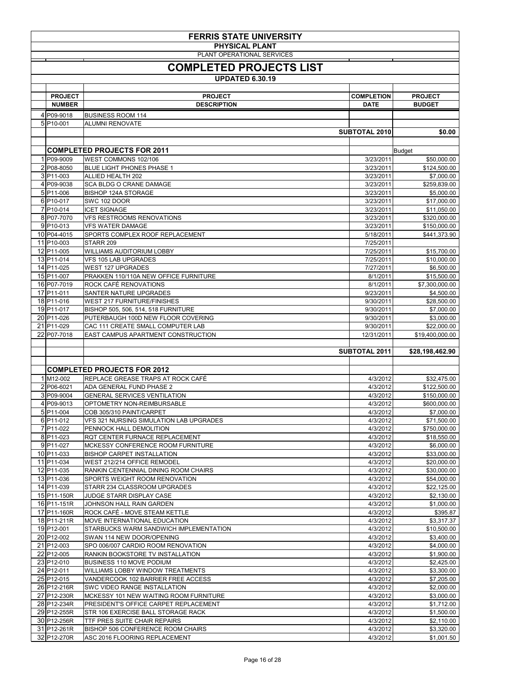| <b>FERRIS STATE UNIVERSITY</b><br><b>PHYSICAL PLANT</b> |                                                                               |                        |                              |  |  |
|---------------------------------------------------------|-------------------------------------------------------------------------------|------------------------|------------------------------|--|--|
|                                                         | PLANT OPERATIONAL SERVICES                                                    |                        |                              |  |  |
|                                                         | <b>COMPLETED PROJECTS LIST</b>                                                |                        |                              |  |  |
| <b>UPDATED 6.30.19</b>                                  |                                                                               |                        |                              |  |  |
| <b>PROJECT</b>                                          | <b>PROJECT</b>                                                                | <b>COMPLETION</b>      | <b>PROJECT</b>               |  |  |
| <b>NUMBER</b>                                           | <b>DESCRIPTION</b>                                                            | <b>DATE</b>            | <b>BUDGET</b>                |  |  |
| 4 P09-9018                                              | <b>BUSINESS ROOM 114</b>                                                      |                        |                              |  |  |
| 5 P10-001                                               | <b>ALUMNI RENOVATE</b>                                                        |                        |                              |  |  |
|                                                         |                                                                               | SUBTOTAL 2010          | \$0.00                       |  |  |
|                                                         | <b>COMPLETED PROJECTS FOR 2011</b>                                            |                        | Budget                       |  |  |
| 1 P09-9009                                              | WEST COMMONS 102/106                                                          | 3/23/2011              | \$50,000.00                  |  |  |
| 2 P08-8050                                              | <b>BLUE LIGHT PHONES PHASE 1</b>                                              | 3/23/2011              | \$124,500.00                 |  |  |
| $3 P11-003$<br>4 P09-9038                               | <b>ALLIED HEALTH 202</b><br><b>SCA BLDG O CRANE DAMAGE</b>                    | 3/23/2011<br>3/23/2011 | \$7,000.00<br>\$259,839.00   |  |  |
| 5 P11-006                                               | <b>BISHOP 124A STORAGE</b>                                                    | 3/23/2011              | \$5,000.00                   |  |  |
| 6 P10-017                                               | <b>SWC 102 DOOR</b>                                                           | 3/23/2011              | \$17,000.00                  |  |  |
| 7 P10-014                                               | <b>ICET SIGNAGE</b>                                                           | 3/23/2011              | \$11,050.00                  |  |  |
| 8 P07-7070<br>$9 P10-013$                               | <b>VFS RESTROOMS RENOVATIONS</b><br><b>VFS WATER DAMAGE</b>                   | 3/23/2011<br>3/23/2011 | \$320,000.00<br>\$150,000.00 |  |  |
| 10 P04-4015                                             | SPORTS COMPLEX ROOF REPLACEMENT                                               | 5/18/2011              | \$441,373.90                 |  |  |
| 11 P10-003                                              | STARR 209                                                                     | 7/25/2011              |                              |  |  |
| 12 P11-005                                              | <b>WILLIAMS AUDITORIUM LOBBY</b>                                              | 7/25/2011              | \$15,700.00                  |  |  |
| 13 P11-014<br>14 P11-025                                | VFS 105 LAB UPGRADES<br><b>WEST 127 UPGRADES</b>                              | 7/25/2011<br>7/27/2011 | \$10,000.00<br>\$6,500.00    |  |  |
| 15 P11-007                                              | PRAKKEN 110/110A NEW OFFICE FURNITURE                                         | 8/1/2011               | \$15,500.00                  |  |  |
| 16 P07-7019                                             | <b>ROCK CAFÉ RENOVATIONS</b>                                                  | 8/1/2011               | \$7,300,000.00               |  |  |
| 17 P11-011                                              | SANTER NATURE UPGRADES                                                        | 9/23/2011              | \$4,500.00                   |  |  |
| 18 P11-016<br>19 P11-017                                | <b>WEST 217 FURNITURE/FINISHES</b><br>BISHOP 505, 506, 514, 518 FURNITURE     | 9/30/2011              | \$28,500.00                  |  |  |
| 20 P11-026                                              | PUTERBAUGH 100D NEW FLOOR COVERING                                            | 9/30/2011<br>9/30/2011 | \$7,000.00<br>\$3,000.00     |  |  |
| 21 P11-029                                              | CAC 111 CREATE SMALL COMPUTER LAB                                             | 9/30/2011              | \$22,000.00                  |  |  |
| 22 P07-7018                                             | EAST CAMPUS APARTMENT CONSTRUCTION                                            | 12/31/2011             | \$19,400,000.00              |  |  |
|                                                         |                                                                               | <b>SUBTOTAL 2011</b>   | \$28,198,462.90              |  |  |
|                                                         | <b>COMPLETED PROJECTS FOR 2012</b>                                            |                        |                              |  |  |
| $1$ M <sub>12</sub> -002                                | REPLACE GREASE TRAPS AT ROCK CAFÉ                                             | 4/3/2012               | \$32,475.00                  |  |  |
| 2 P06-6021                                              | <b>ADA GENERAL FUND PHASE 2</b>                                               | 4/3/2012               | \$122,500.00                 |  |  |
| 3 P09-9004                                              | <b>GENERAL SERVICES VENTILATION</b>                                           | 4/3/2012               | \$150,000.00                 |  |  |
| 4 P09-9013<br>5 P11-004                                 | OPTOMETRY NON-REIMBURSABLE<br>COB 305/310 PAINT/CARPET                        | 4/3/2012<br>4/3/2012   | \$600,000.00                 |  |  |
| 6 P11-012                                               | <b>VFS 321 NURSING SIMULATION LAB UPGRADES</b>                                | 4/3/2012               | \$7,000.00<br>\$71,500.00    |  |  |
| 7 P11-022                                               | PENNOCK HALL DEMOLITION                                                       | 4/3/2012               | \$750,000.00                 |  |  |
| 8 P11-023                                               | RQT CENTER FURNACE REPLACEMENT                                                | 4/3/2012               | \$18,550.00                  |  |  |
| 9P11-027                                                | MCKESSY CONFERENCE ROOM FURNITURE                                             | 4/3/2012               | \$6,000.00                   |  |  |
| 10 P11-033<br>11 P11-034                                | <b>BISHOP CARPET INSTALLATION</b><br>WEST 212/214 OFFICE REMODEL              | 4/3/2012<br>4/3/2012   | \$33,000.00<br>\$20,000.00   |  |  |
| 12 P11-035                                              | RANKIN CENTENNIAL DINING ROOM CHAIRS                                          | 4/3/2012               | \$30,000.00                  |  |  |
| 13 P11-036                                              | <b>SPORTS WEIGHT ROOM RENOVATION</b>                                          | 4/3/2012               | \$54,000.00                  |  |  |
| 14 P11-039                                              | STARR 234 CLASSROOM UPGRADES                                                  | 4/3/2012               | \$22,125.00                  |  |  |
| 15 P11-150R<br>16 P11-151R                              | JUDGE STARR DISPLAY CASE<br>JOHNSON HALL RAIN GARDEN                          | 4/3/2012<br>4/3/2012   | \$2,130.00<br>\$1,000.00     |  |  |
| 17 P11-160R                                             | ROCK CAFÉ - MOVE STEAM KETTLE                                                 | 4/3/2012               | \$395.87                     |  |  |
| 18 P11-211R                                             | <b>MOVE INTERNATIONAL EDUCATION</b>                                           | 4/3/2012               | \$3,317.37                   |  |  |
| 19 P12-001                                              | STARBUCKS WARM SANDWICH IMPLEMENTATION                                        | 4/3/2012               | \$10,500.00                  |  |  |
| 20 P12-002                                              | SWAN 114 NEW DOOR/OPENING                                                     | 4/3/2012               | \$3,400.00                   |  |  |
| 21 P <sub>12</sub> -003<br>22 P12-005                   | SPO 006/007 CARDIO ROOM RENOVATION<br>RANKIN BOOKSTORE TV INSTALLATION        | 4/3/2012<br>4/3/2012   | \$4,000.00<br>\$1,900.00     |  |  |
| 23 P <sub>12</sub> -010                                 | <b>BUSINESS 110 MOVE PODIUM</b>                                               | 4/3/2012               | \$2,425.00                   |  |  |
| 24 P <sub>12</sub> -011                                 | <b>WILLIAMS LOBBY WINDOW TREATMENTS</b>                                       | 4/3/2012               | \$3,300.00                   |  |  |
| 25 P12-015                                              | VANDERCOOK 102 BARRIER FREE ACCESS                                            | 4/3/2012               | \$7,205.00                   |  |  |
| 26 P12-216R<br>27 P12-230R                              | <b>SWC VIDEO RANGE INSTALLATION</b><br>MCKESSY 101 NEW WAITING ROOM FURNITURE | 4/3/2012<br>4/3/2012   | \$2,000.00<br>\$3,000.00     |  |  |
| 28 P12-234R                                             | PRESIDENT'S OFFICE CARPET REPLACEMENT                                         | 4/3/2012               | \$1,712.00                   |  |  |
| 29 P12-255R                                             | STR 106 EXERCISE BALL STORAGE RACK                                            | 4/3/2012               | \$1,500.00                   |  |  |
| 30 P12-256R                                             | TTF PRES SUITE CHAIR REPAIRS                                                  | 4/3/2012               | \$2,110.00                   |  |  |
| 31 P12-261R<br>32 P12-270R                              | <b>BISHOP 506 CONFERENCE ROOM CHAIRS</b><br>ASC 2016 FLOORING REPLACEMENT     | 4/3/2012<br>4/3/2012   | \$3,320.00<br>\$1,001.50     |  |  |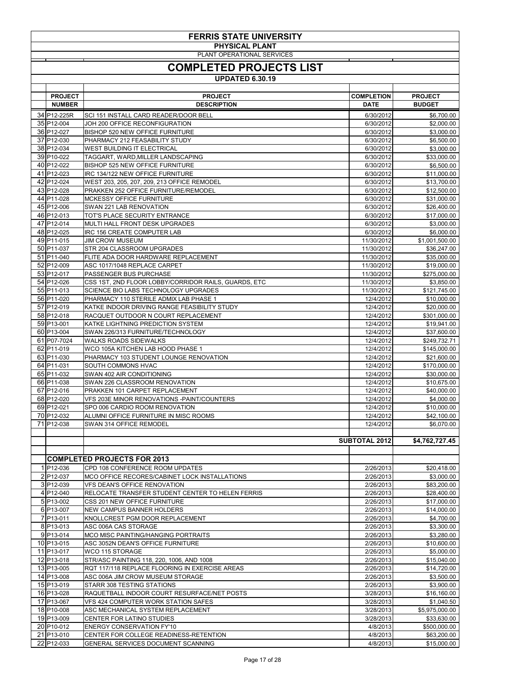| <b>FERRIS STATE UNIVERSITY</b> |                                                      |                      |                |  |  |  |
|--------------------------------|------------------------------------------------------|----------------------|----------------|--|--|--|
|                                | <b>PHYSICAL PLANT</b>                                |                      |                |  |  |  |
|                                | PLANT OPERATIONAL SERVICES                           |                      |                |  |  |  |
|                                | <b>COMPLETED PROJECTS LIST</b>                       |                      |                |  |  |  |
|                                | <b>UPDATED 6.30.19</b>                               |                      |                |  |  |  |
| <b>PROJECT</b>                 | <b>PROJECT</b>                                       | <b>COMPLETION</b>    | <b>PROJECT</b> |  |  |  |
| <b>NUMBER</b>                  | <b>DESCRIPTION</b>                                   | <b>DATE</b>          | <b>BUDGET</b>  |  |  |  |
| 34 P12-225R                    | <b>SCI 151 INSTALL CARD READER/DOOR BELL</b>         | 6/30/2012            | \$6,700.00     |  |  |  |
| 35 P12-004                     | JOH 200 OFFICE RECONFIGURATION                       | 6/30/2012            | \$2,000.00     |  |  |  |
| 36 P12-027                     | <b>BISHOP 520 NEW OFFICE FURNITURE</b>               | 6/30/2012            | \$3,000.00     |  |  |  |
| 37 P12-030                     | PHARMACY 212 FEASABILITY STUDY                       | 6/30/2012            | \$6,500.00     |  |  |  |
| 38 P12-034                     | <b>WEST BUILDING IT ELECTRICAL</b>                   | 6/30/2012            | \$3,000.00     |  |  |  |
| 39 P10-022                     | TAGGART, WARD, MILLER LANDSCAPING                    | 6/30/2012            | \$33,000.00    |  |  |  |
| 40 P12-022                     | <b>BISHOP 525 NEW OFFICE FURNITURE</b>               | 6/30/2012            | \$6,500.00     |  |  |  |
| 41 P12-023                     | IRC 134/122 NEW OFFICE FURNITURE                     | 6/30/2012            | \$11,000.00    |  |  |  |
| 42 P12-024                     | WEST 203, 205, 207, 209, 213 OFFICE REMODEL          | 6/30/2012            | \$13,700.00    |  |  |  |
| 43 P12-028                     | PRAKKEN 252 OFFICE FURNITURE/REMODEL                 | 6/30/2012            | \$12,500.00    |  |  |  |
| 44 P11-028                     | <b>MCKESSY OFFICE FURNITURE</b>                      | 6/30/2012            | \$31,000.00    |  |  |  |
| 45 P12-006                     | SWAN 221 LAB RENOVATION                              | 6/30/2012            | \$26,400.00    |  |  |  |
| 46 P12-013                     | TOT'S PLACE SECURITY ENTRANCE                        | 6/30/2012            | \$17,000.00    |  |  |  |
| 47 P12-014                     | MULTI HALL FRONT DESK UPGRADES                       | 6/30/2012            | \$3,000.00     |  |  |  |
| 48 P12-025                     | IRC 156 CREATE COMPUTER LAB                          | 6/30/2012            | \$6,000.00     |  |  |  |
| 49 P11-015                     | <b>JIM CROW MUSEUM</b>                               | 11/30/2012           | \$1,001,500.00 |  |  |  |
| 50 P11-037                     | <b>STR 204 CLASSROOM UPGRADES</b>                    | 11/30/2012           | \$36,247.00    |  |  |  |
| 51 P11-040                     | FLITE ADA DOOR HARDWARE REPLACEMENT                  | 11/30/2012           | \$35,000.00    |  |  |  |
| 52 P12-009                     | ASC 1017/1048 REPLACE CARPET                         | 11/30/2012           | \$19,000.00    |  |  |  |
| 53 P12-017                     | <b>PASSENGER BUS PURCHASE</b>                        | 11/30/2012           | \$275,000.00   |  |  |  |
| 54 P12-026                     | CSS 1ST, 2ND FLOOR LOBBY/CORRIDOR RAILS, GUARDS, ETC | 11/30/2012           | \$3,850.00     |  |  |  |
| 55 P11-013                     | SCIENCE BIO LABS TECHNOLOGY UPGRADES                 | 11/30/2012           | \$121,745.00   |  |  |  |
| 56 P11-020                     | PHARMACY 110 STERILE ADMIX LAB PHASE 1               | 12/4/2012            | \$10,000.00    |  |  |  |
| 57 P12-019                     | KATKE INDOOR DRIVING RANGE FEASIBILITY STUDY         | 12/4/2012            | \$20,000.00    |  |  |  |
| 58 P12-018                     | RACQUET OUTDOOR N COURT REPLACEMENT                  | 12/4/2012            | \$301,000.00   |  |  |  |
| 59 P13-001                     | KATKE LIGHTNING PREDICTION SYSTEM                    | 12/4/2012            | \$19,941.00    |  |  |  |
| 60 P13-004                     | SWAN 226/313 FURNITURE/TECHNOLOGY                    | 12/4/2012            | \$37,600.00    |  |  |  |
| 61 P07-7024                    | <b>WALKS ROADS SIDEWALKS</b>                         | 12/4/2012            | \$249,732.71   |  |  |  |
| 62 P11-019                     | WCO 105A KITCHEN LAB HOOD PHASE 1                    | 12/4/2012            | \$145,000.00   |  |  |  |
| 63 P11-030                     | PHARMACY 103 STUDENT LOUNGE RENOVATION               | 12/4/2012            | \$21,600.00    |  |  |  |
| 64 P11-031                     | <b>SOUTH COMMONS HVAC</b>                            | 12/4/2012            | \$170,000.00   |  |  |  |
| 65 P11-032                     | SWAN 402 AIR CONDITIONING                            | 12/4/2012            | \$30,000.00    |  |  |  |
| 66 P11-038                     | SWAN 226 CLASSROOM RENOVATION                        | 12/4/2012            | \$10,675.00    |  |  |  |
| 67 P12-016                     | PRAKKEN 101 CARPET REPLACEMENT                       | 12/4/2012            | \$40,000.00    |  |  |  |
| 68 P12-020                     | VFS 203E MINOR RENOVATIONS - PAINT/COUNTERS          | 12/4/2012            | \$4,000.00     |  |  |  |
| 69 P12-021                     | SPO 006 CARDIO ROOM RENOVATION                       | 12/4/2012            | \$10,000.00    |  |  |  |
| 70 P12-032                     | ALUMNI OFFICE FURNITURE IN MISC ROOMS                | 12/4/2012            | \$42,100.00    |  |  |  |
| 71 P12-038                     | <b>SWAN 314 OFFICE REMODEL</b>                       | 12/4/2012            | \$6,070.00     |  |  |  |
|                                |                                                      | <b>SUBTOTAL 2012</b> | \$4,762,727.45 |  |  |  |
|                                |                                                      |                      |                |  |  |  |
|                                | <b>COMPLETED PROJECTS FOR 2013</b>                   |                      |                |  |  |  |
| 1 P <sub>12</sub> -036         | CPD 108 CONFERENCE ROOM UPDATES                      | 2/26/2013            | \$20,418.00    |  |  |  |
| 2 P12-037                      | MCO OFFICE RECORES/CABINET LOCK INSTALLATIONS        | 2/26/2013            | \$3,000.00     |  |  |  |
| 3 P <sub>12</sub> -039         | <b>VFS DEAN'S OFFICE RENOVATION</b>                  | 2/26/2013            | \$83,200.00    |  |  |  |
| 4 P <sub>12</sub> -040         | RELOCATE TRANSFER STUDENT CENTER TO HELEN FERRIS     | 2/26/2013            | \$28,400.00    |  |  |  |
| $5 P13-002$                    | CSS 201 NEW OFFICE FURNITURE                         | 2/26/2013            | \$17,000.00    |  |  |  |
| 6 P <sub>13</sub> -007         | <b>NEW CAMPUS BANNER HOLDERS</b>                     | 2/26/2013            | \$14,000.00    |  |  |  |
| 7 P13-011                      | KNOLLCREST PGM DOOR REPLACEMENT                      | 2/26/2013            | \$4,700.00     |  |  |  |
| 8 P13-013                      | ASC 006A CAS STORAGE                                 | 2/26/2013            | \$3,300.00     |  |  |  |
| $9 P13-014$                    | MCO MISC PAINTING/HANGING PORTRAITS                  | 2/26/2013            | \$3,280.00     |  |  |  |

| 10 P13-015              | ASC 3052N DEAN'S OFFICE FURNITURE              | 2/26/2013 | \$10,600.00    |
|-------------------------|------------------------------------------------|-----------|----------------|
| 11 P13-017              | IWCO 115 STORAGE                               | 2/26/2013 | \$5,000.00     |
| 12 P13-018              | STR/ASC PAINTING 118, 220, 1006, AND 1008      | 2/26/2013 | \$15,040.00    |
| 13 P13-005              | RQT 117/118 REPLACE FLOORING IN EXERCISE AREAS | 2/26/2013 | \$14,720.00    |
| 14 P13-008              | ASC 006A JIM CROW MUSEUM STORAGE               | 2/26/2013 | \$3,500.00     |
| 15 P13-019              | <b>STARR 308 TESTING STATIONS</b>              | 2/26/2013 | \$3,900.00     |
| 16 P13-028              | RAQUETBALL INDOOR COURT RESURFACE/NET POSTS    | 3/28/2013 | \$16,160.00    |
| 17 P13-067              | VFS 424 COMPUTER WORK STATION SAFES            | 3/28/2013 | \$1,040.50     |
| 18 P10-008              | ASC MECHANICAL SYSTEM REPLACEMENT              | 3/28/2013 | \$5,975,000.00 |
| 19 P <sub>13-009</sub>  | <b>CENTER FOR LATINO STUDIES</b>               | 3/28/2013 | \$33,630.00    |
| 20 P <sub>10</sub> -012 | <b>ENERGY CONSERVATION FY'10</b>               | 4/8/2013  | \$500,000.00   |
| 21 P13-010              | CENTER FOR COLLEGE READINESS-RETENTION         | 4/8/2013  | \$63,200.00    |
| 22 P12-033              | <b>GENERAL SERVICES DOCUMENT SCANNING</b>      | 4/8/2013  | \$15,000.00    |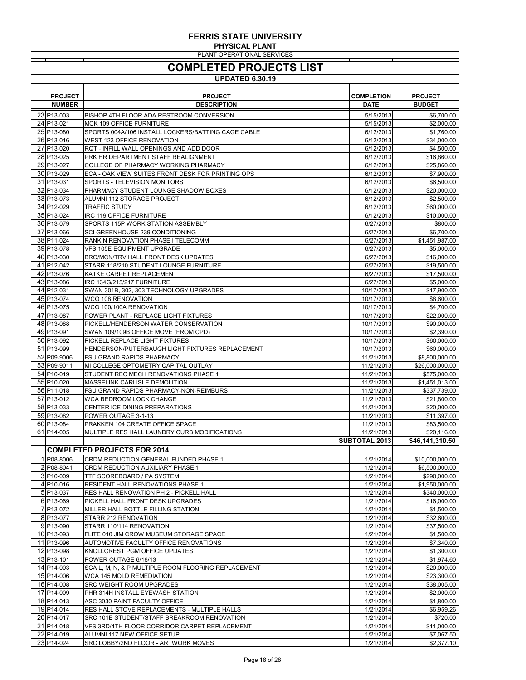| PLANT OPERATIONAL SERVICES<br><b>COMPLETED PROJECTS LIST</b><br><b>UPDATED 6.30.19</b><br><b>PROJECT</b><br><b>PROJECT</b><br><b>COMPLETION</b><br><b>PROJECT</b><br><b>DESCRIPTION</b><br><b>BUDGET</b><br><b>NUMBER</b><br><b>DATE</b><br>23 P <sub>13-003</sub><br>5/15/2013<br>BISHOP 4TH FLOOR ADA RESTROOM CONVERSION<br>\$6,700.00<br>24 P13-021<br><b>MCK 109 OFFICE FURNITURE</b><br>5/15/2013<br>\$2,000.00<br>25 P13-080<br>SPORTS 004A/106 INSTALL LOCKERS/BATTING CAGE CABLE<br>6/12/2013<br>\$1,760.00<br>26 P13-016<br><b>WEST 123 OFFICE RENOVATION</b><br>6/12/2013<br>\$34,000.00<br>27 P13-020<br>RQT - INFILL WALL OPENINGS AND ADD DOOR<br>6/12/2013<br>\$4,500.00<br>6/12/2013<br>28 P13-025<br>PRK HR DEPARTMENT STAFF REALIGNMENT<br>\$16,860.00<br>29 P13-027<br>6/12/2013<br>COLLEGE OF PHARMACY WORKING PHARMACY<br>\$25,860.00<br>30 P13-029<br>6/12/2013<br>\$7,900.00<br>ECA - OAK VIEW SUITES FRONT DESK FOR PRINTING OPS<br>31 P13-031<br>SPORTS - TELEVISION MONITORS<br>6/12/2013<br>\$6,500.00<br>32 P13-034<br>6/12/2013<br>\$20,000.00<br>PHARMACY STUDENT LOUNGE SHADOW BOXES<br>33 P13-073<br>ALUMNI 112 STORAGE PROJECT<br>6/12/2013<br>\$2,500.00<br>34 P12-029<br><b>TRAFFIC STUDY</b><br>6/12/2013<br>\$60,000.00<br>35 P13-024<br><b>IRC 119 OFFICE FURNITURE</b><br>6/12/2013<br>\$10,000.00<br>36 P13-079<br>SPORTS 115P WORK STATION ASSEMBLY<br>6/27/2013<br>\$800.00<br>37 P13-066<br>SCI GREENHOUSE 239 CONDITIONING<br>6/27/2013<br>\$6,700.00<br>38 P11-024<br>RANKIN RENOVATION PHASE I TELECOMM<br>\$1,451,987.00<br>6/27/2013<br>39 P13-078<br>6/27/2013<br>\$5,000.00<br><b>VFS 105E EQUIPMENT UPGRADE</b><br>40 P13-030<br><b>BRO/MCN/TRV HALL FRONT DESK UPDATES</b><br>6/27/2013<br>\$16,000.00<br>41 P <sub>12</sub> -042<br>STARR 118/210 STUDENT LOUNGE FURNITURE<br>6/27/2013<br>\$19,500.00<br>42 P13-076<br>KATKE CARPET REPLACEMENT<br>6/27/2013<br>\$17,500.00<br>43 P13-086<br>IRC 134G/215/217 FURNITURE<br>6/27/2013<br>\$5,000.00<br>44 P12-031<br>\$17,900.00<br>SWAN 301B, 302, 303 TECHNOLOGY UPGRADES<br>10/17/2013<br>45 P13-074<br><b>WCO 108 RENOVATION</b><br>10/17/2013<br>46 P13-075<br>WCO 100/100A RENOVATION<br>10/17/2013<br>47 P13-087<br>10/17/2013<br>POWER PLANT - REPLACE LIGHT FIXTURES<br>\$22,000.00<br>48 P13-088<br>PICKELL/HENDERSON WATER CONSERVATION<br>10/17/2013<br>\$90,000.00<br>49 P13-091<br>10/17/2013<br>\$2,390.00<br>SWAN 109/109B OFFICE MOVE (FROM CPD)<br>10/17/2013<br>50 P13-092<br>PICKELL REPLACE LIGHT FIXTURES<br>\$60,000.00<br>51 P13-099<br>10/17/2013<br>\$60,000.00<br>HENDERSON/PUTERBAUGH LIGHT FIXTURES REPLACEMENT<br>52 P09-9006<br><b>FSU GRAND RAPIDS PHARMACY</b><br>11/21/2013<br>\$8,800,000.00<br>11/21/2013<br>53 P09-9011<br>MI COLLEGE OPTOMETRY CAPITAL OUTLAY<br>\$26,000,000.00<br>54 P10-019<br>STUDENT REC MECH RENOVATIONS PHASE 1<br>11/21/2013<br>55 P10-020<br>11/21/2013<br><b>MASSELINK CARLISLE DEMOLITION</b><br>56 P11-018<br><b>FSU GRAND RAPIDS PHARMACY-NON-REIMBURS</b><br>11/21/2013<br>\$337,739.00<br>57 P13-012<br>WCA BEDROOM LOCK CHANGE<br>11/21/2013<br>\$21,800.00<br>58 P13-033<br>CENTER ICE DINING PREPARATIONS<br>11/21/2013<br>\$20,000.00<br>59 P13-082<br>POWER OUTAGE 3-1-13<br>11/21/2013<br>60 P13-084<br>11/21/2013<br>\$83,500.00<br>PRAKKEN 104 CREATE OFFICE SPACE<br>\$20,116.00<br>61 P14-005<br>11/21/2013<br>MULTIPLE RES HALL LAUNDRY CURB MODIFICATIONS<br><b>SUBTOTAL 2013</b><br>\$46,141,310.50<br><b>COMPLETED PROJECTS FOR 2014</b><br>1/21/2014<br>1 P08-8006<br>CRDM REDUCTION GENERAL FUNDED PHASE 1<br>\$10,000,000.00<br>2 P08-8041<br><b>CRDM REDUCTION AUXILIARY PHASE 1</b><br>1/21/2014<br>$3 P10-009$<br>1/21/2014<br>\$290,000.00<br>TTF SCOREBOARD / PA SYSTEM<br>4 P10-016<br><b>RESIDENT HALL RENOVATIONS PHASE 1</b><br>1/21/2014<br>\$1,950,000.00<br>5 P13-037<br>1/21/2014<br>\$340,000.00<br><b>RES HALL RENOVATION PH 2 - PICKELL HALL</b><br>PICKELL HALL FRONT DESK UPGRADES<br>1/21/2014<br>6 P13-069<br>7 P13-072<br>MILLER HALL BOTTLE FILLING STATION<br>1/21/2014<br>8 P13-077<br>STARR 212 RENOVATION<br>1/21/2014<br>\$32,600.00<br>$9 P13-090$<br>STARR 110/114 RENOVATION<br>1/21/2014<br>\$37,500.00<br>10 P13-093<br>FLITE 010 JIM CROW MUSEUM STORAGE SPACE<br>1/21/2014<br>\$1,500.00<br>11 P13-096<br>AUTOMOTIVE FACULTY OFFICE RENOVATIONS<br>1/21/2014<br>\$7,340.00<br>12 P13-098<br>1/21/2014<br>KNOLLCREST PGM OFFICE UPDATES<br>13 P13-101<br>POWER OUTAGE 6/16/13<br>\$1,974.60<br>1/21/2014<br>$\overline{14}$ P14-003<br>SCA L, M, N, & P MULTIPLE ROOM FLOORING REPLACEMENT<br>1/21/2014<br>\$20,000.00<br>15 P14-006<br>1/21/2014<br><b>WCA 145 MOLD REMEDIATION</b><br>16 P14-008<br><b>SRC WEIGHT ROOM UPGRADES</b><br>1/21/2014<br>17 P14-009<br>1/21/2014<br>PHR 314H INSTALL EYEWASH STATION<br>18 P14-013<br>1/21/2014<br>ASC 3030 PAINT FACULTY OFFICE<br>\$1,800.00<br>19 P14-014<br>RES HALL STOVE REPLACEMENTS - MULTIPLE HALLS<br>1/21/2014<br>\$6,959.26<br>1/21/2014<br>20 P14-017<br>SRC 101E STUDENT/STAFF BREAKROOM RENOVATION<br>21 P14-018<br>VFS 3RD/4TH FLOOR CORRIDOR CARPET REPLACEMENT<br>1/21/2014<br>22 P <sub>14-019</sub><br>1/21/2014<br>ALUMNI 117 NEW OFFICE SETUP<br>\$7,067.50 | <b>FERRIS STATE UNIVERSITY</b> |                                            |           |                |  |  |  |
|------------------------------------------------------------------------------------------------------------------------------------------------------------------------------------------------------------------------------------------------------------------------------------------------------------------------------------------------------------------------------------------------------------------------------------------------------------------------------------------------------------------------------------------------------------------------------------------------------------------------------------------------------------------------------------------------------------------------------------------------------------------------------------------------------------------------------------------------------------------------------------------------------------------------------------------------------------------------------------------------------------------------------------------------------------------------------------------------------------------------------------------------------------------------------------------------------------------------------------------------------------------------------------------------------------------------------------------------------------------------------------------------------------------------------------------------------------------------------------------------------------------------------------------------------------------------------------------------------------------------------------------------------------------------------------------------------------------------------------------------------------------------------------------------------------------------------------------------------------------------------------------------------------------------------------------------------------------------------------------------------------------------------------------------------------------------------------------------------------------------------------------------------------------------------------------------------------------------------------------------------------------------------------------------------------------------------------------------------------------------------------------------------------------------------------------------------------------------------------------------------------------------------------------------------------------------------------------------------------------------------------------------------------------------------------------------------------------------------------------------------------------------------------------------------------------------------------------------------------------------------------------------------------------------------------------------------------------------------------------------------------------------------------------------------------------------------------------------------------------------------------------------------------------------------------------------------------------------------------------------------------------------------------------------------------------------------------------------------------------------------------------------------------------------------------------------------------------------------------------------------------------------------------------------------------------------------------------------------------------------------------------------------------------------------------------------------------------------------------------------------------------------------------------------------------------------------------------------------------------------------------------------------------------------------------------------------------------------------------------------------------------------------------------------------------------------------------------------------------------------------------------------------------------------------------------------------------------------------------------------------------------------------------------------------------------------------------------------------------------------------------------------------------------------------------------------------------------------------------------------------------------------------------------------------------------------------------------------------------------------------------------------------------------------------------------------------------------------------------------------------------------------------------------------------------------------------------------------------------------------------------------------------------------------------------------------------------------------------------------------------------------------------------------------------------------------------------------------------------------------------------------------------------------------------------------------------------------------------------------------------------|--------------------------------|--------------------------------------------|-----------|----------------|--|--|--|
|                                                                                                                                                                                                                                                                                                                                                                                                                                                                                                                                                                                                                                                                                                                                                                                                                                                                                                                                                                                                                                                                                                                                                                                                                                                                                                                                                                                                                                                                                                                                                                                                                                                                                                                                                                                                                                                                                                                                                                                                                                                                                                                                                                                                                                                                                                                                                                                                                                                                                                                                                                                                                                                                                                                                                                                                                                                                                                                                                                                                                                                                                                                                                                                                                                                                                                                                                                                                                                                                                                                                                                                                                                                                                                                                                                                                                                                                                                                                                                                                                                                                                                                                                                                                                                                                                                                                                                                                                                                                                                                                                                                                                                                                                                                                                                                                                                                                                                                                                                                                                                                                                                                                                                                                                                                            | <b>PHYSICAL PLANT</b>          |                                            |           |                |  |  |  |
|                                                                                                                                                                                                                                                                                                                                                                                                                                                                                                                                                                                                                                                                                                                                                                                                                                                                                                                                                                                                                                                                                                                                                                                                                                                                                                                                                                                                                                                                                                                                                                                                                                                                                                                                                                                                                                                                                                                                                                                                                                                                                                                                                                                                                                                                                                                                                                                                                                                                                                                                                                                                                                                                                                                                                                                                                                                                                                                                                                                                                                                                                                                                                                                                                                                                                                                                                                                                                                                                                                                                                                                                                                                                                                                                                                                                                                                                                                                                                                                                                                                                                                                                                                                                                                                                                                                                                                                                                                                                                                                                                                                                                                                                                                                                                                                                                                                                                                                                                                                                                                                                                                                                                                                                                                                            |                                |                                            |           |                |  |  |  |
|                                                                                                                                                                                                                                                                                                                                                                                                                                                                                                                                                                                                                                                                                                                                                                                                                                                                                                                                                                                                                                                                                                                                                                                                                                                                                                                                                                                                                                                                                                                                                                                                                                                                                                                                                                                                                                                                                                                                                                                                                                                                                                                                                                                                                                                                                                                                                                                                                                                                                                                                                                                                                                                                                                                                                                                                                                                                                                                                                                                                                                                                                                                                                                                                                                                                                                                                                                                                                                                                                                                                                                                                                                                                                                                                                                                                                                                                                                                                                                                                                                                                                                                                                                                                                                                                                                                                                                                                                                                                                                                                                                                                                                                                                                                                                                                                                                                                                                                                                                                                                                                                                                                                                                                                                                                            |                                |                                            |           |                |  |  |  |
|                                                                                                                                                                                                                                                                                                                                                                                                                                                                                                                                                                                                                                                                                                                                                                                                                                                                                                                                                                                                                                                                                                                                                                                                                                                                                                                                                                                                                                                                                                                                                                                                                                                                                                                                                                                                                                                                                                                                                                                                                                                                                                                                                                                                                                                                                                                                                                                                                                                                                                                                                                                                                                                                                                                                                                                                                                                                                                                                                                                                                                                                                                                                                                                                                                                                                                                                                                                                                                                                                                                                                                                                                                                                                                                                                                                                                                                                                                                                                                                                                                                                                                                                                                                                                                                                                                                                                                                                                                                                                                                                                                                                                                                                                                                                                                                                                                                                                                                                                                                                                                                                                                                                                                                                                                                            |                                |                                            |           |                |  |  |  |
|                                                                                                                                                                                                                                                                                                                                                                                                                                                                                                                                                                                                                                                                                                                                                                                                                                                                                                                                                                                                                                                                                                                                                                                                                                                                                                                                                                                                                                                                                                                                                                                                                                                                                                                                                                                                                                                                                                                                                                                                                                                                                                                                                                                                                                                                                                                                                                                                                                                                                                                                                                                                                                                                                                                                                                                                                                                                                                                                                                                                                                                                                                                                                                                                                                                                                                                                                                                                                                                                                                                                                                                                                                                                                                                                                                                                                                                                                                                                                                                                                                                                                                                                                                                                                                                                                                                                                                                                                                                                                                                                                                                                                                                                                                                                                                                                                                                                                                                                                                                                                                                                                                                                                                                                                                                            |                                |                                            |           |                |  |  |  |
|                                                                                                                                                                                                                                                                                                                                                                                                                                                                                                                                                                                                                                                                                                                                                                                                                                                                                                                                                                                                                                                                                                                                                                                                                                                                                                                                                                                                                                                                                                                                                                                                                                                                                                                                                                                                                                                                                                                                                                                                                                                                                                                                                                                                                                                                                                                                                                                                                                                                                                                                                                                                                                                                                                                                                                                                                                                                                                                                                                                                                                                                                                                                                                                                                                                                                                                                                                                                                                                                                                                                                                                                                                                                                                                                                                                                                                                                                                                                                                                                                                                                                                                                                                                                                                                                                                                                                                                                                                                                                                                                                                                                                                                                                                                                                                                                                                                                                                                                                                                                                                                                                                                                                                                                                                                            |                                |                                            |           |                |  |  |  |
|                                                                                                                                                                                                                                                                                                                                                                                                                                                                                                                                                                                                                                                                                                                                                                                                                                                                                                                                                                                                                                                                                                                                                                                                                                                                                                                                                                                                                                                                                                                                                                                                                                                                                                                                                                                                                                                                                                                                                                                                                                                                                                                                                                                                                                                                                                                                                                                                                                                                                                                                                                                                                                                                                                                                                                                                                                                                                                                                                                                                                                                                                                                                                                                                                                                                                                                                                                                                                                                                                                                                                                                                                                                                                                                                                                                                                                                                                                                                                                                                                                                                                                                                                                                                                                                                                                                                                                                                                                                                                                                                                                                                                                                                                                                                                                                                                                                                                                                                                                                                                                                                                                                                                                                                                                                            |                                |                                            |           |                |  |  |  |
|                                                                                                                                                                                                                                                                                                                                                                                                                                                                                                                                                                                                                                                                                                                                                                                                                                                                                                                                                                                                                                                                                                                                                                                                                                                                                                                                                                                                                                                                                                                                                                                                                                                                                                                                                                                                                                                                                                                                                                                                                                                                                                                                                                                                                                                                                                                                                                                                                                                                                                                                                                                                                                                                                                                                                                                                                                                                                                                                                                                                                                                                                                                                                                                                                                                                                                                                                                                                                                                                                                                                                                                                                                                                                                                                                                                                                                                                                                                                                                                                                                                                                                                                                                                                                                                                                                                                                                                                                                                                                                                                                                                                                                                                                                                                                                                                                                                                                                                                                                                                                                                                                                                                                                                                                                                            |                                |                                            |           |                |  |  |  |
|                                                                                                                                                                                                                                                                                                                                                                                                                                                                                                                                                                                                                                                                                                                                                                                                                                                                                                                                                                                                                                                                                                                                                                                                                                                                                                                                                                                                                                                                                                                                                                                                                                                                                                                                                                                                                                                                                                                                                                                                                                                                                                                                                                                                                                                                                                                                                                                                                                                                                                                                                                                                                                                                                                                                                                                                                                                                                                                                                                                                                                                                                                                                                                                                                                                                                                                                                                                                                                                                                                                                                                                                                                                                                                                                                                                                                                                                                                                                                                                                                                                                                                                                                                                                                                                                                                                                                                                                                                                                                                                                                                                                                                                                                                                                                                                                                                                                                                                                                                                                                                                                                                                                                                                                                                                            |                                |                                            |           |                |  |  |  |
|                                                                                                                                                                                                                                                                                                                                                                                                                                                                                                                                                                                                                                                                                                                                                                                                                                                                                                                                                                                                                                                                                                                                                                                                                                                                                                                                                                                                                                                                                                                                                                                                                                                                                                                                                                                                                                                                                                                                                                                                                                                                                                                                                                                                                                                                                                                                                                                                                                                                                                                                                                                                                                                                                                                                                                                                                                                                                                                                                                                                                                                                                                                                                                                                                                                                                                                                                                                                                                                                                                                                                                                                                                                                                                                                                                                                                                                                                                                                                                                                                                                                                                                                                                                                                                                                                                                                                                                                                                                                                                                                                                                                                                                                                                                                                                                                                                                                                                                                                                                                                                                                                                                                                                                                                                                            |                                |                                            |           |                |  |  |  |
|                                                                                                                                                                                                                                                                                                                                                                                                                                                                                                                                                                                                                                                                                                                                                                                                                                                                                                                                                                                                                                                                                                                                                                                                                                                                                                                                                                                                                                                                                                                                                                                                                                                                                                                                                                                                                                                                                                                                                                                                                                                                                                                                                                                                                                                                                                                                                                                                                                                                                                                                                                                                                                                                                                                                                                                                                                                                                                                                                                                                                                                                                                                                                                                                                                                                                                                                                                                                                                                                                                                                                                                                                                                                                                                                                                                                                                                                                                                                                                                                                                                                                                                                                                                                                                                                                                                                                                                                                                                                                                                                                                                                                                                                                                                                                                                                                                                                                                                                                                                                                                                                                                                                                                                                                                                            |                                |                                            |           |                |  |  |  |
|                                                                                                                                                                                                                                                                                                                                                                                                                                                                                                                                                                                                                                                                                                                                                                                                                                                                                                                                                                                                                                                                                                                                                                                                                                                                                                                                                                                                                                                                                                                                                                                                                                                                                                                                                                                                                                                                                                                                                                                                                                                                                                                                                                                                                                                                                                                                                                                                                                                                                                                                                                                                                                                                                                                                                                                                                                                                                                                                                                                                                                                                                                                                                                                                                                                                                                                                                                                                                                                                                                                                                                                                                                                                                                                                                                                                                                                                                                                                                                                                                                                                                                                                                                                                                                                                                                                                                                                                                                                                                                                                                                                                                                                                                                                                                                                                                                                                                                                                                                                                                                                                                                                                                                                                                                                            |                                |                                            |           |                |  |  |  |
|                                                                                                                                                                                                                                                                                                                                                                                                                                                                                                                                                                                                                                                                                                                                                                                                                                                                                                                                                                                                                                                                                                                                                                                                                                                                                                                                                                                                                                                                                                                                                                                                                                                                                                                                                                                                                                                                                                                                                                                                                                                                                                                                                                                                                                                                                                                                                                                                                                                                                                                                                                                                                                                                                                                                                                                                                                                                                                                                                                                                                                                                                                                                                                                                                                                                                                                                                                                                                                                                                                                                                                                                                                                                                                                                                                                                                                                                                                                                                                                                                                                                                                                                                                                                                                                                                                                                                                                                                                                                                                                                                                                                                                                                                                                                                                                                                                                                                                                                                                                                                                                                                                                                                                                                                                                            |                                |                                            |           |                |  |  |  |
|                                                                                                                                                                                                                                                                                                                                                                                                                                                                                                                                                                                                                                                                                                                                                                                                                                                                                                                                                                                                                                                                                                                                                                                                                                                                                                                                                                                                                                                                                                                                                                                                                                                                                                                                                                                                                                                                                                                                                                                                                                                                                                                                                                                                                                                                                                                                                                                                                                                                                                                                                                                                                                                                                                                                                                                                                                                                                                                                                                                                                                                                                                                                                                                                                                                                                                                                                                                                                                                                                                                                                                                                                                                                                                                                                                                                                                                                                                                                                                                                                                                                                                                                                                                                                                                                                                                                                                                                                                                                                                                                                                                                                                                                                                                                                                                                                                                                                                                                                                                                                                                                                                                                                                                                                                                            |                                |                                            |           |                |  |  |  |
|                                                                                                                                                                                                                                                                                                                                                                                                                                                                                                                                                                                                                                                                                                                                                                                                                                                                                                                                                                                                                                                                                                                                                                                                                                                                                                                                                                                                                                                                                                                                                                                                                                                                                                                                                                                                                                                                                                                                                                                                                                                                                                                                                                                                                                                                                                                                                                                                                                                                                                                                                                                                                                                                                                                                                                                                                                                                                                                                                                                                                                                                                                                                                                                                                                                                                                                                                                                                                                                                                                                                                                                                                                                                                                                                                                                                                                                                                                                                                                                                                                                                                                                                                                                                                                                                                                                                                                                                                                                                                                                                                                                                                                                                                                                                                                                                                                                                                                                                                                                                                                                                                                                                                                                                                                                            |                                |                                            |           |                |  |  |  |
|                                                                                                                                                                                                                                                                                                                                                                                                                                                                                                                                                                                                                                                                                                                                                                                                                                                                                                                                                                                                                                                                                                                                                                                                                                                                                                                                                                                                                                                                                                                                                                                                                                                                                                                                                                                                                                                                                                                                                                                                                                                                                                                                                                                                                                                                                                                                                                                                                                                                                                                                                                                                                                                                                                                                                                                                                                                                                                                                                                                                                                                                                                                                                                                                                                                                                                                                                                                                                                                                                                                                                                                                                                                                                                                                                                                                                                                                                                                                                                                                                                                                                                                                                                                                                                                                                                                                                                                                                                                                                                                                                                                                                                                                                                                                                                                                                                                                                                                                                                                                                                                                                                                                                                                                                                                            |                                |                                            |           |                |  |  |  |
|                                                                                                                                                                                                                                                                                                                                                                                                                                                                                                                                                                                                                                                                                                                                                                                                                                                                                                                                                                                                                                                                                                                                                                                                                                                                                                                                                                                                                                                                                                                                                                                                                                                                                                                                                                                                                                                                                                                                                                                                                                                                                                                                                                                                                                                                                                                                                                                                                                                                                                                                                                                                                                                                                                                                                                                                                                                                                                                                                                                                                                                                                                                                                                                                                                                                                                                                                                                                                                                                                                                                                                                                                                                                                                                                                                                                                                                                                                                                                                                                                                                                                                                                                                                                                                                                                                                                                                                                                                                                                                                                                                                                                                                                                                                                                                                                                                                                                                                                                                                                                                                                                                                                                                                                                                                            |                                |                                            |           |                |  |  |  |
|                                                                                                                                                                                                                                                                                                                                                                                                                                                                                                                                                                                                                                                                                                                                                                                                                                                                                                                                                                                                                                                                                                                                                                                                                                                                                                                                                                                                                                                                                                                                                                                                                                                                                                                                                                                                                                                                                                                                                                                                                                                                                                                                                                                                                                                                                                                                                                                                                                                                                                                                                                                                                                                                                                                                                                                                                                                                                                                                                                                                                                                                                                                                                                                                                                                                                                                                                                                                                                                                                                                                                                                                                                                                                                                                                                                                                                                                                                                                                                                                                                                                                                                                                                                                                                                                                                                                                                                                                                                                                                                                                                                                                                                                                                                                                                                                                                                                                                                                                                                                                                                                                                                                                                                                                                                            |                                |                                            |           |                |  |  |  |
|                                                                                                                                                                                                                                                                                                                                                                                                                                                                                                                                                                                                                                                                                                                                                                                                                                                                                                                                                                                                                                                                                                                                                                                                                                                                                                                                                                                                                                                                                                                                                                                                                                                                                                                                                                                                                                                                                                                                                                                                                                                                                                                                                                                                                                                                                                                                                                                                                                                                                                                                                                                                                                                                                                                                                                                                                                                                                                                                                                                                                                                                                                                                                                                                                                                                                                                                                                                                                                                                                                                                                                                                                                                                                                                                                                                                                                                                                                                                                                                                                                                                                                                                                                                                                                                                                                                                                                                                                                                                                                                                                                                                                                                                                                                                                                                                                                                                                                                                                                                                                                                                                                                                                                                                                                                            |                                |                                            |           |                |  |  |  |
|                                                                                                                                                                                                                                                                                                                                                                                                                                                                                                                                                                                                                                                                                                                                                                                                                                                                                                                                                                                                                                                                                                                                                                                                                                                                                                                                                                                                                                                                                                                                                                                                                                                                                                                                                                                                                                                                                                                                                                                                                                                                                                                                                                                                                                                                                                                                                                                                                                                                                                                                                                                                                                                                                                                                                                                                                                                                                                                                                                                                                                                                                                                                                                                                                                                                                                                                                                                                                                                                                                                                                                                                                                                                                                                                                                                                                                                                                                                                                                                                                                                                                                                                                                                                                                                                                                                                                                                                                                                                                                                                                                                                                                                                                                                                                                                                                                                                                                                                                                                                                                                                                                                                                                                                                                                            |                                |                                            |           |                |  |  |  |
|                                                                                                                                                                                                                                                                                                                                                                                                                                                                                                                                                                                                                                                                                                                                                                                                                                                                                                                                                                                                                                                                                                                                                                                                                                                                                                                                                                                                                                                                                                                                                                                                                                                                                                                                                                                                                                                                                                                                                                                                                                                                                                                                                                                                                                                                                                                                                                                                                                                                                                                                                                                                                                                                                                                                                                                                                                                                                                                                                                                                                                                                                                                                                                                                                                                                                                                                                                                                                                                                                                                                                                                                                                                                                                                                                                                                                                                                                                                                                                                                                                                                                                                                                                                                                                                                                                                                                                                                                                                                                                                                                                                                                                                                                                                                                                                                                                                                                                                                                                                                                                                                                                                                                                                                                                                            |                                |                                            |           |                |  |  |  |
|                                                                                                                                                                                                                                                                                                                                                                                                                                                                                                                                                                                                                                                                                                                                                                                                                                                                                                                                                                                                                                                                                                                                                                                                                                                                                                                                                                                                                                                                                                                                                                                                                                                                                                                                                                                                                                                                                                                                                                                                                                                                                                                                                                                                                                                                                                                                                                                                                                                                                                                                                                                                                                                                                                                                                                                                                                                                                                                                                                                                                                                                                                                                                                                                                                                                                                                                                                                                                                                                                                                                                                                                                                                                                                                                                                                                                                                                                                                                                                                                                                                                                                                                                                                                                                                                                                                                                                                                                                                                                                                                                                                                                                                                                                                                                                                                                                                                                                                                                                                                                                                                                                                                                                                                                                                            |                                |                                            |           |                |  |  |  |
|                                                                                                                                                                                                                                                                                                                                                                                                                                                                                                                                                                                                                                                                                                                                                                                                                                                                                                                                                                                                                                                                                                                                                                                                                                                                                                                                                                                                                                                                                                                                                                                                                                                                                                                                                                                                                                                                                                                                                                                                                                                                                                                                                                                                                                                                                                                                                                                                                                                                                                                                                                                                                                                                                                                                                                                                                                                                                                                                                                                                                                                                                                                                                                                                                                                                                                                                                                                                                                                                                                                                                                                                                                                                                                                                                                                                                                                                                                                                                                                                                                                                                                                                                                                                                                                                                                                                                                                                                                                                                                                                                                                                                                                                                                                                                                                                                                                                                                                                                                                                                                                                                                                                                                                                                                                            |                                |                                            |           | \$8,600.00     |  |  |  |
|                                                                                                                                                                                                                                                                                                                                                                                                                                                                                                                                                                                                                                                                                                                                                                                                                                                                                                                                                                                                                                                                                                                                                                                                                                                                                                                                                                                                                                                                                                                                                                                                                                                                                                                                                                                                                                                                                                                                                                                                                                                                                                                                                                                                                                                                                                                                                                                                                                                                                                                                                                                                                                                                                                                                                                                                                                                                                                                                                                                                                                                                                                                                                                                                                                                                                                                                                                                                                                                                                                                                                                                                                                                                                                                                                                                                                                                                                                                                                                                                                                                                                                                                                                                                                                                                                                                                                                                                                                                                                                                                                                                                                                                                                                                                                                                                                                                                                                                                                                                                                                                                                                                                                                                                                                                            |                                |                                            |           | \$4,700.00     |  |  |  |
|                                                                                                                                                                                                                                                                                                                                                                                                                                                                                                                                                                                                                                                                                                                                                                                                                                                                                                                                                                                                                                                                                                                                                                                                                                                                                                                                                                                                                                                                                                                                                                                                                                                                                                                                                                                                                                                                                                                                                                                                                                                                                                                                                                                                                                                                                                                                                                                                                                                                                                                                                                                                                                                                                                                                                                                                                                                                                                                                                                                                                                                                                                                                                                                                                                                                                                                                                                                                                                                                                                                                                                                                                                                                                                                                                                                                                                                                                                                                                                                                                                                                                                                                                                                                                                                                                                                                                                                                                                                                                                                                                                                                                                                                                                                                                                                                                                                                                                                                                                                                                                                                                                                                                                                                                                                            |                                |                                            |           |                |  |  |  |
|                                                                                                                                                                                                                                                                                                                                                                                                                                                                                                                                                                                                                                                                                                                                                                                                                                                                                                                                                                                                                                                                                                                                                                                                                                                                                                                                                                                                                                                                                                                                                                                                                                                                                                                                                                                                                                                                                                                                                                                                                                                                                                                                                                                                                                                                                                                                                                                                                                                                                                                                                                                                                                                                                                                                                                                                                                                                                                                                                                                                                                                                                                                                                                                                                                                                                                                                                                                                                                                                                                                                                                                                                                                                                                                                                                                                                                                                                                                                                                                                                                                                                                                                                                                                                                                                                                                                                                                                                                                                                                                                                                                                                                                                                                                                                                                                                                                                                                                                                                                                                                                                                                                                                                                                                                                            |                                |                                            |           |                |  |  |  |
|                                                                                                                                                                                                                                                                                                                                                                                                                                                                                                                                                                                                                                                                                                                                                                                                                                                                                                                                                                                                                                                                                                                                                                                                                                                                                                                                                                                                                                                                                                                                                                                                                                                                                                                                                                                                                                                                                                                                                                                                                                                                                                                                                                                                                                                                                                                                                                                                                                                                                                                                                                                                                                                                                                                                                                                                                                                                                                                                                                                                                                                                                                                                                                                                                                                                                                                                                                                                                                                                                                                                                                                                                                                                                                                                                                                                                                                                                                                                                                                                                                                                                                                                                                                                                                                                                                                                                                                                                                                                                                                                                                                                                                                                                                                                                                                                                                                                                                                                                                                                                                                                                                                                                                                                                                                            |                                |                                            |           |                |  |  |  |
|                                                                                                                                                                                                                                                                                                                                                                                                                                                                                                                                                                                                                                                                                                                                                                                                                                                                                                                                                                                                                                                                                                                                                                                                                                                                                                                                                                                                                                                                                                                                                                                                                                                                                                                                                                                                                                                                                                                                                                                                                                                                                                                                                                                                                                                                                                                                                                                                                                                                                                                                                                                                                                                                                                                                                                                                                                                                                                                                                                                                                                                                                                                                                                                                                                                                                                                                                                                                                                                                                                                                                                                                                                                                                                                                                                                                                                                                                                                                                                                                                                                                                                                                                                                                                                                                                                                                                                                                                                                                                                                                                                                                                                                                                                                                                                                                                                                                                                                                                                                                                                                                                                                                                                                                                                                            |                                |                                            |           |                |  |  |  |
|                                                                                                                                                                                                                                                                                                                                                                                                                                                                                                                                                                                                                                                                                                                                                                                                                                                                                                                                                                                                                                                                                                                                                                                                                                                                                                                                                                                                                                                                                                                                                                                                                                                                                                                                                                                                                                                                                                                                                                                                                                                                                                                                                                                                                                                                                                                                                                                                                                                                                                                                                                                                                                                                                                                                                                                                                                                                                                                                                                                                                                                                                                                                                                                                                                                                                                                                                                                                                                                                                                                                                                                                                                                                                                                                                                                                                                                                                                                                                                                                                                                                                                                                                                                                                                                                                                                                                                                                                                                                                                                                                                                                                                                                                                                                                                                                                                                                                                                                                                                                                                                                                                                                                                                                                                                            |                                |                                            |           |                |  |  |  |
|                                                                                                                                                                                                                                                                                                                                                                                                                                                                                                                                                                                                                                                                                                                                                                                                                                                                                                                                                                                                                                                                                                                                                                                                                                                                                                                                                                                                                                                                                                                                                                                                                                                                                                                                                                                                                                                                                                                                                                                                                                                                                                                                                                                                                                                                                                                                                                                                                                                                                                                                                                                                                                                                                                                                                                                                                                                                                                                                                                                                                                                                                                                                                                                                                                                                                                                                                                                                                                                                                                                                                                                                                                                                                                                                                                                                                                                                                                                                                                                                                                                                                                                                                                                                                                                                                                                                                                                                                                                                                                                                                                                                                                                                                                                                                                                                                                                                                                                                                                                                                                                                                                                                                                                                                                                            |                                |                                            |           | \$575,000.00   |  |  |  |
|                                                                                                                                                                                                                                                                                                                                                                                                                                                                                                                                                                                                                                                                                                                                                                                                                                                                                                                                                                                                                                                                                                                                                                                                                                                                                                                                                                                                                                                                                                                                                                                                                                                                                                                                                                                                                                                                                                                                                                                                                                                                                                                                                                                                                                                                                                                                                                                                                                                                                                                                                                                                                                                                                                                                                                                                                                                                                                                                                                                                                                                                                                                                                                                                                                                                                                                                                                                                                                                                                                                                                                                                                                                                                                                                                                                                                                                                                                                                                                                                                                                                                                                                                                                                                                                                                                                                                                                                                                                                                                                                                                                                                                                                                                                                                                                                                                                                                                                                                                                                                                                                                                                                                                                                                                                            |                                |                                            |           | \$1,451,013.00 |  |  |  |
|                                                                                                                                                                                                                                                                                                                                                                                                                                                                                                                                                                                                                                                                                                                                                                                                                                                                                                                                                                                                                                                                                                                                                                                                                                                                                                                                                                                                                                                                                                                                                                                                                                                                                                                                                                                                                                                                                                                                                                                                                                                                                                                                                                                                                                                                                                                                                                                                                                                                                                                                                                                                                                                                                                                                                                                                                                                                                                                                                                                                                                                                                                                                                                                                                                                                                                                                                                                                                                                                                                                                                                                                                                                                                                                                                                                                                                                                                                                                                                                                                                                                                                                                                                                                                                                                                                                                                                                                                                                                                                                                                                                                                                                                                                                                                                                                                                                                                                                                                                                                                                                                                                                                                                                                                                                            |                                |                                            |           |                |  |  |  |
|                                                                                                                                                                                                                                                                                                                                                                                                                                                                                                                                                                                                                                                                                                                                                                                                                                                                                                                                                                                                                                                                                                                                                                                                                                                                                                                                                                                                                                                                                                                                                                                                                                                                                                                                                                                                                                                                                                                                                                                                                                                                                                                                                                                                                                                                                                                                                                                                                                                                                                                                                                                                                                                                                                                                                                                                                                                                                                                                                                                                                                                                                                                                                                                                                                                                                                                                                                                                                                                                                                                                                                                                                                                                                                                                                                                                                                                                                                                                                                                                                                                                                                                                                                                                                                                                                                                                                                                                                                                                                                                                                                                                                                                                                                                                                                                                                                                                                                                                                                                                                                                                                                                                                                                                                                                            |                                |                                            |           |                |  |  |  |
|                                                                                                                                                                                                                                                                                                                                                                                                                                                                                                                                                                                                                                                                                                                                                                                                                                                                                                                                                                                                                                                                                                                                                                                                                                                                                                                                                                                                                                                                                                                                                                                                                                                                                                                                                                                                                                                                                                                                                                                                                                                                                                                                                                                                                                                                                                                                                                                                                                                                                                                                                                                                                                                                                                                                                                                                                                                                                                                                                                                                                                                                                                                                                                                                                                                                                                                                                                                                                                                                                                                                                                                                                                                                                                                                                                                                                                                                                                                                                                                                                                                                                                                                                                                                                                                                                                                                                                                                                                                                                                                                                                                                                                                                                                                                                                                                                                                                                                                                                                                                                                                                                                                                                                                                                                                            |                                |                                            |           | \$11,397.00    |  |  |  |
|                                                                                                                                                                                                                                                                                                                                                                                                                                                                                                                                                                                                                                                                                                                                                                                                                                                                                                                                                                                                                                                                                                                                                                                                                                                                                                                                                                                                                                                                                                                                                                                                                                                                                                                                                                                                                                                                                                                                                                                                                                                                                                                                                                                                                                                                                                                                                                                                                                                                                                                                                                                                                                                                                                                                                                                                                                                                                                                                                                                                                                                                                                                                                                                                                                                                                                                                                                                                                                                                                                                                                                                                                                                                                                                                                                                                                                                                                                                                                                                                                                                                                                                                                                                                                                                                                                                                                                                                                                                                                                                                                                                                                                                                                                                                                                                                                                                                                                                                                                                                                                                                                                                                                                                                                                                            |                                |                                            |           |                |  |  |  |
|                                                                                                                                                                                                                                                                                                                                                                                                                                                                                                                                                                                                                                                                                                                                                                                                                                                                                                                                                                                                                                                                                                                                                                                                                                                                                                                                                                                                                                                                                                                                                                                                                                                                                                                                                                                                                                                                                                                                                                                                                                                                                                                                                                                                                                                                                                                                                                                                                                                                                                                                                                                                                                                                                                                                                                                                                                                                                                                                                                                                                                                                                                                                                                                                                                                                                                                                                                                                                                                                                                                                                                                                                                                                                                                                                                                                                                                                                                                                                                                                                                                                                                                                                                                                                                                                                                                                                                                                                                                                                                                                                                                                                                                                                                                                                                                                                                                                                                                                                                                                                                                                                                                                                                                                                                                            |                                |                                            |           |                |  |  |  |
|                                                                                                                                                                                                                                                                                                                                                                                                                                                                                                                                                                                                                                                                                                                                                                                                                                                                                                                                                                                                                                                                                                                                                                                                                                                                                                                                                                                                                                                                                                                                                                                                                                                                                                                                                                                                                                                                                                                                                                                                                                                                                                                                                                                                                                                                                                                                                                                                                                                                                                                                                                                                                                                                                                                                                                                                                                                                                                                                                                                                                                                                                                                                                                                                                                                                                                                                                                                                                                                                                                                                                                                                                                                                                                                                                                                                                                                                                                                                                                                                                                                                                                                                                                                                                                                                                                                                                                                                                                                                                                                                                                                                                                                                                                                                                                                                                                                                                                                                                                                                                                                                                                                                                                                                                                                            |                                |                                            |           |                |  |  |  |
|                                                                                                                                                                                                                                                                                                                                                                                                                                                                                                                                                                                                                                                                                                                                                                                                                                                                                                                                                                                                                                                                                                                                                                                                                                                                                                                                                                                                                                                                                                                                                                                                                                                                                                                                                                                                                                                                                                                                                                                                                                                                                                                                                                                                                                                                                                                                                                                                                                                                                                                                                                                                                                                                                                                                                                                                                                                                                                                                                                                                                                                                                                                                                                                                                                                                                                                                                                                                                                                                                                                                                                                                                                                                                                                                                                                                                                                                                                                                                                                                                                                                                                                                                                                                                                                                                                                                                                                                                                                                                                                                                                                                                                                                                                                                                                                                                                                                                                                                                                                                                                                                                                                                                                                                                                                            |                                |                                            |           |                |  |  |  |
|                                                                                                                                                                                                                                                                                                                                                                                                                                                                                                                                                                                                                                                                                                                                                                                                                                                                                                                                                                                                                                                                                                                                                                                                                                                                                                                                                                                                                                                                                                                                                                                                                                                                                                                                                                                                                                                                                                                                                                                                                                                                                                                                                                                                                                                                                                                                                                                                                                                                                                                                                                                                                                                                                                                                                                                                                                                                                                                                                                                                                                                                                                                                                                                                                                                                                                                                                                                                                                                                                                                                                                                                                                                                                                                                                                                                                                                                                                                                                                                                                                                                                                                                                                                                                                                                                                                                                                                                                                                                                                                                                                                                                                                                                                                                                                                                                                                                                                                                                                                                                                                                                                                                                                                                                                                            |                                |                                            |           | \$6,500,000.00 |  |  |  |
|                                                                                                                                                                                                                                                                                                                                                                                                                                                                                                                                                                                                                                                                                                                                                                                                                                                                                                                                                                                                                                                                                                                                                                                                                                                                                                                                                                                                                                                                                                                                                                                                                                                                                                                                                                                                                                                                                                                                                                                                                                                                                                                                                                                                                                                                                                                                                                                                                                                                                                                                                                                                                                                                                                                                                                                                                                                                                                                                                                                                                                                                                                                                                                                                                                                                                                                                                                                                                                                                                                                                                                                                                                                                                                                                                                                                                                                                                                                                                                                                                                                                                                                                                                                                                                                                                                                                                                                                                                                                                                                                                                                                                                                                                                                                                                                                                                                                                                                                                                                                                                                                                                                                                                                                                                                            |                                |                                            |           |                |  |  |  |
|                                                                                                                                                                                                                                                                                                                                                                                                                                                                                                                                                                                                                                                                                                                                                                                                                                                                                                                                                                                                                                                                                                                                                                                                                                                                                                                                                                                                                                                                                                                                                                                                                                                                                                                                                                                                                                                                                                                                                                                                                                                                                                                                                                                                                                                                                                                                                                                                                                                                                                                                                                                                                                                                                                                                                                                                                                                                                                                                                                                                                                                                                                                                                                                                                                                                                                                                                                                                                                                                                                                                                                                                                                                                                                                                                                                                                                                                                                                                                                                                                                                                                                                                                                                                                                                                                                                                                                                                                                                                                                                                                                                                                                                                                                                                                                                                                                                                                                                                                                                                                                                                                                                                                                                                                                                            |                                |                                            |           |                |  |  |  |
|                                                                                                                                                                                                                                                                                                                                                                                                                                                                                                                                                                                                                                                                                                                                                                                                                                                                                                                                                                                                                                                                                                                                                                                                                                                                                                                                                                                                                                                                                                                                                                                                                                                                                                                                                                                                                                                                                                                                                                                                                                                                                                                                                                                                                                                                                                                                                                                                                                                                                                                                                                                                                                                                                                                                                                                                                                                                                                                                                                                                                                                                                                                                                                                                                                                                                                                                                                                                                                                                                                                                                                                                                                                                                                                                                                                                                                                                                                                                                                                                                                                                                                                                                                                                                                                                                                                                                                                                                                                                                                                                                                                                                                                                                                                                                                                                                                                                                                                                                                                                                                                                                                                                                                                                                                                            |                                |                                            |           | \$16,000.00    |  |  |  |
|                                                                                                                                                                                                                                                                                                                                                                                                                                                                                                                                                                                                                                                                                                                                                                                                                                                                                                                                                                                                                                                                                                                                                                                                                                                                                                                                                                                                                                                                                                                                                                                                                                                                                                                                                                                                                                                                                                                                                                                                                                                                                                                                                                                                                                                                                                                                                                                                                                                                                                                                                                                                                                                                                                                                                                                                                                                                                                                                                                                                                                                                                                                                                                                                                                                                                                                                                                                                                                                                                                                                                                                                                                                                                                                                                                                                                                                                                                                                                                                                                                                                                                                                                                                                                                                                                                                                                                                                                                                                                                                                                                                                                                                                                                                                                                                                                                                                                                                                                                                                                                                                                                                                                                                                                                                            |                                |                                            |           | \$1,500.00     |  |  |  |
|                                                                                                                                                                                                                                                                                                                                                                                                                                                                                                                                                                                                                                                                                                                                                                                                                                                                                                                                                                                                                                                                                                                                                                                                                                                                                                                                                                                                                                                                                                                                                                                                                                                                                                                                                                                                                                                                                                                                                                                                                                                                                                                                                                                                                                                                                                                                                                                                                                                                                                                                                                                                                                                                                                                                                                                                                                                                                                                                                                                                                                                                                                                                                                                                                                                                                                                                                                                                                                                                                                                                                                                                                                                                                                                                                                                                                                                                                                                                                                                                                                                                                                                                                                                                                                                                                                                                                                                                                                                                                                                                                                                                                                                                                                                                                                                                                                                                                                                                                                                                                                                                                                                                                                                                                                                            |                                |                                            |           |                |  |  |  |
|                                                                                                                                                                                                                                                                                                                                                                                                                                                                                                                                                                                                                                                                                                                                                                                                                                                                                                                                                                                                                                                                                                                                                                                                                                                                                                                                                                                                                                                                                                                                                                                                                                                                                                                                                                                                                                                                                                                                                                                                                                                                                                                                                                                                                                                                                                                                                                                                                                                                                                                                                                                                                                                                                                                                                                                                                                                                                                                                                                                                                                                                                                                                                                                                                                                                                                                                                                                                                                                                                                                                                                                                                                                                                                                                                                                                                                                                                                                                                                                                                                                                                                                                                                                                                                                                                                                                                                                                                                                                                                                                                                                                                                                                                                                                                                                                                                                                                                                                                                                                                                                                                                                                                                                                                                                            |                                |                                            |           |                |  |  |  |
|                                                                                                                                                                                                                                                                                                                                                                                                                                                                                                                                                                                                                                                                                                                                                                                                                                                                                                                                                                                                                                                                                                                                                                                                                                                                                                                                                                                                                                                                                                                                                                                                                                                                                                                                                                                                                                                                                                                                                                                                                                                                                                                                                                                                                                                                                                                                                                                                                                                                                                                                                                                                                                                                                                                                                                                                                                                                                                                                                                                                                                                                                                                                                                                                                                                                                                                                                                                                                                                                                                                                                                                                                                                                                                                                                                                                                                                                                                                                                                                                                                                                                                                                                                                                                                                                                                                                                                                                                                                                                                                                                                                                                                                                                                                                                                                                                                                                                                                                                                                                                                                                                                                                                                                                                                                            |                                |                                            |           |                |  |  |  |
|                                                                                                                                                                                                                                                                                                                                                                                                                                                                                                                                                                                                                                                                                                                                                                                                                                                                                                                                                                                                                                                                                                                                                                                                                                                                                                                                                                                                                                                                                                                                                                                                                                                                                                                                                                                                                                                                                                                                                                                                                                                                                                                                                                                                                                                                                                                                                                                                                                                                                                                                                                                                                                                                                                                                                                                                                                                                                                                                                                                                                                                                                                                                                                                                                                                                                                                                                                                                                                                                                                                                                                                                                                                                                                                                                                                                                                                                                                                                                                                                                                                                                                                                                                                                                                                                                                                                                                                                                                                                                                                                                                                                                                                                                                                                                                                                                                                                                                                                                                                                                                                                                                                                                                                                                                                            |                                |                                            |           | \$1,300.00     |  |  |  |
|                                                                                                                                                                                                                                                                                                                                                                                                                                                                                                                                                                                                                                                                                                                                                                                                                                                                                                                                                                                                                                                                                                                                                                                                                                                                                                                                                                                                                                                                                                                                                                                                                                                                                                                                                                                                                                                                                                                                                                                                                                                                                                                                                                                                                                                                                                                                                                                                                                                                                                                                                                                                                                                                                                                                                                                                                                                                                                                                                                                                                                                                                                                                                                                                                                                                                                                                                                                                                                                                                                                                                                                                                                                                                                                                                                                                                                                                                                                                                                                                                                                                                                                                                                                                                                                                                                                                                                                                                                                                                                                                                                                                                                                                                                                                                                                                                                                                                                                                                                                                                                                                                                                                                                                                                                                            |                                |                                            |           |                |  |  |  |
|                                                                                                                                                                                                                                                                                                                                                                                                                                                                                                                                                                                                                                                                                                                                                                                                                                                                                                                                                                                                                                                                                                                                                                                                                                                                                                                                                                                                                                                                                                                                                                                                                                                                                                                                                                                                                                                                                                                                                                                                                                                                                                                                                                                                                                                                                                                                                                                                                                                                                                                                                                                                                                                                                                                                                                                                                                                                                                                                                                                                                                                                                                                                                                                                                                                                                                                                                                                                                                                                                                                                                                                                                                                                                                                                                                                                                                                                                                                                                                                                                                                                                                                                                                                                                                                                                                                                                                                                                                                                                                                                                                                                                                                                                                                                                                                                                                                                                                                                                                                                                                                                                                                                                                                                                                                            |                                |                                            |           | \$23,300.00    |  |  |  |
|                                                                                                                                                                                                                                                                                                                                                                                                                                                                                                                                                                                                                                                                                                                                                                                                                                                                                                                                                                                                                                                                                                                                                                                                                                                                                                                                                                                                                                                                                                                                                                                                                                                                                                                                                                                                                                                                                                                                                                                                                                                                                                                                                                                                                                                                                                                                                                                                                                                                                                                                                                                                                                                                                                                                                                                                                                                                                                                                                                                                                                                                                                                                                                                                                                                                                                                                                                                                                                                                                                                                                                                                                                                                                                                                                                                                                                                                                                                                                                                                                                                                                                                                                                                                                                                                                                                                                                                                                                                                                                                                                                                                                                                                                                                                                                                                                                                                                                                                                                                                                                                                                                                                                                                                                                                            |                                |                                            |           | \$38,005.00    |  |  |  |
|                                                                                                                                                                                                                                                                                                                                                                                                                                                                                                                                                                                                                                                                                                                                                                                                                                                                                                                                                                                                                                                                                                                                                                                                                                                                                                                                                                                                                                                                                                                                                                                                                                                                                                                                                                                                                                                                                                                                                                                                                                                                                                                                                                                                                                                                                                                                                                                                                                                                                                                                                                                                                                                                                                                                                                                                                                                                                                                                                                                                                                                                                                                                                                                                                                                                                                                                                                                                                                                                                                                                                                                                                                                                                                                                                                                                                                                                                                                                                                                                                                                                                                                                                                                                                                                                                                                                                                                                                                                                                                                                                                                                                                                                                                                                                                                                                                                                                                                                                                                                                                                                                                                                                                                                                                                            |                                |                                            |           | \$2,000.00     |  |  |  |
|                                                                                                                                                                                                                                                                                                                                                                                                                                                                                                                                                                                                                                                                                                                                                                                                                                                                                                                                                                                                                                                                                                                                                                                                                                                                                                                                                                                                                                                                                                                                                                                                                                                                                                                                                                                                                                                                                                                                                                                                                                                                                                                                                                                                                                                                                                                                                                                                                                                                                                                                                                                                                                                                                                                                                                                                                                                                                                                                                                                                                                                                                                                                                                                                                                                                                                                                                                                                                                                                                                                                                                                                                                                                                                                                                                                                                                                                                                                                                                                                                                                                                                                                                                                                                                                                                                                                                                                                                                                                                                                                                                                                                                                                                                                                                                                                                                                                                                                                                                                                                                                                                                                                                                                                                                                            |                                |                                            |           |                |  |  |  |
|                                                                                                                                                                                                                                                                                                                                                                                                                                                                                                                                                                                                                                                                                                                                                                                                                                                                                                                                                                                                                                                                                                                                                                                                                                                                                                                                                                                                                                                                                                                                                                                                                                                                                                                                                                                                                                                                                                                                                                                                                                                                                                                                                                                                                                                                                                                                                                                                                                                                                                                                                                                                                                                                                                                                                                                                                                                                                                                                                                                                                                                                                                                                                                                                                                                                                                                                                                                                                                                                                                                                                                                                                                                                                                                                                                                                                                                                                                                                                                                                                                                                                                                                                                                                                                                                                                                                                                                                                                                                                                                                                                                                                                                                                                                                                                                                                                                                                                                                                                                                                                                                                                                                                                                                                                                            |                                |                                            |           | \$720.00       |  |  |  |
|                                                                                                                                                                                                                                                                                                                                                                                                                                                                                                                                                                                                                                                                                                                                                                                                                                                                                                                                                                                                                                                                                                                                                                                                                                                                                                                                                                                                                                                                                                                                                                                                                                                                                                                                                                                                                                                                                                                                                                                                                                                                                                                                                                                                                                                                                                                                                                                                                                                                                                                                                                                                                                                                                                                                                                                                                                                                                                                                                                                                                                                                                                                                                                                                                                                                                                                                                                                                                                                                                                                                                                                                                                                                                                                                                                                                                                                                                                                                                                                                                                                                                                                                                                                                                                                                                                                                                                                                                                                                                                                                                                                                                                                                                                                                                                                                                                                                                                                                                                                                                                                                                                                                                                                                                                                            |                                |                                            |           | \$11,000.00    |  |  |  |
|                                                                                                                                                                                                                                                                                                                                                                                                                                                                                                                                                                                                                                                                                                                                                                                                                                                                                                                                                                                                                                                                                                                                                                                                                                                                                                                                                                                                                                                                                                                                                                                                                                                                                                                                                                                                                                                                                                                                                                                                                                                                                                                                                                                                                                                                                                                                                                                                                                                                                                                                                                                                                                                                                                                                                                                                                                                                                                                                                                                                                                                                                                                                                                                                                                                                                                                                                                                                                                                                                                                                                                                                                                                                                                                                                                                                                                                                                                                                                                                                                                                                                                                                                                                                                                                                                                                                                                                                                                                                                                                                                                                                                                                                                                                                                                                                                                                                                                                                                                                                                                                                                                                                                                                                                                                            | 23 P14-024                     | <b>SRC LOBBY/2ND FLOOR - ARTWORK MOVES</b> | 1/21/2014 | \$2,377.10     |  |  |  |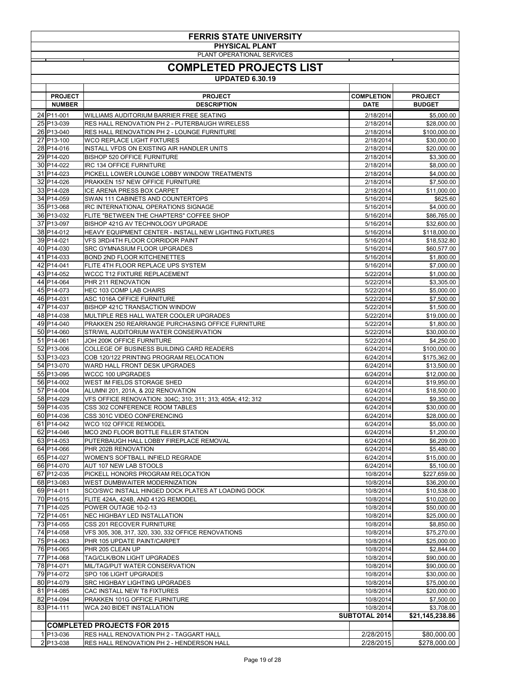| <b>FERRIS STATE UNIVERSITY</b>           |                                                                                            |                          |                             |  |
|------------------------------------------|--------------------------------------------------------------------------------------------|--------------------------|-----------------------------|--|
|                                          | <b>PHYSICAL PLANT</b><br>PLANT OPERATIONAL SERVICES                                        |                          |                             |  |
|                                          | <b>COMPLETED PROJECTS LIST</b>                                                             |                          |                             |  |
|                                          | <b>UPDATED 6.30.19</b>                                                                     |                          |                             |  |
|                                          |                                                                                            |                          |                             |  |
| <b>PROJECT</b>                           | <b>PROJECT</b>                                                                             | <b>COMPLETION</b>        | <b>PROJECT</b>              |  |
| <b>NUMBER</b><br>24 P <sub>11</sub> -001 | <b>DESCRIPTION</b><br>WILLIAMS AUDITORIUM BARRIER FREE SEATING                             | <b>DATE</b><br>2/18/2014 | <b>BUDGET</b><br>\$5,000.00 |  |
| 25 P13-039                               | <b>RES HALL RENOVATION PH 2 - PUTERBAUGH WIRELESS</b>                                      | 2/18/2014                | \$28,000.00                 |  |
| 26 P13-040                               | RES HALL RENOVATION PH 2 - LOUNGE FURNITURE                                                | 2/18/2014                | \$100,000.00                |  |
| 27 P <sub>13</sub> -100                  | <b>WCO REPLACE LIGHT FIXTURES</b>                                                          | 2/18/2014<br>2/18/2014   | \$30,000.00                 |  |
| 28 P14-016<br>29 P14-020                 | INSTALL VFDS ON EXISTING AIR HANDLER UNITS<br><b>BISHOP 520 OFFICE FURNITURE</b>           | 2/18/2014                | \$20,000.00<br>\$3,300.00   |  |
| 30 P <sub>14</sub> -022                  | <b>IRC 134 OFFICE FURNITURE</b>                                                            | 2/18/2014                | \$8,000.00                  |  |
| 31 P14-023                               | PICKELL LOWER LOUNGE LOBBY WINDOW TREATMENTS                                               | 2/18/2014                | \$4,000.00                  |  |
| 32 P <sub>14-026</sub><br>33 P14-028     | PRAKKEN 157 NEW OFFICE FURNITURE<br><b>ICE ARENA PRESS BOX CARPET</b>                      | 2/18/2014<br>2/18/2014   | \$7,500.00<br>\$11,000.00   |  |
| 34 P14-059                               | SWAN 111 CABINETS AND COUNTERTOPS                                                          | 5/16/2014                | \$625.60                    |  |
| 35 P13-068                               | IRC INTERNATIONAL OPERATIONS SIGNAGE                                                       | 5/16/2014                | \$4,000.00                  |  |
| 36 P13-032<br>37 P13-097                 | FLITE "BETWEEN THE CHAPTERS" COFFEE SHOP<br>BISHOP 421G AV TECHNOLOGY UPGRADE              | 5/16/2014<br>5/16/2014   | \$86,765.00<br>\$32,600.00  |  |
| 38 P14-012                               | HEAVY EQUIPMENT CENTER - INSTALL NEW LIGHTING FIXTURES                                     | 5/16/2014                | \$118,000.00                |  |
| 39 P14-021                               | VFS 3RD/4TH FLOOR CORRIDOR PAINT                                                           | 5/16/2014                | \$18,532.80                 |  |
| 40 P14-030                               | <b>SRC GYMNASIUM FLOOR UPGRADES</b>                                                        | 5/16/2014                | \$60,577.00                 |  |
| 41 P14-033<br>42 P14-041                 | <b>BOND 2ND FLOOR KITCHENETTES</b><br>FLITE 4TH FLOOR REPLACE UPS SYSTEM                   | 5/16/2014<br>5/16/2014   | \$1,800.00<br>\$7,000.00    |  |
| 43 P14-052                               | <b>WCCC T12 FIXTURE REPLACEMENT</b>                                                        | 5/22/2014                | \$1,000.00                  |  |
| 44 P14-064                               | PHR 211 RENOVATION                                                                         | 5/22/2014                | \$3,305.00                  |  |
| 45 P14-073                               | <b>HEC 103 COMP LAB CHAIRS</b>                                                             | 5/22/2014                | \$5,000.00                  |  |
| 46 P14-031<br>47 P14-037                 | ASC 1016A OFFICE FURNITURE<br><b>BISHOP 421C TRANSACTION WINDOW</b>                        | 5/22/2014<br>5/22/2014   | \$7,500.00<br>\$1,500.00    |  |
| 48 P14-038                               | MULTIPLE RES HALL WATER COOLER UPGRADES                                                    | 5/22/2014                | \$19,000.00                 |  |
| 49 P14-040                               | PRAKKEN 250 REARRANGE PURCHASING OFFICE FURNITURE                                          | 5/22/2014                | \$1,800.00                  |  |
| 50 P14-060<br>51 P14-061                 | STR/WIL AUDITORIUM WATER CONSERVATION<br>JOH 200K OFFICE FURNITURE                         | 5/22/2014<br>5/22/2014   | \$30,000.00<br>\$4,250.00   |  |
| 52 P13-006                               | COLLEGE OF BUSINESS BUILDING CARD READERS                                                  | 6/24/2014                | \$100,000.00                |  |
| 53 P13-023                               | COB 120/122 PRINTING PROGRAM RELOCATION                                                    | 6/24/2014                | \$175,362.00                |  |
| 54 P13-070                               | WARD HALL FRONT DESK UPGRADES                                                              | 6/24/2014                | \$13,500.00                 |  |
| 55 P13-095<br>56 P14-002                 | <b>WCCC 100 UPGRADES</b><br>WEST IM FIELDS STORAGE SHED                                    | 6/24/2014<br>6/24/2014   | \$12,000.00<br>\$19,950.00  |  |
| 57 P14-004                               | ALUMNI 201, 201A, & 202 RENOVATION                                                         | 6/24/2014                | \$18,500.00                 |  |
| 58 P14-029                               | VFS OFFICE RENOVATION: 304C; 310; 311; 313; 405A; 412; 312                                 | 6/24/2014                | \$9,350.00                  |  |
| 59 P14-035<br>60 P14-036                 | CSS 302 CONFERENCE ROOM TABLES<br>CSS 301C VIDEO CONFERENCING                              | 6/24/2014<br>6/24/2014   | \$30,000.00<br>\$28,000.00  |  |
| 61 P14-042                               | WCO 102 OFFICE REMODEL                                                                     | 6/24/2014                | \$5,000.00                  |  |
| 62 P14-046                               | MCO 2ND FLOOR BOTTLE FILLER STATION                                                        | 6/24/2014                | \$1,200.00                  |  |
| 63 P14-053                               | PUTERBAUGH HALL LOBBY FIREPLACE REMOVAL                                                    | 6/24/2014                | \$6,209.00                  |  |
| 64 P14-066<br>65 P14-027                 | PHR 202B RENOVATION<br>WOMEN'S SOFTBALL INFIELD REGRADE                                    | 6/24/2014<br>6/24/2014   | \$5,480.00<br>\$15,000.00   |  |
| 66 P14-070                               | <b>AUT 107 NEW LAB STOOLS</b>                                                              | 6/24/2014                | \$5,100.00                  |  |
| 67 P12-035                               | PICKELL HONORS PROGRAM RELOCATION                                                          | 10/8/2014                | \$227,659.00                |  |
| 68 P13-083<br>69 P14-011                 | <b>WEST DUMBWAITER MODERNIZATION</b><br>SCO/SWC INSTALL HINGED DOCK PLATES AT LOADING DOCK | 10/8/2014<br>10/8/2014   | \$36,200.00<br>\$10,538.00  |  |
| 70 P14-015                               | FLITE 424A, 424B, AND 412G REMODEL                                                         | 10/8/2014                | \$10,020.00                 |  |
| 71 P14-025                               | POWER OUTAGE 10-2-13                                                                       | 10/8/2014                | \$50,000.00                 |  |
| 72 P14-051                               | NEC HIGHBAY LED INSTALLATION                                                               | 10/8/2014                | \$25,000.00                 |  |
| 73 P14-055<br>74 P14-058                 | CSS 201 RECOVER FURNITURE<br>VFS 305, 308, 317, 320, 330, 332 OFFICE RENOVATIONS           | 10/8/2014<br>10/8/2014   | \$8,850.00<br>\$75,270.00   |  |
| 75 P14-063                               | PHR 105 UPDATE PAINT/CARPET                                                                | 10/8/2014                | \$25,000.00                 |  |
| 76 P14-065                               | PHR 205 CLEAN UP                                                                           | 10/8/2014                | \$2,844.00                  |  |
| 77 P14-068<br>78 P14-071                 | TAG/CLK/BON LIGHT UPGRADES<br>MIL/TAG/PUT WATER CONSERVATION                               | 10/8/2014<br>10/8/2014   | \$90,000.00<br>\$90,000.00  |  |
| 79 P14-072                               | SPO 106 LIGHT UPGRADES                                                                     | 10/8/2014                | \$30,000.00                 |  |
| 80 P14-079                               | <b>SRC HIGHBAY LIGHTING UPGRADES</b>                                                       | 10/8/2014                | \$75,000.00                 |  |
| 81 P14-085                               | CAC INSTALL NEW T8 FIXTURES                                                                | 10/8/2014                | \$20,000.00                 |  |
| 82 P14-094<br>83 P14-111                 | PRAKKEN 101G OFFICE FURNITURE<br><b>WCA 240 BIDET INSTALLATION</b>                         | 10/8/2014<br>10/8/2014   | \$7,500.00<br>\$3,708.00    |  |
|                                          |                                                                                            | <b>SUBTOTAL 2014</b>     | \$21,145,238.86             |  |
|                                          | <b>COMPLETED PROJECTS FOR 2015</b>                                                         |                          |                             |  |
| 1 P13-036                                | <b>RES HALL RENOVATION PH 2 - TAGGART HALL</b>                                             | 2/28/2015                | \$80,000.00                 |  |
| $2 P13-038$                              | <b>RES HALL RENOVATION PH 2 - HENDERSON HALL</b>                                           | 2/28/2015                | \$278,000.00                |  |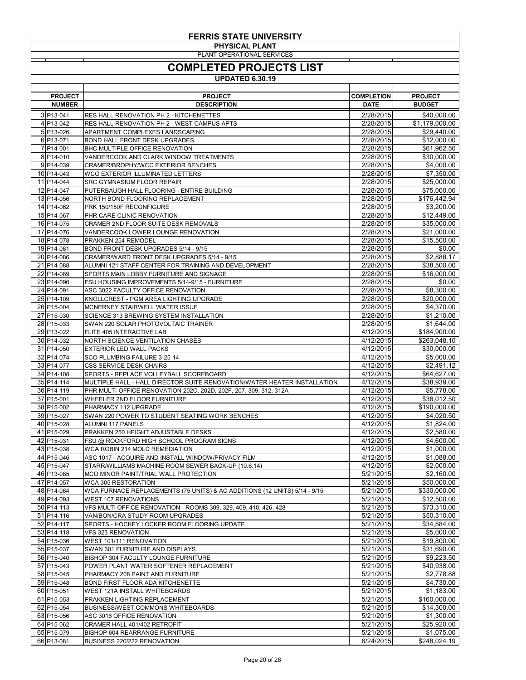| <b>FERRIS STATE UNIVERSITY</b>  |                                                                                                                    |                                  |                                 |  |
|---------------------------------|--------------------------------------------------------------------------------------------------------------------|----------------------------------|---------------------------------|--|
|                                 | <b>PHYSICAL PLANT</b><br>PLANT OPERATIONAL SERVICES                                                                |                                  |                                 |  |
|                                 | <b>COMPLETED PROJECTS LIST</b>                                                                                     |                                  |                                 |  |
|                                 | <b>UPDATED 6.30.19</b>                                                                                             |                                  |                                 |  |
|                                 |                                                                                                                    |                                  |                                 |  |
| <b>PROJECT</b><br><b>NUMBER</b> | <b>PROJECT</b><br><b>DESCRIPTION</b>                                                                               | <b>COMPLETION</b><br><b>DATE</b> | <b>PROJECT</b><br><b>BUDGET</b> |  |
| $3 P13-041$                     | <b>RES HALL RENOVATION PH 2 - KITCHENETTES</b>                                                                     | 2/28/2015                        | \$40,000.00                     |  |
| 4 P13-042                       | <b>RES HALL RENOVATION PH 2 - WEST CAMPUS APTS</b>                                                                 | 2/28/2015                        | \$1,179,000.00                  |  |
| 5 P13-026<br>6 P13-071          | APARTMENT COMPLEXES LANDSCAPING<br><b>BOND HALL FRONT DESK UPGRADES</b>                                            | 2/28/2015<br>2/28/2015           | \$29,440.00<br>\$12,000.00      |  |
| 7 P14-001                       | <b>BHC MULTIPLE OFFICE RENOVATION</b>                                                                              | 2/28/2015                        | \$61,962.50                     |  |
| 8 P14-010                       | VANDERCOOK AND CLARK WINDOW TREATMENTS                                                                             | 2/28/2015                        | \$30,000.00                     |  |
| 9P14-039<br>10 P14-043          | <b>CRAMER/BROPHY/WCC EXTERIOR BENCHES</b><br>WCO EXTERIOR ILLUMINATED LETTERS                                      | 2/28/2015<br>2/28/2015           | \$4,000.00<br>\$7,350.00        |  |
| 11 P14-044                      | <b>SRC GYMNASIUM FLOOR REPAIR</b>                                                                                  | 2/28/2015                        | \$25,000.00                     |  |
| 12 P14-047                      | PUTERBAUGH HALL FLOORING - ENTIRE BUILDING                                                                         | 2/28/2015                        | \$75,000.00                     |  |
| 13 P14-056<br>14 P14-062        | NORTH BOND FLOORING REPLACEMENT<br>PRK 150/150F RECONFIGURE                                                        | 2/28/2015<br>2/28/2015           | \$176,442.94<br>\$3,200.00      |  |
| 15 P14-067                      | PHR CARE CLINIC RENOVATION                                                                                         | 2/28/2015                        | \$12,449.00                     |  |
| 16 P14-075                      | CRAMER 2ND FLOOR SUITE DESK REMOVALS                                                                               | 2/28/2015                        | \$35,000.00                     |  |
| 17 P14-076<br>18 P14-078        | VANDERCOOK LOWER LOUNGE RENOVATION<br>PRAKKEN 254 REMODEL                                                          | 2/28/2015<br>2/28/2015           | \$21,000.00<br>\$15,500.00      |  |
| 19 P14-081                      | BOND FRONT DESK UPGRADES 5/14 - 9/15                                                                               | 2/28/2015                        | \$0.00                          |  |
| 20 P14-086                      | CRAMER/WARD FRONT DESK UPGRADES 5/14 - 9/15                                                                        | 2/28/2015                        | \$2,888.17                      |  |
| 21 P14-088                      | ALUMNI 121 STAFF CENTER FOR TRAINING AND DEVELOPMENT                                                               | 2/28/2015                        | \$38,500.00                     |  |
| 22 P14-089<br>23 P14-090        | SPORTS MAIN LOBBY FURNITURE AND SIGNAGE<br>FSU HOUSING IMPROVEMENTS 5/14-9/15 - FURNITURE                          | 2/28/2015<br>2/28/2015           | \$16,000.00<br>\$0.00           |  |
| 24 P14-091                      | ASC 3022 FACULTY OFFICE RENOVATION                                                                                 | 2/28/2015                        | \$8,300.00                      |  |
| 25 P14-109                      | KNOLLCREST - PGM AREA LIGHTING UPGRADE                                                                             | 2/28/2015                        | \$20,000.00                     |  |
| 26 P15-004<br>27 P15-030        | <b>MCNERNEY STAIRWELL WATER ISSUE</b><br><b>SCIENCE 313 BREWING SYSTEM INSTALLATION</b>                            | 2/28/2015<br>2/28/2015           | \$4,370.00<br>\$1,210.00        |  |
| 28 P15-033                      | SWAN 220 SOLAR PHOTOVOLTAIC TRAINER                                                                                | 2/28/2015                        | \$1,644.00                      |  |
| 29 P13-022                      | FLITE 405 INTERACTIVE LAB                                                                                          | 4/12/2015                        | \$184,900.00                    |  |
| 30 P14-032<br>31 P14-050        | <b>NORTH SCIENCE VENTILATION CHASES</b><br><b>EXTERIOR LED WALL PACKS</b>                                          | 4/12/2015<br>4/12/2015           | \$263,048.10<br>\$30,000.00     |  |
| 32 P14-074                      | SCO PLUMBING FAILURE 3-25-14                                                                                       | 4/12/2015                        | \$5,000.00                      |  |
| 33 P14-077                      | <b>CSS SERVICE DESK CHAIRS</b>                                                                                     | 4/12/2015                        | \$2,491.12                      |  |
| 34 P14-108<br>35 P14-114        | SPORTS - REPLACE VOLLEYBALL SCOREBOARD<br>MULTIPLE HALL - HALL DIRECTOR SUITE RENOVATION/WATER HEATER INSTALLATION | 4/12/2015<br>4/12/2015           | \$64,627.00<br>\$38,939.00      |  |
| 36 P14-119                      | PHR MULTI-OFFICE RENOVATION 202C, 202D, 202F, 207, 309, 312, 312A                                                  | 4/12/2015                        | \$5,778.00                      |  |
| 37 P15-001                      | WHEELER 2ND FLOOR FURNITURE                                                                                        | 4/12/2015                        | \$36,012.50                     |  |
| 38 P15-002<br>39 P15-027        | PHARMACY 112 UPGRADE                                                                                               | 4/12/2015<br>4/12/2015           | \$190,000.00                    |  |
| 40 P15-028                      | SWAN 220 POWER TO STUDENT SEATING WORK BENCHES<br><b>ALUMNI 117 PANELS</b>                                         | 4/12/2015                        | \$4,020.50<br>\$1,824.00        |  |
| 41 P15-029                      | PRAKKEN 250 HEIGHT ADJUSTABLE DESKS                                                                                | 4/12/2015                        | \$2,580.00                      |  |
| 42 P15-031                      | FSU @ ROCKFORD HIGH SCHOOL PROGRAM SIGNS                                                                           | 4/12/2015                        | \$4,600.00                      |  |
| 43 P15-038<br>44 P15-046        | WCA ROBIN 214 MOLD REMEDIATION<br>ASC 1017 - ACQUIRE AND INSTALL WINDOW/PRIVACY FILM                               | 4/12/2015<br>4/12/2015           | \$1,000.00<br>\$1,088.00        |  |
| 45 P15-047                      | STARR/WILLIAMS MACHINE ROOM SEWER BACK-UP (10.6.14)                                                                | 4/12/2015                        | \$2,000.00                      |  |
| 46 P13-085                      | MCO MINOR PAINT/TRIAL WALL PROTECTION                                                                              | 5/21/2015                        | \$2,160.00                      |  |
| 47 P14-057<br>48 P14-084        | <b>WCA 305 RESTORATION</b><br>WCA FURNACE REPLACEMENTS (75 UNITS) & AC ADDITIONS (12 UNITS) 5/14 - 9/15            | 5/21/2015<br>5/21/2015           | \$50,000.00<br>\$330,000.00     |  |
| 49 P14-093                      | <b>WEST 107 RENOVATIONS</b>                                                                                        | 5/21/2015                        | \$12,500.00                     |  |
| 50 P14-113                      | VFS MULTI OFFICE RENOVATION - ROOMS 309, 329, 409, 410, 426, 428                                                   | 5/21/2015                        | \$73,310.00                     |  |
| 51 P14-116<br>52 P14-117        | VAN/BON/CRA STUDY ROOM UPGRADES<br>SPORTS - HOCKEY LOCKER ROOM FLOORING UPDATE                                     | 5/21/2015<br>5/21/2015           | \$50,310.00                     |  |
| $53 P14-118$                    | <b>VFS 323 RENOVATION</b>                                                                                          | 5/21/2015                        | \$34,884.00<br>\$5,000.00       |  |
| 54 P15-036                      | WEST 101/111 RENOVATION                                                                                            | 5/21/2015                        | \$19,800.00                     |  |
| 55 P15-037                      | SWAN 301 FURNITURE AND DISPLAYS<br><b>BISHOP 304 FACULTY LOUNGE FURNITURE</b>                                      | 5/21/2015                        | \$31,690.00                     |  |
| 56 P15-040<br>57 P15-043        | POWER PLANT WATER SOFTENER REPLACEMENT                                                                             | 5/21/2015<br>5/21/2015           | \$9,223.50<br>\$40,938.00       |  |
| 58 P15-045                      | PHARMACY 208 PAINT AND FURNITURE                                                                                   | 5/21/2015                        | \$2,778.88                      |  |
| 59 P15-048                      | <b>BOND FIRST FLOOR ADA KITCHENETTE</b>                                                                            | 5/21/2015                        | \$4,730.00                      |  |
| 60 P15-051<br>61 P15-053        | <b>WEST 121A INSTALL WHITEBOARDS</b><br>PRAKKEN LIGHTING REPLACEMENT                                               | 5/21/2015<br>5/21/2015           | \$1,183.00<br>\$160,000.00      |  |
| 62 P15-054                      | <b>BUSINESS/WEST COMMONS WHITEBOARDS</b>                                                                           | 5/21/2015                        | \$14,300.00                     |  |
| 63 P15-056                      | ASC 3016 OFFICE RENOVATION                                                                                         | 5/21/2015                        | \$1,300.00                      |  |
| 64 P15-062<br>65 P15-079        | CRAMER HALL 401/402 RETROFIT<br><b>BISHOP 604 REARRANGE FURNITURE</b>                                              | 5/21/2015<br>5/21/2015           | \$25,920.00<br>\$1,075.00       |  |
| 66 P13-081                      | <b>BUSINESS 220/222 RENOVATION</b>                                                                                 | 6/24/2015                        | \$248,024.19                    |  |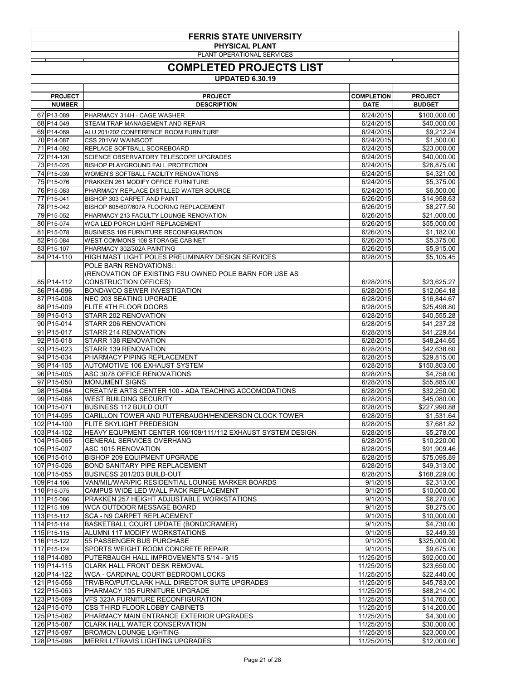| <b>FERRIS STATE UNIVERSITY</b> |                                                                                                 |                          |                             |  |
|--------------------------------|-------------------------------------------------------------------------------------------------|--------------------------|-----------------------------|--|
|                                | <b>PHYSICAL PLANT</b><br>PLANT OPERATIONAL SERVICES                                             |                          |                             |  |
|                                | <b>COMPLETED PROJECTS LIST</b>                                                                  |                          |                             |  |
|                                | <b>UPDATED 6.30.19</b>                                                                          |                          |                             |  |
| <b>PROJECT</b>                 | <b>PROJECT</b>                                                                                  | <b>COMPLETION</b>        | <b>PROJECT</b>              |  |
| <b>NUMBER</b>                  | <b>DESCRIPTION</b>                                                                              | <b>DATE</b>              | <b>BUDGET</b>               |  |
| 67 P13-089                     | PHARMACY 314H - CAGE WASHER                                                                     | 6/24/2015                | \$100,000.00                |  |
| 68 P14-049                     | <b>STEAM TRAP MANAGEMENT AND REPAIR</b>                                                         | 6/24/2015                | \$40,000.00                 |  |
| 69 P14-069<br>70 P14-087       | ALU 201/202 CONFERENCE ROOM FURNITURE<br><b>CSS 201VW WAINSCOT</b>                              | 6/24/2015<br>6/24/2015   | \$9,212.24<br>\$1,500.00    |  |
| 71 P <sub>14-092</sub>         | REPLACE SOFTBALL SCOREBOARD                                                                     | 6/24/2015                | \$23,000.00                 |  |
| 72 P14-120                     | SCIENCE OBSERVATORY TELESCOPE UPGRADES                                                          | 6/24/2015                | \$40,000.00                 |  |
| 73 P15-025<br>74 P15-039       | <b>BISHOP PLAYGROUND FALL PROTECTION</b><br><b>WOMEN'S SOFTBALL FACILITY RENOVATIONS</b>        | 6/24/2015<br>6/24/2015   | \$26,875.00<br>\$4,321.00   |  |
| 75 P15-076                     | PRAKKEN 261 MODIFY OFFICE FURNITURE                                                             | 6/24/2015                | \$5,375.00                  |  |
| 76 P15-083                     | PHARMACY REPLACE DISTILLED WATER SOURCE                                                         | 6/24/2015                | \$6,500.00                  |  |
| 77 P15-041<br>78 P15-042       | <b>BISHOP 303 CARPET AND PAINT</b><br>BISHOP 605/607/607A FLOORING REPLACEMENT                  | 6/26/2015<br>6/26/2015   | \$14,958.63<br>\$8,277.50   |  |
| 79 P15-052                     | PHARMACY 213 FACULTY LOUNGE RENOVATION                                                          | 6/26/2015                | \$21,000.00                 |  |
| 80 P15-074                     | WCA LED PORCH LIGHT REPLACEMENT                                                                 | 6/26/2015                | \$55,000.00                 |  |
| 81 P15-078                     | <b>BUSINESS 109 FURNITURE RECONFIGURATION</b>                                                   | 6/26/2015                | \$1,182.00                  |  |
| 82 P15-084<br>83 P15-107       | WEST COMMONS 108 STORAGE CABINET<br>PHARMACY 302/302A PAINTING                                  | 6/26/2015<br>6/26/2015   | \$5,375.00<br>\$5,915.00    |  |
| 84 P14-110                     | HIGH MAST LIGHT POLES PRELIMINARY DESIGN SERVICES                                               | 6/28/2015                | \$5,105.45                  |  |
|                                | POLE BARN RENOVATIONS                                                                           |                          |                             |  |
|                                | (RENOVATION OF EXISTING FSU OWNED POLE BARN FOR USE AS                                          |                          |                             |  |
| 85 P14-112<br>86 P14-096       | <b>CONSTRUCTION OFFICES)</b><br><b>BOND/WCO SEWER INVESTIGATION</b>                             | 6/28/2015<br>6/28/2015   | \$23,625.27<br>\$12,064.18  |  |
| 87 P15-008                     | NEC 203 SEATING UPGRADE                                                                         | 6/28/2015                | \$16,844.67                 |  |
| 88 P15-009                     | FLITE 4TH FLOOR DOORS                                                                           | 6/28/2015                | \$25,498.80                 |  |
| 89 P15-013                     | <b>STARR 202 RENOVATION</b>                                                                     | 6/28/2015                | \$40,555.28                 |  |
| 90 P15-014<br>91 P15-017       | STARR 206 RENOVATION<br>STARR 214 RENOVATION                                                    | 6/28/2015<br>6/28/2015   | \$41,237.28<br>\$41,229.84  |  |
| 92 P15-018                     | STARR 138 RENOVATION                                                                            | 6/28/2015                | \$48,244.65                 |  |
| 93 P15-023                     | STARR 139 RENOVATION                                                                            | 6/28/2015                | \$42,638.60                 |  |
| 94 P15-034<br>95 P14-105       | PHARMACY PIPING REPLACEMENT<br><b>AUTOMOTIVE 106 EXHAUST SYSTEM</b>                             | 6/28/2015<br>6/28/2015   | \$29,815.00<br>\$150,803.00 |  |
| 96 P15-005                     | ASC 3078 OFFICE RENOVATIONS                                                                     | 6/28/2015                | \$4,758.00                  |  |
| 97 P15-050                     | <b>MONUMENT SIGNS</b>                                                                           | 6/28/2015                | \$55,885.00                 |  |
| 98 P15-064                     | CREATIVE ARTS CENTER 100 - ADA TEACHING ACCOMODATIONS                                           | 6/28/2015                | \$32,250.00                 |  |
| 99 P15-068<br>100 P15-071      | <b>WEST BUILDING SECURITY</b><br><b>BUSINESS 112 BUILD OUT</b>                                  | 6/28/2015<br>6/28/2015   | \$45,080.00<br>\$227,990.88 |  |
| 101 P14-095                    | CARILLON TOWER AND PUTERBAUGH/HENDERSON CLOCK TOWER                                             | 6/28/2015                | \$1,531.64                  |  |
| 102 P14-100                    | <b>FLITE SKYLIGHT PREDESIGN</b>                                                                 | 6/28/2015                | \$7,681.82                  |  |
| 103 P14-102<br>104 P15-065     | HEAVY EQUPMENT CENTER 106/109/111/112 EXHAUST SYSTEM DESIGN<br><b>GENERAL SERVICES OVERHANG</b> | 6/28/2015<br>6/28/2015   | \$5,278.00<br>\$10,220.00   |  |
| 105 P15-007                    | <b>ASC 1015 RENOVATION</b>                                                                      | 6/28/2015                | \$91,909.46                 |  |
| 106 P15-010                    | <b>BISHOP 209 EQUIPMENT UPGRADE</b>                                                             | 6/28/2015                | \$75,095.89                 |  |
| 107 P15-026                    | <b>BOND SANITARY PIPE REPLACEMENT</b>                                                           | 6/28/2015                | \$49,313.00                 |  |
| 108 P15-055<br>109 P14-106     | BUSINESS 201/203 BUILD-OUT<br>VAN/MIL/WAR/PIC RESIDENTIAL LOUNGE MARKER BOARDS                  | 6/28/2015<br>9/1/2015    | \$168,229.00<br>\$2,313.00  |  |
| 110 P15-075                    | CAMPUS WIDE LED WALL PACK REPLACEMENT                                                           | 9/1/2015                 | \$10,000.00                 |  |
| 111 P15-086                    | PRAKKEN 257 HEIGHT ADJUSTABLE WORKSTATIONS                                                      | 9/1/2015                 | \$6,270.00                  |  |
| 112 P15-109                    | WCA OUTDOOR MESSAGE BOARD                                                                       | 9/1/2015                 | \$8,275.00                  |  |
| 113 P15-112<br>114 P15-114     | SCA - N9 CARPET REPLACEMENT<br>BASKETBALL COURT UPDATE (BOND/CRAMER)                            | 9/1/2015<br>9/1/2015     | \$10,000.00<br>\$4,730.00   |  |
| 115 P15-115                    | ALUMNI 117 MODIFY WORKSTATIONS                                                                  | 9/1/2015                 | \$2,449.39                  |  |
| 116 P15-122                    | 55 PASSENGER BUS PURCHASE                                                                       | 9/1/2015                 | \$325,000.00                |  |
| 117 P15-124<br>118 P14-080     | SPORTS WEIGHT ROOM CONCRETE REPAIR<br>PUTERBAUGH HALL IMPROVEMENTS 5/14 - 9/15                  | 9/1/2015<br>11/25/2015   | \$9,675.00<br>\$92,000.00   |  |
| 119 P14-115                    | <b>CLARK HALL FRONT DESK REMOVAL</b>                                                            | 11/25/2015               | \$23,650.00                 |  |
| 120 P14-122                    | WCA - CARDINAL COURT BEDROOM LOCKS                                                              | 11/25/2015               | \$22,440.00                 |  |
| 121 P15-058                    | TRV/BRO/PUT/CLARK HALL DIRECTOR SUITE UPGRADES                                                  | 11/25/2015               | \$45,783.00                 |  |
| 122 P15-063<br>123 P15-069     | PHARMACY 105 FURNITURE UPGRADE<br><b>VFS 323A FURNITURE RECONFIGURATION</b>                     | 11/25/2015<br>11/25/2015 | \$88,214.00<br>\$14,760.00  |  |
| 124 P15-070                    | <b>CSS THIRD FLOOR LOBBY CABINETS</b>                                                           | 11/25/2015               | \$14,200.00                 |  |
| 125 P15-082                    | PHARMACY MAIN ENTRANCE EXTERIOR UPGRADES                                                        | 11/25/2015               | \$4,300.00                  |  |
| 126 P15-087<br>127 P15-097     | <b>CLARK HALL WATER CONSERVATION</b><br><b>BRO/MCN LOUNGE LIGHTING</b>                          | 11/25/2015<br>11/25/2015 | \$30,000.00<br>\$23,000.00  |  |
| 128 P15-098                    | MERRILL/TRAVIS LIGHTING UPGRADES                                                                | 11/25/2015               | \$12,000.00                 |  |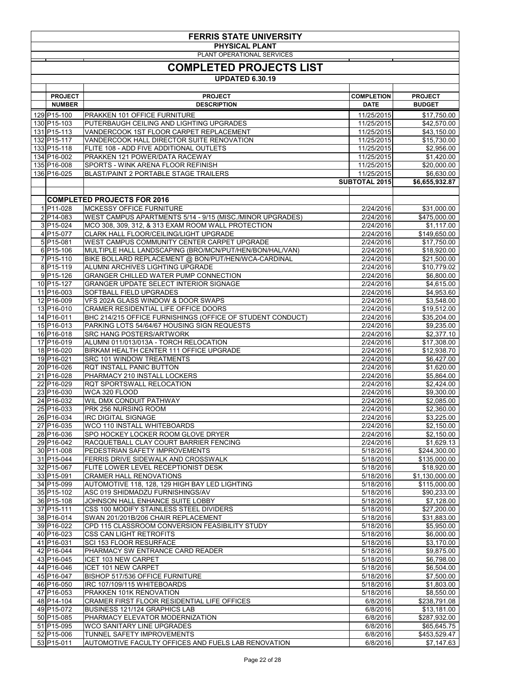| <b>FERRIS STATE UNIVERSITY</b>                      |                                                                                                     |                          |                             |  |
|-----------------------------------------------------|-----------------------------------------------------------------------------------------------------|--------------------------|-----------------------------|--|
| <b>PHYSICAL PLANT</b><br>PLANT OPERATIONAL SERVICES |                                                                                                     |                          |                             |  |
|                                                     | <b>COMPLETED PROJECTS LIST</b>                                                                      |                          |                             |  |
|                                                     | <b>UPDATED 6.30.19</b>                                                                              |                          |                             |  |
|                                                     |                                                                                                     |                          |                             |  |
| <b>PROJECT</b>                                      | <b>PROJECT</b>                                                                                      | <b>COMPLETION</b>        | <b>PROJECT</b>              |  |
| <b>NUMBER</b>                                       | <b>DESCRIPTION</b>                                                                                  | <b>DATE</b>              | <b>BUDGET</b>               |  |
| 129 P15-100<br>130 P15-103                          | <b>PRAKKEN 101 OFFICE FURNITURE</b><br>PUTERBAUGH CEILING AND LIGHTING UPGRADES                     | 11/25/2015<br>11/25/2015 | \$17,750.00<br>\$42,570.00  |  |
| 131 P15-113                                         | VANDERCOOK 1ST FLOOR CARPET REPLACEMENT                                                             | 11/25/2015               | \$43,150.00                 |  |
| 132 P15-117                                         | VANDERCOOK HALL DIRECTOR SUITE RENOVATION                                                           | 11/25/2015               | \$15,730.00                 |  |
| 133 P15-118<br>134 P16-002                          | FLITE 108 - ADD FIVE ADDITIONAL OUTLETS<br>PRAKKEN 121 POWER/DATA RACEWAY                           | 11/25/2015<br>11/25/2015 | \$2,956.00<br>\$1,420.00    |  |
| 135 P16-008                                         | SPORTS - WINK ARENA FLOOR REFINISH                                                                  | 11/25/2015               | \$20,000.00                 |  |
| 136 P16-025                                         | <b>BLAST/PAINT 2 PORTABLE STAGE TRAILERS</b>                                                        | 11/25/2015               | \$6,630.00                  |  |
|                                                     |                                                                                                     | <b>SUBTOTAL 2015</b>     | \$6,655,932.87              |  |
|                                                     | <b>COMPLETED PROJECTS FOR 2016</b>                                                                  |                          |                             |  |
| 1 P11-028                                           | <b>MCKESSY OFFICE FURNITURE</b>                                                                     | 2/24/2016                | \$31,000.00                 |  |
| 2P14-083                                            | WEST CAMPUS APARTMENTS 5/14 - 9/15 (MISC./MINOR UPGRADES)                                           | 2/24/2016                | \$475,000.00                |  |
| 3 P <sub>15</sub> -024                              | MCO 308, 309, 312, & 313 EXAM ROOM WALL PROTECTION                                                  | 2/24/2016                | \$1,117.00                  |  |
| 4 P15-077<br>5 P15-081                              | <b>CLARK HALL FLOOR/CEILING/LIGHT UPGRADE</b><br><b>WEST CAMPUS COMMUNITY CENTER CARPET UPGRADE</b> | 2/24/2016<br>2/24/2016   | \$149,650.00<br>\$17,750.00 |  |
| 6 P <sub>15</sub> -106                              | MULTIPLE HALL LANDSCAPING (BRO/MCN/PUT/HEN/BON/HAL/VAN)                                             | 2/24/2016                | \$18,920.00                 |  |
| 7 P <sub>15</sub> -110                              | BIKE BOLLARD REPLACEMENT @ BON/PUT/HEN/WCA-CARDINAL                                                 | 2/24/2016                | \$21,500.00                 |  |
| 8P15-119                                            | ALUMNI ARCHIVES LIGHTING UPGRADE                                                                    | 2/24/2016                | \$10,779.02                 |  |
| $9 P15-126$                                         | <b>GRANGER CHILLED WATER PUMP CONNECTION</b>                                                        | 2/24/2016                | \$6,800.00                  |  |
| 10 P15-127<br>11 P16-003                            | <b>GRANGER UPDATE SELECT INTERIOR SIGNAGE</b><br>SOFTBALL FIELD UPGRADES                            | 2/24/2016<br>2/24/2016   | \$4,615.00<br>\$4,953.60    |  |
| 12 P16-009                                          | VFS 202A GLASS WINDOW & DOOR SWAPS                                                                  | 2/24/2016                | \$3,548.00                  |  |
| 13 P16-010                                          | <b>CRAMER RESIDENTIAL LIFE OFFICE DOORS</b>                                                         | 2/24/2016                | \$19,512.00                 |  |
| 14 P16-011                                          | BHC 214/215 OFFICE FURNISHINGS (OFFICE OF STUDENT CONDUCT)                                          | 2/24/2016                | \$35,204.00                 |  |
| 15 P16-013<br>16 P16-018                            | PARKING LOTS 54/64/67 HOUSING SIGN REQUESTS<br><b>SRC HANG POSTERS/ARTWORK</b>                      | 2/24/2016<br>2/24/2016   | \$9,235.00<br>\$2,377.10    |  |
| 17 P16-019                                          | ALUMNI 011/013/013A - TORCH RELOCATION                                                              | 2/24/2016                | \$17,308.00                 |  |
| 18 P16-020                                          | BIRKAM HEALTH CENTER 111 OFFICE UPGRADE                                                             | 2/24/2016                | \$12,938.70                 |  |
| 19 P16-021                                          | <b>SRC 101 WINDOW TREATMENTS</b>                                                                    | 2/24/2016                | \$6,427.00                  |  |
| 20 P16-026<br>21 P16-028                            | <b>RQT INSTALL PANIC BUTTON</b><br>PHARMACY 210 INSTALL LOCKERS                                     | 2/24/2016<br>2/24/2016   | \$1,620.00<br>\$5,864.00    |  |
| 22 P16-029                                          | RQT SPORTSWALL RELOCATION                                                                           | 2/24/2016                | \$2,424.00                  |  |
| 23 P16-030                                          | WCA 320 FLOOD                                                                                       | 2/24/2016                | \$9,300.00                  |  |
| 24 P16-032                                          | WIL DMX CONDUIT PATHWAY                                                                             | 2/24/2016                | \$2,085.00                  |  |
| 25 P16-033<br>26 P16-034                            | <b>PRK 256 NURSING ROOM</b><br><b>IRC DIGITAL SIGNAGE</b>                                           | 2/24/2016<br>2/24/2016   | \$2,360.00<br>\$3,225.00    |  |
| 27 P16-035                                          | WCO 110 INSTALL WHITEBOARDS                                                                         | 2/24/2016                | \$2,150.00                  |  |
| 28 P16-036                                          | SPO HOCKEY LOCKER ROOM GLOVE DRYER                                                                  | 2/24/2016                | \$2,150.00                  |  |
| 29 P16-042                                          | RACQUETBALL CLAY COURT BARRIER FENCING                                                              | 2/24/2016                | \$1,629.13                  |  |
| 30 P11-008                                          | PEDESTRIAN SAFETY IMPROVEMENTS                                                                      | 5/18/2016                | \$244,300.00                |  |
| 31 P15-044<br>32 P15-067                            | FERRIS DRIVE SIDEWALK AND CROSSWALK<br>FLITE LOWER LEVEL RECEPTIONIST DESK                          | 5/18/2016<br>5/18/2016   | \$135,000.00<br>\$18,920.00 |  |
| 33 P15-091                                          | <b>CRAMER HALL RENOVATIONS</b>                                                                      | 5/18/2016                | \$1,130,000.00              |  |
| 34 P15-099                                          | AUTOMOTIVE 118, 128, 129 HIGH BAY LED LIGHTING                                                      | 5/18/2016                | \$115,000.00                |  |
| 35 P15-102                                          | ASC 019 SHIDMADZU FURNISHINGS/AV                                                                    | 5/18/2016                | \$90,233.00                 |  |
| 36 P15-108<br>37 P15-111                            | JOHNSON HALL ENHANCE SUITE LOBBY<br>CSS 100 MODIFY STAINLESS STEEL DIVIDERS                         | 5/18/2016<br>5/18/2016   | \$7,128.00<br>\$27,200.00   |  |
| 38 P16-014                                          | SWAN 201/201B/206 CHAIR REPLACEMENT                                                                 | 5/18/2016                | \$31,883.00                 |  |
| 39 P16-022                                          | CPD 115 CLASSROOM CONVERSION FEASIBILITY STUDY                                                      | 5/18/2016                | \$5,950.00                  |  |
| 40 P16-023                                          | <b>CSS CAN LIGHT RETROFITS</b>                                                                      | 5/18/2016                | \$6,000.00                  |  |
| 41 P16-031<br>42 P16-044                            | <b>SCI 153 FLOOR RESURFACE</b><br>PHARMACY SW ENTRANCE CARD READER                                  | 5/18/2016<br>5/18/2016   | \$3,170.00<br>\$9,875.00    |  |
| 43 P16-045                                          | <b>ICET 103 NEW CARPET</b>                                                                          | 5/18/2016                | \$6,798.00                  |  |
| 44 P16-046                                          | ICET 101 NEW CARPET                                                                                 | 5/18/2016                | \$6,504.00                  |  |
| 45 P16-047                                          | <b>BISHOP 517/536 OFFICE FURNITURE</b>                                                              | 5/18/2016                | \$7,500.00                  |  |
| 46 P16-050<br>47 P16-053                            | IRC 107/109/115 WHITEBOARDS<br>PRAKKEN 101K RENOVATION                                              | 5/18/2016<br>5/18/2016   | \$1,803.00<br>\$8,550.00    |  |
| 48 P14-104                                          | CRAMER FIRST FLOOR RESIDENTIAL LIFE OFFICES                                                         | 6/8/2016                 | \$238,791.08                |  |
| 49 P15-072                                          | <b>BUSINESS 121/124 GRAPHICS LAB</b>                                                                | 6/8/2016                 | \$13,181.00                 |  |
| 50 P15-085                                          | PHARMACY ELEVATOR MODERNIZATION                                                                     | 6/8/2016                 | \$287,932.00                |  |
| 51 P15-095<br>52 P15-006                            | <b>WCO SANITARY LINE UPGRADES</b><br><b>TUNNEL SAFETY IMPROVEMENTS</b>                              | 6/8/2016<br>6/8/2016     | \$65,645.75<br>\$453,529.47 |  |
| 53 P15-011                                          | AUTOMOTIVE FACULTY OFFICES AND FUELS LAB RENOVATION                                                 | 6/8/2016                 | \$7,147.63                  |  |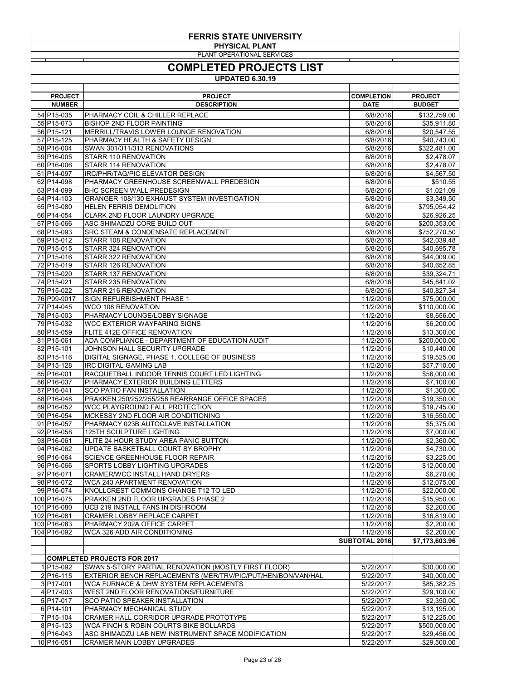| <b>FERRIS STATE UNIVERSITY</b><br><b>PHYSICAL PLANT</b> |                            |                                                                                                       |                                   |                              |
|---------------------------------------------------------|----------------------------|-------------------------------------------------------------------------------------------------------|-----------------------------------|------------------------------|
|                                                         |                            | PLANT OPERATIONAL SERVICES                                                                            |                                   |                              |
|                                                         |                            | <b>COMPLETED PROJECTS LIST</b>                                                                        |                                   |                              |
|                                                         |                            | <b>UPDATED 6.30.19</b>                                                                                |                                   |                              |
|                                                         | <b>PROJECT</b>             | <b>PROJECT</b>                                                                                        | <b>COMPLETION</b>                 | <b>PROJECT</b>               |
|                                                         | <b>NUMBER</b>              | <b>DESCRIPTION</b>                                                                                    | <b>DATE</b>                       | <b>BUDGET</b>                |
|                                                         | 54 P15-035                 | PHARMACY COIL & CHILLER REPLACE                                                                       | 6/8/2016                          | \$132,759.00                 |
|                                                         | 55 P15-073<br>56 P15-121   | <b>BISHOP 2ND FLOOR PAINTING</b><br>MERRILL/TRAVIS LOWER LOUNGE RENOVATION                            | 6/8/2016<br>6/8/2016              | \$35,911.80<br>\$20,547.55   |
|                                                         | 57 P15-125                 | PHARMACY HEALTH & SAFETY DESIGN                                                                       | 6/8/2016                          | \$40,743.00                  |
|                                                         | 58 P16-004                 | SWAN 301/311/313 RENOVATIONS                                                                          | 6/8/2016                          | \$322,481.00                 |
|                                                         | 59 P16-005<br>60 P16-006   | STARR 110 RENOVATION<br><b>STARR 114 RENOVATION</b>                                                   | 6/8/2016<br>6/8/2016              | \$2,478.07<br>\$2,478.07     |
|                                                         | 61 P14-097                 | <b>IRC/PHR/TAG/PIC ELEVATOR DESIGN</b>                                                                | 6/8/2016                          | \$4,567.50                   |
|                                                         | 62 P14-098                 | PHARMACY GREENHOUSE SCREENWALL PREDESIGN                                                              | 6/8/2016                          | \$510.55                     |
|                                                         | 63 P14-099                 | <b>BHC SCREEN WALL PREDESIGN</b>                                                                      | 6/8/2016                          | \$1,021.09                   |
|                                                         | 64 P14-103<br>65 P15-080   | <b>GRANGER 108/130 EXHAUST SYSTEM INVESTIGATION</b><br><b>HELEN FERRIS DEMOLITION</b>                 | 6/8/2016<br>6/8/2016              | \$3,349.50<br>\$795,054.42   |
|                                                         | 66 P14-054                 | <b>CLARK 2ND FLOOR LAUNDRY UPGRADE</b>                                                                | 6/8/2016                          | \$26,926.25                  |
|                                                         | 67 P15-066                 | ASC SHIMADZU CORE BUILD OUT                                                                           | 6/8/2016                          | \$200,353.00                 |
|                                                         | 68 P15-093                 | <b>SRC STEAM &amp; CONDENSATE REPLACEMENT</b>                                                         | 6/8/2016                          | \$752,270.50                 |
|                                                         | 69 P15-012<br>70 P15-015   | <b>STARR 108 RENOVATION</b><br>STARR 324 RENOVATION                                                   | 6/8/2016<br>6/8/2016              | \$42,039.48<br>\$40,695.78   |
|                                                         | 71 P15-016                 | STARR 322 RENOVATION                                                                                  | 6/8/2016                          | \$44,009.00                  |
|                                                         | 72 P15-019                 | <b>STARR 126 RENOVATION</b>                                                                           | 6/8/2016                          | \$40,652.85                  |
|                                                         | 73 P15-020                 | STARR 137 RENOVATION                                                                                  | 6/8/2016                          | \$39,324.71                  |
|                                                         | 74 P15-021<br>75 P15-022   | <b>STARR 235 RENOVATION</b><br>STARR 216 RENOVATION                                                   | 6/8/2016<br>6/8/2016              | \$45,841.02<br>\$40,827.34   |
|                                                         | 76 P09-9017                | SIGN REFURBISHMENT PHASE 1                                                                            | 11/2/2016                         | \$75,000.00                  |
|                                                         | 77 P14-045                 | <b>WCO 108 RENOVATION</b>                                                                             | 11/2/2016                         | \$110,000.00                 |
|                                                         | 78 P15-003                 | PHARMACY LOUNGE/LOBBY SIGNAGE                                                                         | 11/2/2016                         | \$8,656.00                   |
|                                                         | 79 P15-032<br>80 P15-059   | <b>WCC EXTERIOR WAYFARING SIGNS</b><br>FLITE 412E OFFICE RENOVATION                                   | 11/2/2016<br>11/2/2016            | \$6,200.00<br>\$13,300.00    |
|                                                         | 81 P15-061                 | ADA COMPLIANCE - DEPARTMENT OF EDUCATION AUDIT                                                        | 11/2/2016                         | \$200,000.00                 |
|                                                         | 82 P15-101                 | JOHNSON HALL SECURITY UPGRADE                                                                         | 11/2/2016                         | \$10,440.00                  |
|                                                         | 83 P15-116                 | DIGITAL SIGNAGE, PHASE 1, COLLEGE OF BUSINESS                                                         | 11/2/2016                         | \$19,525.00                  |
|                                                         | 84 P15-128<br>85 P16-001   | <b>IRC DIGITAL GAMING LAB</b><br>RACQUETBALL INDOOR TENNIS COURT LED LIGHTING                         | 11/2/2016<br>11/2/2016            | \$57,710.00<br>\$56,000.00   |
|                                                         | 86 P16-037                 | PHARMACY EXTERIOR BUILDING LETTERS                                                                    | 11/2/2016                         | \$7,100.00                   |
|                                                         | 87 P16-041                 | <b>SCO PATIO FAN INSTALLATION</b>                                                                     | 11/2/2016                         | \$1,300.00                   |
|                                                         | 88 P16-048                 | PRAKKEN 250/252/255/258 REARRANGE OFFICE SPACES                                                       | 11/2/2016                         | \$19,350.00                  |
|                                                         | 89 P16-052<br>90 P16-054   | WCC PLAYGROUND FALL PROTECTION<br>MCKESSY 2ND FLOOR AIR CONDITIONING                                  | 11/2/2016<br>11/2/2016            | \$19,745.00<br>\$16,550.00   |
|                                                         | 91 P16-057                 | PHARMACY 023B AUTOCLAVE INSTALLATION                                                                  | 11/2/2016                         | \$5,375.00                   |
|                                                         | 92 P16-058                 | <b>125TH SCULPTURE LIGHTING</b>                                                                       | 11/2/2016                         | \$7,000.00                   |
|                                                         | 93 P16-061<br>94 P16-062   | FLITE 24 HOUR STUDY AREA PANIC BUTTON<br>UPDATE BASKETBALL COURT BY BROPHY                            | 11/2/2016<br>11/2/2016            | \$2,360.00                   |
|                                                         | 95 P16-064                 | SCIENCE GREENHOUSE FLOOR REPAIR                                                                       | 11/2/2016                         | \$4,730.00<br>\$3,225.00     |
|                                                         | 96 P16-066                 | SPORTS LOBBY LIGHTING UPGRADES                                                                        | 11/2/2016                         | \$12,000.00                  |
|                                                         | 97 P16-071                 | <b>CRAMER/WCC INSTALL HAND DRYERS</b>                                                                 | 11/2/2016                         | \$6,270.00                   |
|                                                         | 98 P16-072<br>99 P16-074   | <b>WCA 243 APARTMENT RENOVATION</b><br>KNOLLCREST COMMONS CHANGE T12 TO LED                           | 11/2/2016<br>11/2/2016            | \$12,075.00<br>\$22,000.00   |
|                                                         | 100 P16-075                | PRAKKEN 2ND FLOOR UPGRADES PHASE 2                                                                    | 11/2/2016                         | \$15,950.00                  |
|                                                         | 101 P16-080                | UCB 219 INSTALL FANS IN DISHROOM                                                                      | 11/2/2016                         | \$2,200.00                   |
|                                                         | 102 P16-081                | <b>CRAMER LOBBY REPLACE CARPET</b>                                                                    | 11/2/2016                         | \$16,819.00                  |
|                                                         | 103 P16-083<br>104 P16-092 | PHARMACY 202A OFFICE CARPET                                                                           | 11/2/2016                         | \$2,200.00                   |
|                                                         |                            | WCA 326 ADD AIR CONDITIONING                                                                          | 11/2/2016<br><b>SUBTOTAL 2016</b> | \$2,200.00<br>\$7,173,603.96 |
|                                                         |                            |                                                                                                       |                                   |                              |
|                                                         |                            | <b>COMPLETED PROJECTS FOR 2017</b>                                                                    |                                   |                              |
|                                                         | $1 P15-092 $               | SWAN 5-STORY PARTIAL RENOVATION (MOSTLY FIRST FLOOR)                                                  | 5/22/2017                         | \$30,000.00                  |
|                                                         | $2 P16-115$<br>$3 P17-001$ | EXTERIOR BENCH REPLACEMENTS (MER/TRV/PIC/PUT/HEN/BON/VAN/HAL<br>WCA FURNACE & DHW SYSTEM REPLACEMENTS | 5/22/2017<br>5/22/2017            | \$40,000.00<br>\$85,382.25   |
|                                                         | $4 P17-003$                | WEST 2ND FLOOR RENOVATIONS/FURNITURE                                                                  | 5/22/2017                         | \$29,100.00                  |
|                                                         | $5 P17-017$                | <b>SCO PATIO SPEAKER INSTALLATION</b>                                                                 | 5/22/2017                         | \$2,350.00                   |
|                                                         | 6 P <sub>14</sub> -101     | PHARMACY MECHANICAL STUDY                                                                             | 5/22/2017                         | \$13,195.00                  |
|                                                         | 7 P15-104<br>8 P15-123     | CRAMER HALL CORRIDOR UPGRADE PROTOTYPE<br>WCA FINCH & ROBIN COURTS BIKE BOLLARDS                      | 5/22/2017<br>5/22/2017            | \$12,225.00<br>\$500,000.00  |
|                                                         | $9 P16-043$                | ASC SHIMADZU LAB NEW INSTRUMENT SPACE MODIFICATION                                                    | 5/22/2017                         | \$29,456.00                  |
|                                                         | 10 P16-051                 | <b>CRAMER MAIN LOBBY UPGRADES</b>                                                                     | 5/22/2017                         | \$29,500.00                  |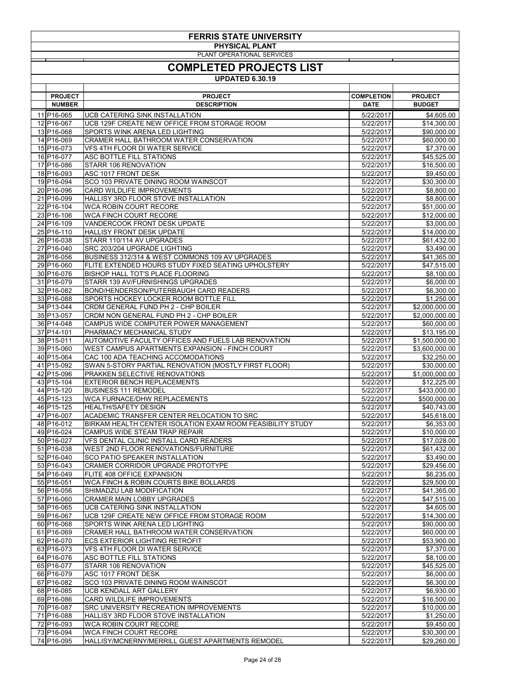| <b>FERRIS STATE UNIVERSITY</b><br><b>PHYSICAL PLANT</b> |                                                                                              |                                  |                                 |  |  |
|---------------------------------------------------------|----------------------------------------------------------------------------------------------|----------------------------------|---------------------------------|--|--|
|                                                         | PLANT OPERATIONAL SERVICES<br><b>COMPLETED PROJECTS LIST</b><br><b>UPDATED 6.30.19</b>       |                                  |                                 |  |  |
|                                                         |                                                                                              |                                  |                                 |  |  |
| <b>PROJECT</b><br><b>NUMBER</b>                         | <b>PROJECT</b><br><b>DESCRIPTION</b>                                                         | <b>COMPLETION</b><br><b>DATE</b> | <b>PROJECT</b><br><b>BUDGET</b> |  |  |
| 11 P16-065                                              | <b>UCB CATERING SINK INSTALLATION</b>                                                        | 5/22/2017                        | \$4,605.00                      |  |  |
| 12 P16-067                                              | UCB 129F CREATE NEW OFFICE FROM STORAGE ROOM                                                 | 5/22/2017                        | \$14,300.00                     |  |  |
| 13 P16-068                                              | SPORTS WINK ARENA LED LIGHTING                                                               | 5/22/2017                        | \$90,000.00                     |  |  |
| 14 P16-069                                              | CRAMER HALL BATHROOM WATER CONSERVATION                                                      | 5/22/2017                        | \$60,000.00                     |  |  |
| 15 P16-073                                              | <b>VFS 4TH FLOOR DI WATER SERVICE</b>                                                        | 5/22/2017                        | \$7,370.00                      |  |  |
| 16 P16-077                                              | ASC BOTTLE FILL STATIONS                                                                     | 5/22/2017                        | \$45,525.00                     |  |  |
| 17 P16-086<br>18 P16-093                                | STARR 106 RENOVATION<br>ASC 1017 FRONT DESK                                                  | 5/22/2017<br>5/22/2017           | \$16,500.00<br>\$9,450.00       |  |  |
| 19 P16-094                                              | SCO 103 PRIVATE DINING ROOM WAINSCOT                                                         | 5/22/2017                        | \$30,300.00                     |  |  |
| 20 P16-096                                              | <b>CARD WILDLIFE IMPROVEMENTS</b>                                                            | 5/22/2017                        | \$8,800.00                      |  |  |
| 21 P16-099                                              | HALLISY 3RD FLOOR STOVE INSTALLATION                                                         | 5/22/2017                        | \$8,800.00                      |  |  |
| 22 P16-104                                              | <b>WCA ROBIN COURT RECORE</b>                                                                | 5/22/2017                        | \$51,000.00                     |  |  |
| 23 P16-106                                              | <b>WCA FINCH COURT RECORE</b>                                                                | 5/22/2017                        | \$12,000.00                     |  |  |
| 24 P16-109                                              | <b>VANDERCOOK FRONT DESK UPDATE</b>                                                          | 5/22/2017                        | \$3,000.00                      |  |  |
| 25 P16-110<br>26 P16-038                                | <b>HALLISY FRONT DESK UPDATE</b><br>STARR 110/114 AV UPGRADES                                | 5/22/2017<br>5/22/2017           | \$14,000.00<br>\$61,432.00      |  |  |
| 27 P16-040                                              | SRC 203/204 UPGRADE LIGHTING                                                                 | 5/22/2017                        | \$3,490.00                      |  |  |
| 28 P16-056                                              | BUSINESS 312/314 & WEST COMMONS 109 AV UPGRADES                                              | 5/22/2017                        | \$41,365.00                     |  |  |
| 29 P16-060                                              | FLITE EXTENDED HOURS STUDY FIXED SEATING UPHOLSTERY                                          | 5/22/2017                        | \$47,515.00                     |  |  |
| 30 P16-076                                              | BISHOP HALL TOT'S PLACE FLOORING                                                             | 5/22/2017                        | \$8,100.00                      |  |  |
| 31 P16-079                                              | STARR 139 AV/FURNISHINGS UPGRADES                                                            | 5/22/2017                        | \$6,000.00                      |  |  |
| 32 P16-082                                              | BOND/HENDERSON/PUTERBAUGH CARD READERS                                                       | 5/22/2017                        | \$6,300.00                      |  |  |
| 33 P16-088<br>34 P13-044                                | SPORTS HOCKEY LOCKER ROOM BOTTLE FILL<br>CRDM GENERAL FUND PH 2 - CHP BOILER                 | 5/22/2017<br>5/22/2017           | \$1,250.00<br>\$2,000,000.00    |  |  |
| 35 P13-057                                              | CRDM NON GENERAL FUND PH 2 - CHP BOILER                                                      | 5/22/2017                        | \$2,000,000.00                  |  |  |
| 36 P14-048                                              | CAMPUS WIDE COMPUTER POWER MANAGEMENT                                                        | 5/22/2017                        | \$60,000.00                     |  |  |
| 37 P14-101                                              | PHARMACY MECHANICAL STUDY                                                                    | 5/22/2017                        | \$13,195.00                     |  |  |
| 38 P15-011                                              | AUTOMOTIVE FACULTY OFFICES AND FUELS LAB RENOVATION                                          | 5/22/2017                        | \$1,500,000.00                  |  |  |
| 39 P15-060                                              | WEST CAMPUS APARTMENTS EXPANSION - FINCH COURT                                               | 5/22/2017                        | \$3,600,000.00                  |  |  |
| 40 P15-064                                              | CAC 100 ADA TEACHING ACCOMODATIONS                                                           | 5/22/2017                        | \$32,250.00                     |  |  |
| 41 P15-092<br>42 P15-096                                | SWAN 5-STORY PARTIAL RENOVATION (MOSTLY FIRST FLOOR)<br><b>PRAKKEN SELECTIVE RENOVATIONS</b> | 5/22/2017<br>5/22/2017           | \$30,000.00<br>\$1,000,000.00   |  |  |
| 43 P15-104                                              | <b>EXTERIOR BENCH REPLACEMENTS</b>                                                           | 5/22/2017                        | \$12,225.00                     |  |  |
| 44 P15-120                                              | <b>BUSINESS 111 REMODEL</b>                                                                  | 5/22/2017                        | \$433,000.00                    |  |  |
| 45 P15-123                                              | <b>WCA FURNACE/DHW REPLACEMENTS</b>                                                          | 5/22/2017                        | \$500,000.00                    |  |  |
| 46 P15-125                                              | <b>HEALTH/SAFETY DESIGN</b>                                                                  | 5/22/2017                        | \$40,743.00                     |  |  |
| 47 P16-007                                              | ACADEMIC TRANSFER CENTER RELOCATION TO SRC                                                   | 5/22/2017                        | \$45,618.00                     |  |  |
| 48 P16-012                                              | BIRKAM HEALTH CENTER ISOLATION EXAM ROOM FEASIBILITY STUDY                                   | 5/22/2017                        | \$6,353.00                      |  |  |
| 49 P16-024<br>50 P16-027                                | CAMPUS WIDE STEAM TRAP REPAIR<br>VFS DENTAL CLINIC INSTALL CARD READERS                      | 5/22/2017<br>5/22/2017           | \$10,000.00<br>\$17,028.00      |  |  |
| 51 P16-038                                              | WEST 2ND FLOOR RENOVATIONS/FURNITURE                                                         | 5/22/2017                        | \$61,432.00                     |  |  |
| 52 P16-040                                              | <b>SCO PATIO SPEAKER INSTALLATION</b>                                                        | 5/22/2017                        | \$3,490.00                      |  |  |
| 53 P16-043                                              | <b>CRAMER CORRIDOR UPGRADE PROTOTYPE</b>                                                     | 5/22/2017                        | \$29,456.00                     |  |  |
| 54 P16-049                                              | FLITE 408 OFFICE EXPANSION                                                                   | 5/22/2017                        | \$6,235.00                      |  |  |
| 55 P16-051                                              | WCA FINCH & ROBIN COURTS BIKE BOLLARDS                                                       | 5/22/2017                        | \$29,500.00                     |  |  |
| 56 P16-056                                              | SHIMADZU LAB MODIFICATION                                                                    | 5/22/2017                        | \$41,365.00                     |  |  |
| 57 P16-060<br>58 P16-065                                | <b>CRAMER MAIN LOBBY UPGRADES</b><br>UCB CATERING SINK INSTALLATION                          | 5/22/2017<br>5/22/2017           | \$47,515.00<br>\$4,605.00       |  |  |
| 59 P16-067                                              | UCB 129F CREATE NEW OFFICE FROM STORAGE ROOM                                                 | 5/22/2017                        | \$14,300.00                     |  |  |
| 60 P16-068                                              | SPORTS WINK ARENA LED LIGHTING                                                               | 5/22/2017                        | \$90,000.00                     |  |  |
| 61 P16-069                                              | CRAMER HALL BATHROOM WATER CONSERVATION                                                      | 5/22/2017                        | \$60,000.00                     |  |  |
| 62 P16-070                                              | <b>ECS EXTERIOR LIGHTING RETROFIT</b>                                                        | 5/22/2017                        | \$53,900.00                     |  |  |
| 63 P16-073                                              | <b>VFS 4TH FLOOR DI WATER SERVICE</b>                                                        | 5/22/2017                        | \$7,370.00                      |  |  |
| 64 P16-076                                              | <b>ASC BOTTLE FILL STATIONS</b>                                                              | 5/22/2017                        | \$8,100.00                      |  |  |
| 65 P16-077<br>66 P16-079                                | STARR 106 RENOVATION<br><b>ASC 1017 FRONT DESK</b>                                           | 5/22/2017<br>5/22/2017           | \$45,525.00<br>\$6,000.00       |  |  |
| 67 P16-082                                              | SCO 103 PRIVATE DINING ROOM WAINSCOT                                                         | 5/22/2017                        | \$6,300.00                      |  |  |
| 68 P16-085                                              | UCB KENDALL ART GALLERY                                                                      | 5/22/2017                        | \$6,930.00                      |  |  |
| 69 P16-086                                              | <b>CARD WILDLIFE IMPROVEMENTS</b>                                                            | 5/22/2017                        | \$16,500.00                     |  |  |
| 70 P16-087                                              | <b>SRC UNIVERSITY RECREATION IMPROVEMENTS</b>                                                | 5/22/2017                        | \$10,000.00                     |  |  |
| 71 P16-088                                              | HALLISY 3RD FLOOR STOVE INSTALLATION                                                         | 5/22/2017                        | \$1,250.00                      |  |  |
| 72 P16-093<br>73 P16-094                                | <b>WCA ROBIN COURT RECORE</b><br>WCA FINCH COURT RECORE                                      | 5/22/2017<br>5/22/2017           | \$9,450.00<br>\$30,300.00       |  |  |
| 74 P16-095                                              | HALLISY/MCNERNY/MERRILL GUEST APARTMENTS REMODEL                                             | 5/22/2017                        | \$29,260.00                     |  |  |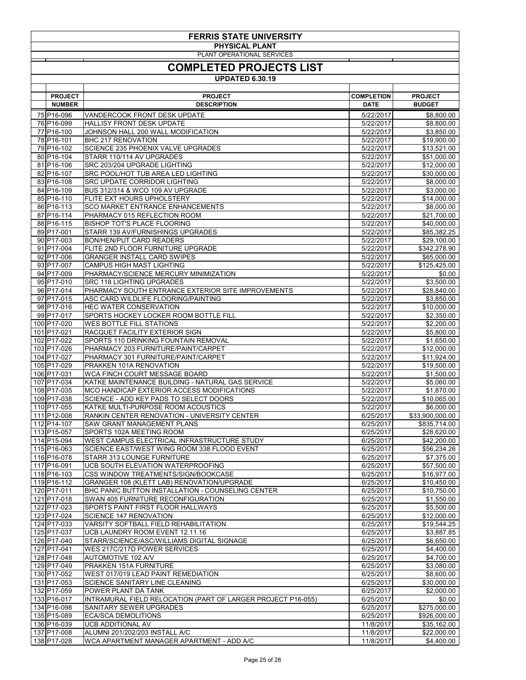| <b>FERRIS STATE UNIVERSITY</b><br><b>PHYSICAL PLANT</b> |                                                                                                |                        |                             |  |
|---------------------------------------------------------|------------------------------------------------------------------------------------------------|------------------------|-----------------------------|--|
| PLANT OPERATIONAL SERVICES                              |                                                                                                |                        |                             |  |
|                                                         | <b>COMPLETED PROJECTS LIST</b>                                                                 |                        |                             |  |
|                                                         | <b>UPDATED 6.30.19</b>                                                                         |                        |                             |  |
| <b>PROJECT</b>                                          | <b>PROJECT</b>                                                                                 | <b>COMPLETION</b>      | <b>PROJECT</b>              |  |
| <b>NUMBER</b>                                           | <b>DESCRIPTION</b>                                                                             | <b>DATE</b>            | <b>BUDGET</b>               |  |
| 75 P16-096                                              | <b>VANDERCOOK FRONT DESK UPDATE</b>                                                            | 5/22/2017              | \$8,800.00                  |  |
| 76 P16-099<br>77 P16-100                                | <b>HALLISY FRONT DESK UPDATE</b><br>JOHNSON HALL 200 WALL MODIFICATION                         | 5/22/2017<br>5/22/2017 | \$8,800.00<br>\$3,850.00    |  |
| 78 P16-101                                              | <b>BHC 217 RENOVATION</b>                                                                      | 5/22/2017              | \$19,900.00                 |  |
| 79 P16-102                                              | <b>SCIENCE 235 PHOENIX VALVE UPGRADES</b>                                                      | 5/22/2017              | \$13,521.00                 |  |
| 80 P16-104<br>81 P16-106                                | STARR 110/114 AV UPGRADES<br>SRC 203/204 UPGRADE LIGHTING                                      | 5/22/2017<br>5/22/2017 | \$51,000.00<br>\$12,000.00  |  |
| 82 P16-107                                              | SRC POOL/HOT TUB AREA LED LIGHTING                                                             | 5/22/2017              | \$30,000.00                 |  |
| 83 P16-108                                              | <b>SRC UPDATE CORRIDOR LIGHTING</b>                                                            | 5/22/2017              | \$8,000.00                  |  |
| 84 P16-109<br>85 P16-110                                | BUS 312/314 & WCO 109 AV UPGRADE<br><b>FLITE EXT HOURS UPHOLSTERY</b>                          | 5/22/2017<br>5/22/2017 | \$3,000.00<br>\$14,000.00   |  |
| 86 P16-113                                              | <b>SCO MARKET ENTRANCE ENHANCEMENTS</b>                                                        | 5/22/2017              | \$8,000.00                  |  |
| 87 P16-114                                              | PHARMACY 015 REFLECTION ROOM                                                                   | 5/22/2017              | \$21,700.00                 |  |
| 88 P16-115<br>89 P17-001                                | <b>BISHOP TOT'S PLACE FLOORING</b><br>STARR 139 AV/FURNISHINGS UPGRADES                        | 5/22/2017<br>5/22/2017 | \$40,000.00<br>\$85,382.25  |  |
| 90 P17-003                                              | <b>BON/HEN/PUT CARD READERS</b>                                                                | 5/22/2017              | \$29,100.00                 |  |
| 91 P17-004                                              | <b>FLITE 2ND FLOOR FURNITURE UPGRADE</b>                                                       | 5/22/2017              | \$342,278.90                |  |
| 92 P17-006<br>93 P17-007                                | <b>GRANGER INSTALL CARD SWIPES</b><br><b>CAMPUS HIGH MAST LIGHTING</b>                         | 5/22/2017<br>5/22/2017 | \$65,000.00<br>\$125,425.00 |  |
| 94 P17-009                                              | PHARMACY/SCIENCE MERCURY MINIMIZATION                                                          | 5/22/2017              | \$0.00                      |  |
| 95 P17-010                                              | <b>SRC 118 LIGHTING UPGRADES</b>                                                               | 5/22/2017              | \$3,500.00                  |  |
| 96 P17-014<br>97 P17-015                                | PHARMACY SOUTH ENTRANCE EXTERIOR SITE IMPROVEMENTS<br>ASC CARD WILDLIFE FLOORING/PAINTING      | 5/22/2017<br>5/22/2017 | \$28,840.00<br>\$3,850.00   |  |
| 98 P17-016                                              | <b>HEC WATER CONSERVATION</b>                                                                  | 5/22/2017              | \$10,000.00                 |  |
| 99 P17-017                                              | SPORTS HOCKEY LOCKER ROOM BOTTLE FILL                                                          | 5/22/2017              | \$2,350.00                  |  |
| 100 P17-020<br>101 P17-021                              | <b>WES BOTTLE FILL STATIONS</b><br>RACQUET FACILITY EXTERIOR SIGN                              | 5/22/2017<br>5/22/2017 | \$2,200.00<br>\$5,800.00    |  |
| 102 P17-022                                             | SPORTS 110 DRINKING FOUNTAIN REMOVAL                                                           | 5/22/2017              | \$1,650.00                  |  |
| 103 P17-026                                             | PHARMACY 203 FURNITURE/PAINT/CARPET                                                            | 5/22/2017              | \$12,000.00                 |  |
| 104 P17-027<br>105 P17-029                              | PHARMACY 301 FURNITURE/PAINT/CARPET<br>PRAKKEN 101A RENOVATION                                 | 5/22/2017<br>5/22/2017 | \$11,924.00<br>\$19,500.00  |  |
| 106 P17-031                                             | <b>WCA FINCH COURT MESSAGE BOARD</b>                                                           | 5/22/2017              | \$1,500.00                  |  |
| 107 P17-034                                             | KATKE MAINTENANCE BUILDING - NATURAL GAS SERVICE                                               | 5/22/2017              | \$5,060.00                  |  |
| 108 P17-035<br>109 P17-038                              | MCO HANDICAP EXTERIOR ACCESS MODIFICATIONS<br>SCIENCE - ADD KEY PADS TO SELECT DOORS           | 5/22/2017<br>5/22/2017 | \$1,870.00<br>\$10,065.00   |  |
| 110 P17-055                                             | KATKE MULTI-PURPOSE ROOM ACOUSTICS                                                             | 5/22/2017              | \$6,000.00                  |  |
| 111 P12-008                                             | <b>RANKIN CENTER RENOVATION - UNIVERSITY CENTER</b>                                            | 6/25/2017              | \$33,900,000.00             |  |
| 112 P14-107<br>113 P15-057                              | <b>SAW GRANT MANAGEMENT PLANS</b><br>SPORTS 102A MEETING ROOM                                  | 6/25/2017<br>6/25/2017 | \$835,714.00<br>\$28,620.00 |  |
| 114 P15-094                                             | WEST CAMPUS ELECTRICAL INFRASTRUCTURE STUDY                                                    | 6/25/2017              | \$42,200.00                 |  |
| 115 P16-063                                             | SCIENCE EAST/WEST WING ROOM 338 FLOOD EVENT                                                    | 6/25/2017              | \$56,234.26                 |  |
| 116 P16-078<br>117 P16-091                              | STARR 313 LOUNGE FURNITURE<br>UCB SOUTH ELEVATION WATERPROOFING                                | 6/25/2017<br>6/25/2017 | \$7,375.00<br>\$57,500.00   |  |
| 118 P16-103                                             | CSS WINDOW TREATMENTS/SIGN/BOOKCASE                                                            | 6/25/2017              | \$16,977.00                 |  |
| 119 P16-112                                             | GRANGER 108 (KLETT LAB) RENOVATION/UPGRADE                                                     | 6/25/2017              | \$10,450.00                 |  |
| 120 P17-011<br>121 P17-018                              | <b>BHC PANIC BUTTON INSTALLATION - COUNSELING CENTER</b><br>SWAN 405 FURNITURE RECONFIGURATION | 6/25/2017<br>6/25/2017 | \$10,750.00<br>\$1,550.00   |  |
| 122 P17-023                                             | SPORTS PAINT FIRST FLOOR HALLWAYS                                                              | 6/25/2017              | \$5,500.00                  |  |
| 123 P17-024                                             | <b>SCIENCE 147 RENOVATION</b>                                                                  | 6/25/2017              | \$12,000.00                 |  |
| 124 P17-033<br>125 P17-037                              | <b>VARSITY SOFTBALL FIELD REHABILITATION</b><br>UCB LAUNDRY ROOM EVENT 12.11.16                | 6/25/2017<br>6/25/2017 | \$19,544.25                 |  |
| 126 P17-040                                             | STARR/SCIENCE/ASC/WILLIAMS DIGITAL SIGNAGE                                                     | 6/25/2017              | \$3,887.85<br>\$6,650.00    |  |
| 127 P17-041                                             | WES 217C/217D POWER SERVICES                                                                   | 6/25/2017              | \$4,400.00                  |  |
| 128 P17-048                                             | AUTOMOTIVE 102 A/V<br>PRAKKEN 151A FURNITURE                                                   | 6/25/2017<br>6/25/2017 | \$4,700.00                  |  |
| 129 P17-049<br>130 P17-052                              | WEST 017/019 LEAD PAINT REMEDIATION                                                            | 6/25/2017              | \$3,080.00<br>\$8,600.00    |  |
| 131 P17-053                                             | <b>SCIENCE SANITARY LINE CLEANING</b>                                                          | 6/25/2017              | \$30,000.00                 |  |
| 132 P17-059<br>133 P16-017                              | POWER PLANT DA TANK<br>INTRAMURAL FIELD RELOCATION (PART OF LARGER PROJECT P16-055)            | 6/25/2017<br>6/25/2017 | \$2,000.00<br>\$0.00        |  |
| 134 P16-098                                             | SANITARY SEWER UPGRADES                                                                        | 6/25/2017              | \$275,000.00                |  |
| 135 P15-089                                             | <b>ECA/SCA DEMOLITIONS</b>                                                                     | 6/25/2017              | \$926,000.00                |  |
| 136 P16-039<br>137 P17-008                              | <b>UCB ADDITIONAL AV</b><br>ALUMNI 201/202/203 INSTALL A/C                                     | 11/8/2017<br>11/8/2017 | \$35,162.00<br>\$22,000.00  |  |
| 138 P17-028                                             | WCA APARTMENT MANAGER APARTMENT - ADD A/C                                                      | 11/8/2017              | \$4,400.00                  |  |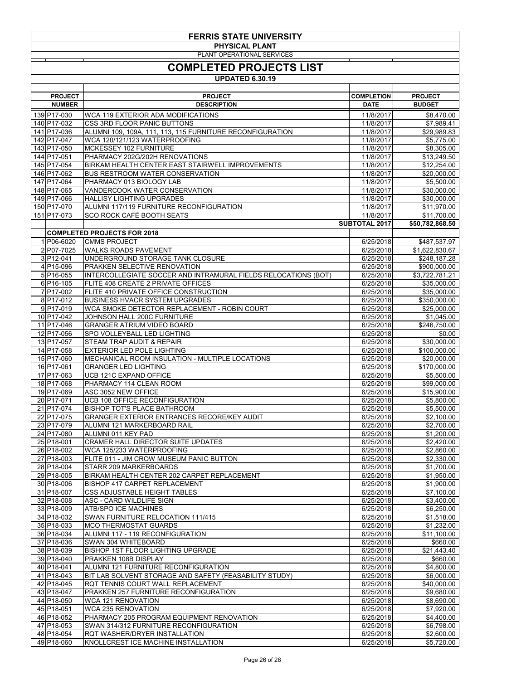| <b>FERRIS STATE UNIVERSITY</b><br><b>PHYSICAL PLANT</b> |                                 |                                                                                                      |                                   |                                 |
|---------------------------------------------------------|---------------------------------|------------------------------------------------------------------------------------------------------|-----------------------------------|---------------------------------|
| PLANT OPERATIONAL SERVICES                              |                                 |                                                                                                      |                                   |                                 |
|                                                         |                                 | <b>COMPLETED PROJECTS LIST</b>                                                                       |                                   |                                 |
|                                                         |                                 | <b>UPDATED 6.30.19</b>                                                                               |                                   |                                 |
|                                                         |                                 |                                                                                                      |                                   |                                 |
|                                                         | <b>PROJECT</b><br><b>NUMBER</b> | <b>PROJECT</b><br><b>DESCRIPTION</b>                                                                 | <b>COMPLETION</b><br><b>DATE</b>  | <b>PROJECT</b><br><b>BUDGET</b> |
|                                                         | 139 P17-030                     | <b>WCA 119 EXTERIOR ADA MODIFICATIONS</b>                                                            | 11/8/2017                         | \$8,470.00                      |
|                                                         | 140 P17-032                     | CSS 3RD FLOOR PANIC BUTTONS                                                                          | 11/8/2017                         | \$7,989.41                      |
|                                                         | 141 P17-036                     | ALUMNI 109, 109A, 111, 113, 115 FURNITURE RECONFIGURATION                                            | 11/8/2017                         | \$29,989.83                     |
|                                                         | 142 P17-047                     | WCA 120/121/123 WATERPROOFING                                                                        | 11/8/2017                         | \$5,775.00                      |
|                                                         | 143 P17-050                     | MCKESSEY 102 FURNITURE                                                                               | 11/8/2017                         | \$8,305.00                      |
|                                                         | 144 P17-051<br>145 P17-054      | PHARMACY 202G/202H RENOVATIONS<br><b>BIRKAM HEALTH CENTER EAST STAIRWELL IMPROVEMENTS</b>            | 11/8/2017<br>11/8/2017            | \$13,249.50<br>\$12,254.00      |
|                                                         | 146 P17-062                     | <b>BUS RESTROOM WATER CONSERVATION</b>                                                               | 11/8/2017                         | \$20,000.00                     |
|                                                         | 147 P17-064                     | PHARMACY 013 BIOLOGY LAB                                                                             | 11/8/2017                         | \$5,500.00                      |
|                                                         | 148 P17-065                     | <b>VANDERCOOK WATER CONSERVATION</b>                                                                 | 11/8/2017                         | \$30,000.00                     |
|                                                         | 149 P17-066                     | <b>HALLISY LIGHTING UPGRADES</b>                                                                     | 11/8/2017                         | \$30,000.00                     |
|                                                         | 150 P17-070                     | ALUMNI 117/119 FURNITURE RECONFIGURATION<br><b>SCO ROCK CAFÉ BOOTH SEATS</b>                         | 11/8/2017                         | \$11,970.00                     |
|                                                         | 151 P17-073                     |                                                                                                      | 11/8/2017<br><b>SUBTOTAL 2017</b> | \$11,700.00<br>\$50,782,868.50  |
|                                                         |                                 | <b>COMPLETED PROJECTS FOR 2018</b>                                                                   |                                   |                                 |
|                                                         | 1 P06-6020                      | <b>CMMS PROJECT</b>                                                                                  | 6/25/2018                         | \$487,537.97                    |
|                                                         | 2 P07-7025                      | <b>WALKS ROADS PAVEMENT</b>                                                                          | 6/25/2018                         | \$1,622,830.67                  |
|                                                         | $3 P12-041$                     | UNDERGROUND STORAGE TANK CLOSURE                                                                     | 6/25/2018                         | \$248,187.28                    |
|                                                         | 4 P15-096                       | PRAKKEN SELECTIVE RENOVATION                                                                         | 6/25/2018                         | \$900,000.00                    |
|                                                         | $5 P16-055$<br>6 P16-105        | INTERCOLLEGIATE SOCCER AND INTRAMURAL FIELDS RELOCATIONS (BOT)<br>FLITE 408 CREATE 2 PRIVATE OFFICES | 6/25/2018<br>6/25/2018            | \$3,722,781.21                  |
|                                                         | 7 P17-002                       | FLITE 410 PRIVATE OFFICE CONSTRUCTION                                                                | 6/25/2018                         | \$35,000.00<br>\$35,000.00      |
|                                                         | 8P17-012                        | <b>BUSINESS HVACR SYSTEM UPGRADES</b>                                                                | 6/25/2018                         | \$350,000.00                    |
|                                                         | $9 P17-019$                     | WCA SMOKE DETECTOR REPLACEMENT - ROBIN COURT                                                         | 6/25/2018                         | \$25,000.00                     |
|                                                         | 10 P17-042                      | JOHNSON HALL 200C FURNITURE                                                                          | 6/25/2018                         | \$1,045.00                      |
|                                                         | 11 P17-046                      | <b>GRANGER ATRIUM VIDEO BOARD</b>                                                                    | 6/25/2018                         | \$246,750.00                    |
|                                                         | 12 P17-056<br>13 P17-057        | SPO VOLLEYBALL LED LIGHTING<br>STEAM TRAP AUDIT & REPAIR                                             | 6/25/2018<br>6/25/2018            | \$0.00<br>\$30,000.00           |
|                                                         | 14 P17-058                      | <b>EXTERIOR LED POLE LIGHTING</b>                                                                    | 6/25/2018                         | \$100,000.00                    |
|                                                         | 15 P17-060                      | MECHANICAL ROOM INSULATION - MULTIPLE LOCATIONS                                                      | 6/25/2018                         | \$20,000.00                     |
|                                                         | 16 P17-061                      | <b>GRANGER LED LIGHTING</b>                                                                          | 6/25/2018                         | \$170,000.00                    |
|                                                         | 17 P17-063                      | UCB 121C EXPAND OFFICE                                                                               | 6/25/2018                         | \$5,500.00                      |
|                                                         | 18 P17-068<br>19 P17-069        | PHARMACY 114 CLEAN ROOM<br>ASC 3052 NEW OFFICE                                                       | 6/25/2018<br>6/25/2018            | \$99,000.00<br>\$15,900.00      |
|                                                         | 20 P17-071                      | UCB 108 OFFICE RECONFIGURATION                                                                       | 6/25/2018                         | \$5,800.00                      |
|                                                         | 21 P17-074                      | <b>BISHOP TOT'S PLACE BATHROOM</b>                                                                   | 6/25/2018                         | \$5,500.00                      |
|                                                         | 22 P17-075                      | <b>GRANGER EXTERIOR ENTRANCES RECORE/KEY AUDIT</b>                                                   | 6/25/2018                         | \$2,100.00                      |
|                                                         | 23 P17-079                      | ALUMNI 121 MARKERBOARD RAIL                                                                          | 6/25/2018                         | \$2,700.00                      |
|                                                         | 24 P17-080                      | ALUMNI 011 KEY PAD<br><b>CRAMER HALL DIRECTOR SUITE UPDATES</b>                                      | 6/25/2018                         | \$1,200.00                      |
|                                                         | 25 P18-001<br>26 P18-002        | WCA 125/233 WATERPROOFING                                                                            | 6/25/2018<br>6/25/2018            | \$2,420.00<br>\$2,860.00        |
|                                                         | 27 P18-003                      | FLITE 011 - JIM CROW MUSEUM PANIC BUTTON                                                             | 6/25/2018                         | \$2,330.00                      |
|                                                         | 28 P18-004                      | STARR 209 MARKERBOARDS                                                                               | 6/25/2018                         | \$1,700.00                      |
|                                                         | 29 P18-005                      | BIRKAM HEALTH CENTER 202 CARPET REPLACEMENT                                                          | 6/25/2018                         | \$1,950.00                      |
|                                                         | 30 P18-006                      | <b>BISHOP 417 CARPET REPLACEMENT</b>                                                                 | 6/25/2018                         | \$1,900.00                      |
|                                                         | 31 P18-007<br>32 P18-008        | <b>CSS ADJUSTABLE HEIGHT TABLES</b><br>ASC - CARD WILDLIFE SIGN                                      | 6/25/2018<br>6/25/2018            | \$7,100.00<br>\$3,400.00        |
|                                                         | 33 P18-009                      | <b>ATB/SPO ICE MACHINES</b>                                                                          | 6/25/2018                         | \$6,250.00                      |
|                                                         | 34 P18-032                      | SWAN FURNITURE RELOCATION 111/415                                                                    | 6/25/2018                         | \$1,518.00                      |
|                                                         | 35 P18-033                      | <b>MCO THERMOSTAT GUARDS</b>                                                                         | 6/25/2018                         | \$1,232.00                      |
|                                                         | 36 P18-034                      | ALUMNI 117 - 119 RECONFIGURATION                                                                     | 6/25/2018                         | \$11,100.00                     |
|                                                         | 37 P18-036<br>38 P18-039        | SWAN 304 WHITEBOARD<br><b>BISHOP 1ST FLOOR LIGHTING UPGRADE</b>                                      | 6/25/2018<br>6/25/2018            | \$660.00<br>\$21,443.40         |
|                                                         | 39 P18-040                      | PRAKKEN 108B DISPLAY                                                                                 | 6/25/2018                         | \$660.00                        |
|                                                         | 40 P18-041                      | ALUMNI 121 FURNITURE RECONFIGURATION                                                                 | 6/25/2018                         | \$4,800.00                      |
|                                                         | 41 P18-043                      | BIT LAB SOLVENT STORAGE AND SAFETY (FEASABILITY STUDY)                                               | 6/25/2018                         | \$6,000.00                      |
|                                                         | 42 P18-045                      | RQT TENNIS COURT WALL REPLACEMENT                                                                    | 6/25/2018                         | \$40,000.00                     |
|                                                         | 43 P18-047                      | PRAKKEN 257 FURNITURE RECONFIGURATION                                                                | 6/25/2018                         | \$9,680.00                      |
|                                                         | 44 P18-050<br>45 P18-051        | <b>WCA 121 RENOVATION</b><br><b>WCA 235 RENOVATION</b>                                               | 6/25/2018<br>6/25/2018            | \$8,690.00<br>\$7,920.00        |
|                                                         | 46 P18-052                      | PHARMACY 205 PROGRAM EQUIPMENT RENOVATION                                                            | 6/25/2018                         | \$4,400.00                      |
|                                                         | 47 P18-053                      | SWAN 314/312 FURNITURE RECONFIGURATION                                                               | 6/25/2018                         | \$6,798.00                      |
|                                                         | 48 P18-054                      | RQT WASHER/DRYER INSTALLATION                                                                        | 6/25/2018                         | \$2,600.00                      |
|                                                         | 49 P18-060                      | KNOLLCREST ICE MACHINE INSTALLATION                                                                  | 6/25/2018                         | \$5,720.00                      |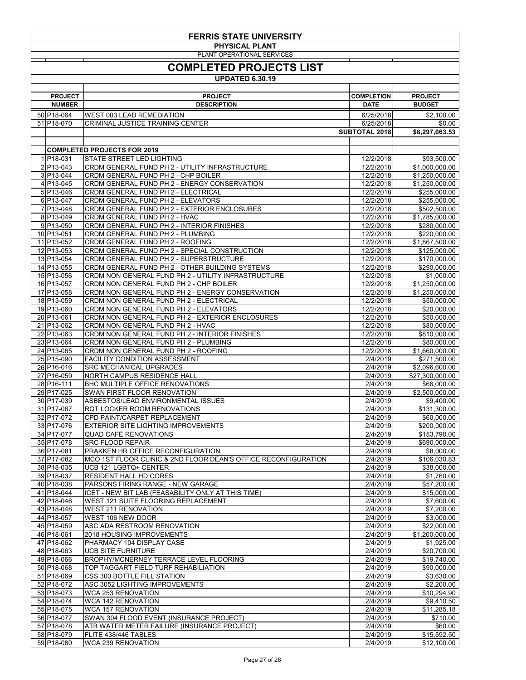| <b>FERRIS STATE UNIVERSITY</b> |                                                                                           |                        |                                   |  |  |
|--------------------------------|-------------------------------------------------------------------------------------------|------------------------|-----------------------------------|--|--|
| <b>PHYSICAL PLANT</b>          |                                                                                           |                        |                                   |  |  |
|                                | PLANT OPERATIONAL SERVICES                                                                |                        |                                   |  |  |
|                                | <b>COMPLETED PROJECTS LIST</b>                                                            |                        |                                   |  |  |
|                                | <b>UPDATED 6.30.19</b>                                                                    |                        |                                   |  |  |
|                                |                                                                                           |                        |                                   |  |  |
| <b>PROJECT</b>                 | <b>PROJECT</b>                                                                            | <b>COMPLETION</b>      | <b>PROJECT</b>                    |  |  |
| <b>NUMBER</b>                  | <b>DESCRIPTION</b>                                                                        | <b>DATE</b>            | <b>BUDGET</b>                     |  |  |
| 50 P18-064                     | <b>WEST 003 LEAD REMEDIATION</b>                                                          | 6/25/2018              | \$2,100.00                        |  |  |
| 51 P18-070                     | <b>CRIMINAL JUSTICE TRAINING CENTER</b>                                                   | 6/25/2018              | \$0.00                            |  |  |
|                                |                                                                                           | <b>SUBTOTAL 2018</b>   | \$8,297,063.53                    |  |  |
|                                |                                                                                           |                        |                                   |  |  |
|                                | <b>COMPLETED PROJECTS FOR 2019</b>                                                        |                        |                                   |  |  |
| 1 P18-031                      | <b>STATE STREET LED LIGHTING</b>                                                          | 12/2/2018              | \$93,500.00                       |  |  |
| 2 P13-043                      | CRDM GENERAL FUND PH 2 - UTILITY INFRASTRUCTURE                                           | 12/2/2018              | \$1,000,000.00                    |  |  |
| $3 P13-044$<br>$4 P13-045$     | CRDM GENERAL FUND PH 2 - CHP BOILER<br>CRDM GENERAL FUND PH 2 - ENERGY CONSERVATION       | 12/2/2018<br>12/2/2018 | \$1,250,000.00<br>\$1,250,000.00  |  |  |
| $5 P13-046$                    | CRDM GENERAL FUND PH 2 - ELECTRICAL                                                       | 12/2/2018              | \$255,000.00                      |  |  |
| 6 P13-047                      | CRDM GENERAL FUND PH 2 - ELEVATORS                                                        | 12/2/2018              | \$255,000.00                      |  |  |
| 7 P13-048                      | CRDM GENERAL FUND PH 2 - EXTERIOR ENCLOSURES                                              | 12/2/2018              | \$502,500.00                      |  |  |
| 8 P13-049                      | CRDM GENERAL FUND PH 2 - HVAC                                                             | 12/2/2018              | \$1,785,000.00                    |  |  |
| $9 P13-050$                    | CRDM GENERAL FUND PH 2 - INTERIOR FINISHES                                                | 12/2/2018              | \$280,000.00                      |  |  |
| 10 P13-051                     | CRDM GENERAL FUND PH 2 - PLUMBING                                                         | 12/2/2018              | \$220,000.00                      |  |  |
| 11 P13-052<br>12 P13-053       | CRDM GENERAL FUND PH 2 - ROOFING<br>CRDM GENERAL FUND PH 2 - SPECIAL CONSTRUCTION         | 12/2/2018<br>12/2/2018 | \$1,867,500.00<br>\$125,000.00    |  |  |
| 13 P13-054                     | CRDM GENERAL FUND PH 2 - SUPERSTRUCTURE                                                   | 12/2/2018              | \$170,000.00                      |  |  |
| 14 P13-055                     | CRDM GENERAL FUND PH 2 - OTHER BUILDING SYSTEMS                                           | 12/2/2018              | \$290,000.00                      |  |  |
| 15 P13-056                     | CRDM NON GENERAL FUND PH 2 - UTILITY INFRASTRUCTURE                                       | 12/2/2018              | \$1,000.00                        |  |  |
| 16 P13-057                     | <b>CRDM NON GENERAL FUND PH 2 - CHP BOILER</b>                                            | 12/2/2018              | \$1,250,000.00                    |  |  |
| 17 P13-058                     | CRDM NON GENERAL FUND PH 2 - ENERGY CONSERVATION                                          | 12/2/2018              | \$1,250,000.00                    |  |  |
| 18 P13-059<br>19 P13-060       | CRDM NON GENERAL FUND PH 2 - ELECTRICAL<br>CRDM NON GENERAL FUND PH 2 - ELEVATORS         | 12/2/2018<br>12/2/2018 | \$50,000.00<br>\$20,000.00        |  |  |
| 20 P13-061                     | CRDM NON GENERAL FUND PH 2 - EXTERIOR ENCLOSURES                                          | 12/2/2018              | \$50,000.00                       |  |  |
| 21 P13-062                     | CRDM NON GENERAL FUND PH 2 - HVAC                                                         | 12/2/2018              | \$80,000.00                       |  |  |
| 22 P13-063                     | CRDM NON GENERAL FUND PH 2 - INTERIOR FINISHES                                            | 12/2/2018              | \$810,000.00                      |  |  |
| 23 P13-064                     | CRDM NON GENERAL FUND PH 2 - PLUMBING                                                     | 12/2/2018              | \$80,000.00                       |  |  |
| 24 P13-065                     | CRDM NON GENERAL FUND PH 2 - ROOFING                                                      | 12/2/2018              | \$1,660,000.00                    |  |  |
| 25 P15-090                     | <b>FACILITY CONDITION ASSESSMENT</b>                                                      | 2/4/2019               | \$271,500.00                      |  |  |
| 26 P16-016<br>27 P16-059       | <b>SRC MECHANICAL UPGRADES</b><br>NORTH CAMPUS RESIDENCE HALL                             | 2/4/2019<br>2/4/2019   | \$2,096,600.00<br>\$27,300,000.00 |  |  |
| 28 P16-111                     | <b>BHC MULTIPLE OFFICE RENOVATIONS</b>                                                    | 2/4/2019               | \$66,000.00                       |  |  |
| 29 P17-025                     | SWAN FIRST FLOOR RENOVATION                                                               | 2/4/2019               | \$2,500,000.00                    |  |  |
| 30 P17-039                     | ASBESTOS/LEAD ENVIRONMENTAL ISSUES                                                        | 2/4/2019               | \$9,400.00                        |  |  |
| 31 P17-067                     | RQT LOCKER ROOM RENOVATIONS                                                               | 2/4/2019               | \$131,300.00                      |  |  |
| 32 P17-072                     | <b>CPD PAINT/CARPET REPLACEMENT</b>                                                       | 2/4/2019               | \$60,000.00                       |  |  |
| 33 P17-076<br>34 P17-077       | <b>EXTERIOR SITE LIGHTING IMPROVEMENTS</b><br><b>QUAD CAFÉ RENOVATIONS</b>                | 2/4/2019<br>2/4/2019   | \$200,000.00<br>\$153,790.00      |  |  |
| 35 P17-078                     | <b>SRC FLOOD REPAIR</b>                                                                   | 2/4/2019               | \$690,000.00                      |  |  |
| 36 P17-081                     | <b>PRAKKEN HR OFFICE RECONFIGURATION</b>                                                  | 2/4/2019               | \$8,000.00                        |  |  |
| 37 P17-082                     | MCO 1ST FLOOR CLINIC & 2ND FLOOR DEAN'S OFFICE RECONFIGURATION                            | 2/4/2019               | \$106,030.83                      |  |  |
| 38 P18-035                     | UCB 121 LGBTQ+ CENTER                                                                     | 2/4/2019               | \$38,000.00                       |  |  |
| 39 P18-037                     | <b>RESIDENT HALL HD CORES</b>                                                             | 2/4/2019               | \$1,760.00                        |  |  |
| 40 P18-038                     | PARSONS FIRING RANGE - NEW GARAGE                                                         | 2/4/2019               | \$57,200.00                       |  |  |
| 41 P18-044<br>42 P18-046       | ICET - NEW BIT LAB (FEASABILITY ONLY AT THIS TIME)<br>WEST 121 SUITE FLOORING REPLACEMENT | 2/4/2019<br>2/4/2019   | \$15,000.00<br>\$7,600.00         |  |  |
| 43 P18-048                     | <b>WEST 211 RENOVATION</b>                                                                | 2/4/2019               | \$7,200.00                        |  |  |
| 44 P18-057                     | WEST 106 NEW DOOR                                                                         | 2/4/2019               | \$3,000.00                        |  |  |
| 45 P18-059                     | <b>ASC ADA RESTROOM RENOVATION</b>                                                        | 2/4/2019               | \$22,000.00                       |  |  |
| 46 P18-061                     | 2018 HOUSING IMPROVEMENTS                                                                 | 2/4/2019               | \$1,200,000.00                    |  |  |
| 47 P18-062                     | PHARMACY 104 DISPLAY CASE                                                                 | 2/4/2019               | \$1,925.00                        |  |  |
| 48 P18-063<br>49 P18-066       | <b>UCB SITE FURNITURE</b><br><b>BROPHY/MCNERNEY TERRACE LEVEL FLOORING</b>                | 2/4/2019<br>2/4/2019   | \$20,700.00<br>\$19,740.00        |  |  |
| 50 P18-068                     | TOP TAGGART FIELD TURF REHABILIATION                                                      | 2/4/2019               | \$90,000.00                       |  |  |
| 51 P18-069                     | <b>CSS 300 BOTTLE FILL STATION</b>                                                        | 2/4/2019               | \$3,630.00                        |  |  |
| 52 P18-072                     | ASC 3052 LIGHTING IMPROVEMENTS                                                            | 2/4/2019               | \$2,200.00                        |  |  |
| 53 P18-073                     | <b>WCA 253 RENOVATION</b>                                                                 | 2/4/2019               | \$10,294.90                       |  |  |
| 54 P18-074                     | <b>WCA 142 RENOVATION</b>                                                                 | 2/4/2019               | \$9,410.50                        |  |  |
| 55 P18-075<br>56 P18-077       | <b>WCA 157 RENOVATION</b><br>SWAN 304 FLOOD EVENT (INSURANCE PROJECT)                     | 2/4/2019<br>2/4/2019   | \$11,285.18<br>\$710.00           |  |  |
| 57 P18-078                     | ATB WATER METER FAILURE (INSURANCE PROJECT)                                               | 2/4/2019               | \$60.00                           |  |  |
| 58 P18-079                     | FLITE 438/446 TABLES                                                                      | 2/4/2019               | \$15,592.50                       |  |  |
| 59 P18-080                     | <b>WCA 239 RENOVATION</b>                                                                 | 2/4/2019               | \$12,100.00                       |  |  |